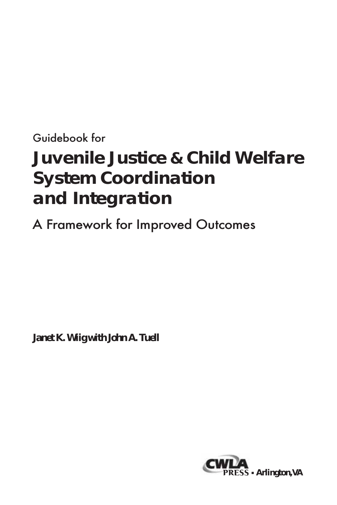## Guidebook for **Juvenile Justice & Child Welfare System Coordination and Integration**

## A Framework for Improved Outcomes

*Janet K. Wiig with John A. Tuell*

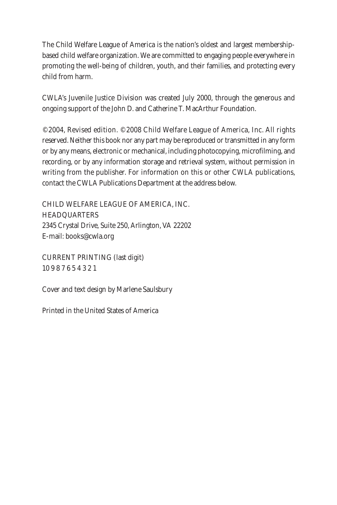The Child Welfare League of America is the nation's oldest and largest membershipbased child welfare organization. We are committed to engaging people everywhere in promoting the well-being of children, youth, and their families, and protecting every child from harm.

CWLA's Juvenile Justice Division was created July 2000, through the generous and ongoing support of the John D. and Catherine T. MacArthur Foundation.

© 2004, Revised edition. © 2008 Child Welfare League of America, Inc. All rights reserved. Neither this book nor any part may be reproduced or transmitted in any form or by any means, electronic or mechanical, including photocopying, microfilming, and recording, or by any information storage and retrieval system, without permission in writing from the publisher. For information on this or other CWLA publications, contact the CWLA Publications Department at the address below.

CHILD WELFARE LEAGUE OF AMERICA, INC. **HEADQUARTERS** 2345 Crystal Drive, Suite 250, Arlington, VA 22202 E-mail: books@cwla.org

CURRENT PRINTING (last digit) 10 9 8 7 6 5 4 3 2 1

Cover and text design by Marlene Saulsbury

Printed in the United States of America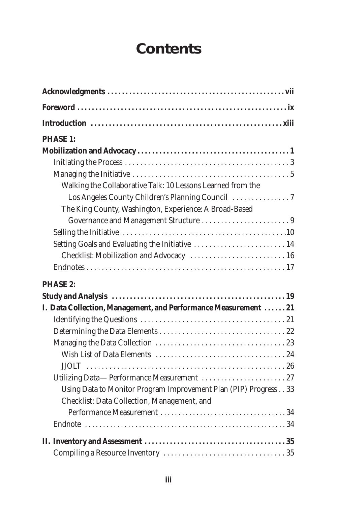## **Contents**

| <b>PHASE 1:</b>                                                  |
|------------------------------------------------------------------|
|                                                                  |
|                                                                  |
|                                                                  |
| Walking the Collaborative Talk: 10 Lessons Learned from the      |
| Los Angeles County Children's Planning Council                   |
| The King County, Washington, Experience: A Broad-Based           |
|                                                                  |
|                                                                  |
| Setting Goals and Evaluating the Initiative  14                  |
| Checklist: Mobilization and Advocacy  16                         |
|                                                                  |
| <b>PHASE 2:</b>                                                  |
|                                                                  |
| I. Data Collection, Management, and Performance Measurement  21  |
|                                                                  |
|                                                                  |
|                                                                  |
|                                                                  |
|                                                                  |
|                                                                  |
| Using Data to Monitor Program Improvement Plan (PIP) Progress 33 |
| Checklist: Data Collection, Management, and                      |
|                                                                  |
|                                                                  |
|                                                                  |
|                                                                  |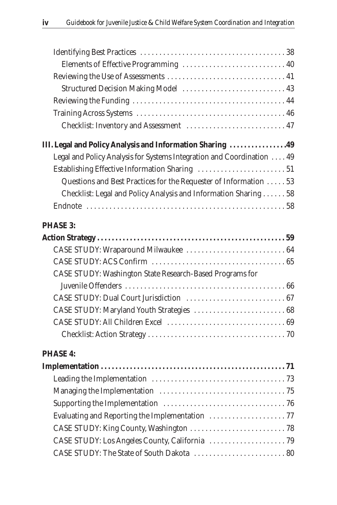| Elements of Effective Programming  40                                  |  |
|------------------------------------------------------------------------|--|
|                                                                        |  |
| Structured Decision Making Model  43                                   |  |
|                                                                        |  |
|                                                                        |  |
| Checklist: Inventory and Assessment  47                                |  |
| III. Legal and Policy Analysis and Information Sharing 49              |  |
| Legal and Policy Analysis for Systems Integration and Coordination  49 |  |
|                                                                        |  |
| Questions and Best Practices for the Requester of Information  53      |  |
| Checklist: Legal and Policy Analysis and Information Sharing 58        |  |
|                                                                        |  |
|                                                                        |  |
| <b>PHASE 3:</b>                                                        |  |
|                                                                        |  |
| CASE STUDY: Wraparound Milwaukee  64                                   |  |
|                                                                        |  |
| CASE STUDY: Washington State Research-Based Programs for               |  |
|                                                                        |  |
|                                                                        |  |
|                                                                        |  |
|                                                                        |  |
|                                                                        |  |
| <b>PHASE 4:</b>                                                        |  |
|                                                                        |  |
|                                                                        |  |
|                                                                        |  |

Evaluating and Reporting the Implementation  $\dots\dots\dots\dots\dots\dots$  . . . . . . . . . . . . . 77 CASE STUDY: King County, Washington . . . . . . . . . . . . . . . . . . . . . . . . . 78 CASE STUDY: Los Angeles County, California . . . . . . . . . . . . . . . . . . . . 79 CASE STUDY: The State of South Dakota . . . . . . . . . . . . . . . . . . . . . . . . 80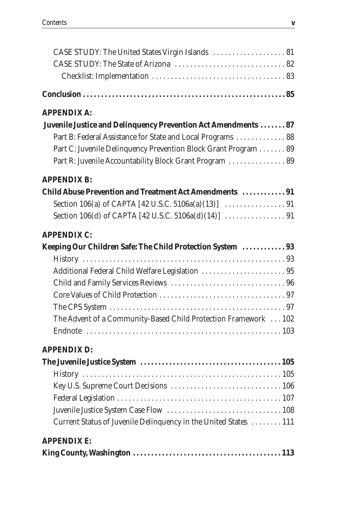| CASE STUDY: The United States Virgin Islands  81 |  |
|--------------------------------------------------|--|

#### **APPENDIX A:**

| Juvenile Justice and Delinquency Prevention Act Amendments  87 |  |
|----------------------------------------------------------------|--|
| Part B: Federal Assistance for State and Local Programs  88    |  |
| Part C: Juvenile Delinquency Prevention Block Grant Program 89 |  |
| Part R: Juvenile Accountability Block Grant Program  89        |  |

#### **APPENDIX B:**

| <b>Child Abuse Prevention and Treatment Act Amendments  91</b> |  |
|----------------------------------------------------------------|--|
|                                                                |  |
|                                                                |  |

#### **APPENDIX C:**

| Keeping Our Children Safe: The Child Protection System  93      |  |
|-----------------------------------------------------------------|--|
|                                                                 |  |
| Additional Federal Child Welfare Legislation  95                |  |
|                                                                 |  |
|                                                                 |  |
|                                                                 |  |
| The Advent of a Community-Based Child Protection Framework  102 |  |
|                                                                 |  |

#### **APPENDIX D:**

| Current Status of Juvenile Delinquency in the United States  111 |  |
|------------------------------------------------------------------|--|
| <b>APPENDIX E:</b>                                               |  |
|                                                                  |  |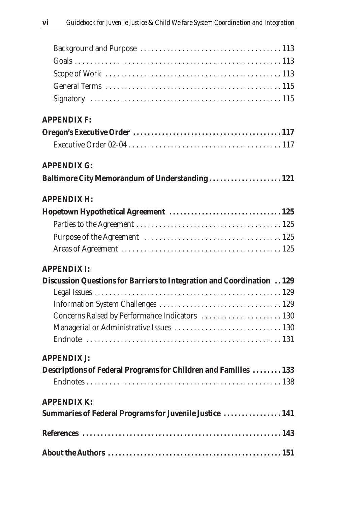| <b>APPENDIX F:</b>                                                     |  |
|------------------------------------------------------------------------|--|
|                                                                        |  |
|                                                                        |  |
| <b>APPENDIX G:</b>                                                     |  |
| Baltimore City Memorandum of Understanding 121                         |  |
| <b>APPENDIX H:</b>                                                     |  |
|                                                                        |  |
|                                                                        |  |
|                                                                        |  |
|                                                                        |  |
| <b>APPENDIX I:</b>                                                     |  |
| Discussion Questions for Barriers to Integration and Coordination 129  |  |
|                                                                        |  |
|                                                                        |  |
| Concerns Raised by Performance Indicators  130                         |  |
|                                                                        |  |
| <b>APPENDIX J:</b>                                                     |  |
| <b>Descriptions of Federal Programs for Children and Families  133</b> |  |
|                                                                        |  |
| <b>APPENDIX K:</b>                                                     |  |
| Summaries of Federal Programs for Juvenile Justice  141                |  |
|                                                                        |  |
|                                                                        |  |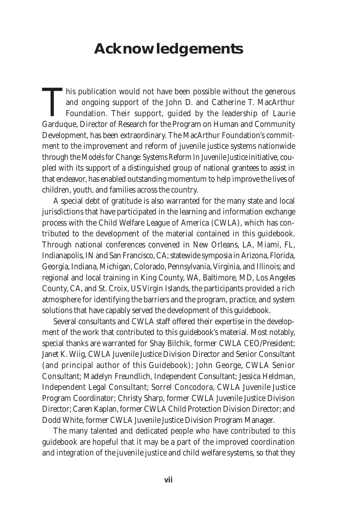## **Acknowledgements**

This publication would not have been possible without the generous and ongoing support of the John D. and Catherine T. MacArthur Foundation. Their support, guided by the leadership of Laurie Garduque, Director of Research for the Program on Human and Community Development, has been extraordinary. The MacArthur Foundation's commitment to the improvement and reform of juvenile justice systems nationwide through the *Models for Change: Systems Reform In Juvenile Justice*initiative, coupled with its support of a distinguished group of national grantees to assist in that endeavor, has enabled outstanding momentum to help improve the lives of children, youth, and families across the country.

A special debt of gratitude is also warranted for the many state and local jurisdictions that have participated in the learning and information exchange process with the Child Welfare League of America (CWLA), which has contributed to the development of the material contained in this guidebook. Through national conferences convened in New Orleans, LA, Miami, FL, Indianapolis, IN and San Francisco, CA; statewide symposia in Arizona, Florida, Georgia, Indiana, Michigan, Colorado, Pennsylvania, Virginia, and Illinois; and regional and local training in King County, WA, Baltimore, MD, Los Angeles County, CA, and St. Croix, US Virgin Islands, the participants provided a rich atmosphere for identifying the barriers and the program, practice, and system solutions that have capably served the development of this guidebook.

Several consultants and CWLA staff offered their expertise in the development of the work that contributed to this guidebook's material. Most notably, special thanks are warranted for Shay Bilchik, former CWLA CEO/President; Janet K. Wiig, CWLA Juvenile Justice Division Director and Senior Consultant (and principal author of this Guidebook); John George, CWLA Senior Consultant; Madelyn Freundlich, Independent Consultant; Jessica Heldman, Independent Legal Consultant; Sorrel Concodora, CWLA Juvenile Justice Program Coordinator; Christy Sharp, former CWLA Juvenile Justice Division Director; Caren Kaplan, former CWLA Child Protection Division Director; and Dodd White, former CWLA Juvenile Justice Division Program Manager.

The many talented and dedicated people who have contributed to this guidebook are hopeful that it may be a part of the improved coordination and integration of the juvenile justice and child welfare systems, so that they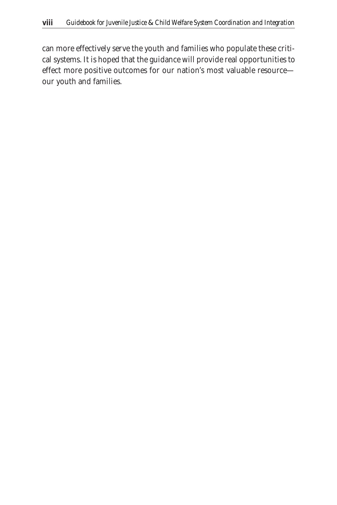can more effectively serve the youth and families who populate these critical systems. It is hoped that the guidance will provide real opportunities to effect more positive outcomes for our nation's most valuable resource our youth and families.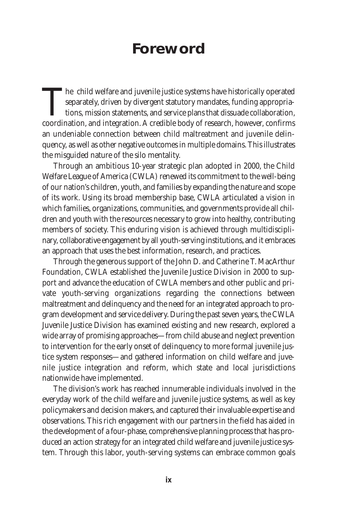## **Foreword**

The child welfare and juvenile justice systems have historically operated<br>separately, driven by divergent statutory mandates, funding appropria-<br>tions, mission statements, and service plans that dissuade collaboration,<br>coo separately, driven by divergent statutory mandates, funding appropriations, mission statements, and service plans that dissuade collaboration, coordination, and integration. A credible body of research, however, confirms an undeniable connection between child maltreatment and juvenile delinquency, as well as other negative outcomes in multiple domains. This illustrates the misguided nature of the silo mentality.

Through an ambitious 10-year strategic plan adopted in 2000, the Child Welfare League of America (CWLA) renewed its commitment to the well-being of our nation's children, youth, and families by expanding the nature and scope of its work. Using its broad membership base, CWLA articulated a vision in which families, organizations, communities, and governments provide all children and youth with the resources necessary to grow into healthy, contributing members of society. This enduring vision is achieved through multidisciplinary, collaborative engagement by all youth-serving institutions, and it embraces an approach that uses the best information, research, and practices.

Through the generous support of the John D. and Catherine T. MacArthur Foundation, CWLA established the Juvenile Justice Division in 2000 to support and advance the education of CWLA members and other public and private youth-serving organizations regarding the connections between maltreatment and delinquency and the need for an integrated approach to program development and service delivery. During the past seven years, the CWLA Juvenile Justice Division has examined existing and new research, explored a wide array of promising approaches—from child abuse and neglect prevention to intervention for the early onset of delinquency to more formal juvenile justice system responses—and gathered information on child welfare and juvenile justice integration and reform, which state and local jurisdictions nationwide have implemented.

The division's work has reached innumerable individuals involved in the everyday work of the child welfare and juvenile justice systems, as well as key policymakers and decision makers, and captured their invaluable expertise and observations. This rich engagement with our partners in the field has aided in the development of a four-phase, comprehensive planning process that has produced an action strategy for an integrated child welfare and juvenile justice system. Through this labor, youth-serving systems can embrace common goals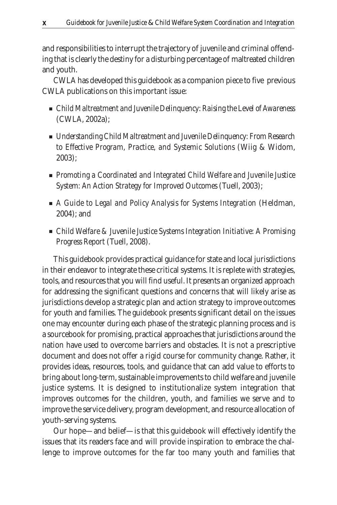and responsibilities to interrupt the trajectory of juvenile and criminal offending that is clearly the destiny for a disturbing percentage of maltreated children and youth.

CWLA has developed this guidebook as a companion piece to five previous CWLA publications on this important issue:

- *Child Maltreatment and Juvenile Delinguency: Raising the Level of Awareness* (CWLA, 2002a);
- *Understanding Child Maltreatment and Juvenile Delinguency: From Research to Effective Program, Practice, and Systemic Solutions* (Wiig & Widom, 2003);
- *Promoting a Coordinated and Integrated Child Welfare and Juvenile Justice System: An Action Strategy for Improved Outcomes* (Tuell, 2003);
- *A Guide to Legal and Policy Analysis for Systems Integration* (Heldman, 2004); and
- *Child Welfare & Juvenile Justice Systems Integration Initiative: A Promising Progress Report* (Tuell, 2008).

This guidebook provides practical guidance for state and local jurisdictions in their endeavor to integrate these critical systems. It is replete with strategies, tools, and resources that you will find useful. It presents an organized approach for addressing the significant questions and concerns that will likely arise as jurisdictions develop a strategic plan and action strategy to improve outcomes for youth and families. The guidebook presents significant detail on the issues one may encounter during each phase of the strategic planning process and is a sourcebook for promising, practical approaches that jurisdictions around the nation have used to overcome barriers and obstacles. It is not a prescriptive document and does not offer a rigid course for community change. Rather, it provides ideas, resources, tools, and guidance that can add value to efforts to bring about long-term, sustainable improvements to child welfare and juvenile justice systems. It is designed to institutionalize system integration that improves outcomes for the children, youth, and families we serve and to improve the service delivery, program development, and resource allocation of youth-serving systems.

Our hope—and belief—is that this guidebook will effectively identify the issues that its readers face and will provide inspiration to embrace the challenge to improve outcomes for the far too many youth and families that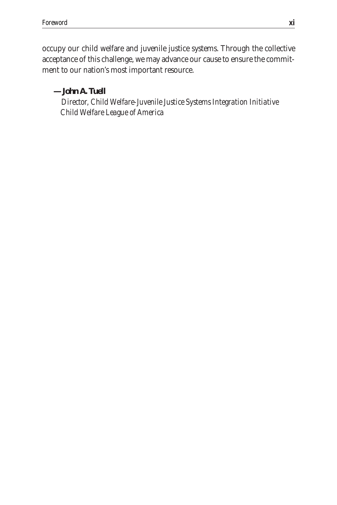occupy our child welfare and juvenile justice systems. Through the collective acceptance of this challenge, we may advance our cause to ensure the commitment to our nation's most important resource.

*—John A. Tuell*

*Director, Child Welfare-Juvenile Justice Systems Integration Initiative Child Welfare League of America*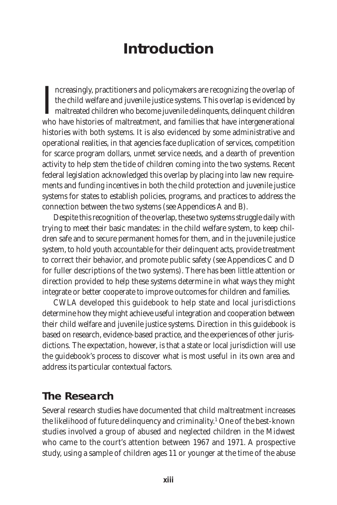## **Introduction**

 $\prod_{\text{whc}}$ ncreasingly, practitioners and policymakers are recognizing the overlap of the child welfare and juvenile justice systems. This overlap is evidenced by maltreated children who become juvenile delinquents, delinquent children who have histories of maltreatment, and families that have intergenerational histories with both systems. It is also evidenced by some administrative and operational realities, in that agencies face duplication of services, competition for scarce program dollars, unmet service needs, and a dearth of prevention activity to help stem the tide of children coming into the two systems. Recent federal legislation acknowledged this overlap by placing into law new requirements and funding incentives in both the child protection and juvenile justice systems for states to establish policies, programs, and practices to address the connection between the two systems (see Appendices A and B).

Despite this recognition of the overlap, these two systems struggle daily with trying to meet their basic mandates: in the child welfare system, to keep children safe and to secure permanent homes for them, and in the juvenile justice system, to hold youth accountable for their delinquent acts, provide treatment to correct their behavior, and promote public safety (see Appendices C and D for fuller descriptions of the two systems). There has been little attention or direction provided to help these systems determine in what ways they might integrate or better cooperate to improve outcomes for children and families.

CWLA developed this guidebook to help state and local jurisdictions determine how they might achieve useful integration and cooperation between their child welfare and juvenile justice systems. Direction in this guidebook is based on research, evidence-based practice, and the experiences of other jurisdictions. The expectation, however, is that a state or local jurisdiction will use the guidebook's process to discover what is most useful in its own area and address its particular contextual factors.

#### **The Research**

Several research studies have documented that child maltreatment increases the likelihood of future delinquency and criminality.1 One of the best-known studies involved a group of abused and neglected children in the Midwest who came to the court's attention between 1967 and 1971. A prospective study, using a sample of children ages 11 or younger at the time of the abuse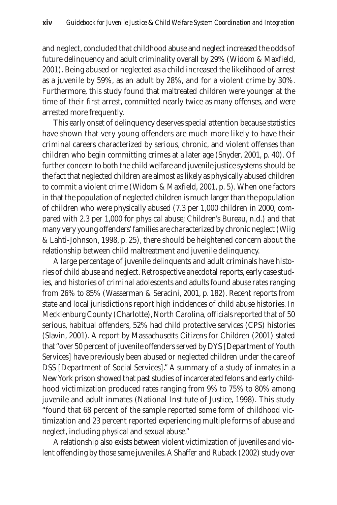and neglect, concluded that childhood abuse and neglect increased the odds of future delinquency and adult criminality overall by 29% (Widom & Maxfield, 2001). Being abused or neglected as a child increased the likelihood of arrest as a juvenile by 59%, as an adult by 28%, and for a violent crime by 30%. Furthermore, this study found that maltreated children were younger at the time of their first arrest, committed nearly twice as many offenses, and were arrested more frequently.

This early onset of delinquency deserves special attention because statistics have shown that very young offenders are much more likely to have their criminal careers characterized by serious, chronic, and violent offenses than children who begin committing crimes at a later age (Snyder, 2001, p. 40). Of further concern to both the child welfare and juvenile justice systems should be the fact that neglected children are almost as likely as physically abused children to commit a violent crime (Widom & Maxfield, 2001, p. 5). When one factors in that the population of neglected children is much larger than the population of children who were physically abused (7.3 per 1,000 children in 2000, compared with 2.3 per 1,000 for physical abuse; Children's Bureau, n.d.) and that many very young offenders' families are characterized by chronic neglect (Wiig & Lahti-Johnson, 1998, p. 25), there should be heightened concern about the relationship between child maltreatment and juvenile delinquency.

A large percentage of juvenile delinquents and adult criminals have histories of child abuse and neglect. Retrospective anecdotal reports, early case studies, and histories of criminal adolescents and adults found abuse rates ranging from 26% to 85% (Wasserman & Seracini, 2001, p. 182). Recent reports from state and local jurisdictions report high incidences of child abuse histories. In Mecklenburg County (Charlotte), North Carolina, officials reported that of 50 serious, habitual offenders, 52% had child protective services (CPS) histories (Slavin, 2001). A report by Massachusetts Citizens for Children (2001) stated that "over 50 percent of juvenile offenders served by DYS [Department of Youth Services] have previously been abused or neglected children under the care of DSS [Department of Social Services]." A summary of a study of inmates in a New York prison showed that past studies of incarcerated felons and early childhood victimization produced rates ranging from 9% to 75% to 80% among juvenile and adult inmates (National Institute of Justice, 1998). This study "found that 68 percent of the sample reported some form of childhood victimization and 23 percent reported experiencing multiple forms of abuse and neglect, including physical and sexual abuse."

A relationship also exists between violent victimization of juveniles and violent offending by those same juveniles. A Shaffer and Ruback (2002) study over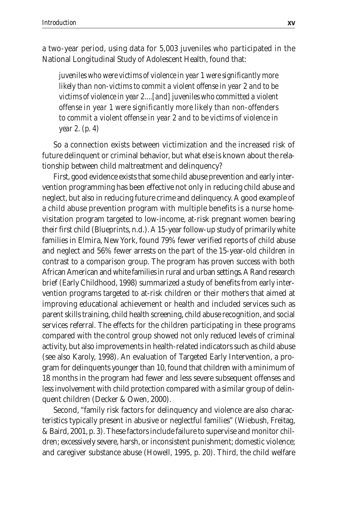#### a two-year period, using data for 5,003 juveniles who participated in the National Longitudinal Study of Adolescent Health, found that:

*juveniles who were victims of violence in year 1 were significantly more likely than non-victims to commit a violent offense in year 2 and to be victims of violence in year 2....[and] juveniles who committed a violent offense in year 1 were significantly more likely than non-offenders to commit a violent offense in year 2 and to be victims of violence in year 2. (p. 4)*

So a connection exists between victimization and the increased risk of future delinquent or criminal behavior, but what else is known about the relationship between child maltreatment and delinquency?

First, good evidence exists that some child abuse prevention and early intervention programming has been effective not only in reducing child abuse and neglect, but also in reducing future crime and delinquency. A good example of a child abuse prevention program with multiple benefits is a nurse homevisitation program targeted to low-income, at-risk pregnant women bearing their first child (Blueprints, n.d.). A 15-year follow-up study of primarily white families in Elmira, New York, found 79% fewer verified reports of child abuse and neglect and 56% fewer arrests on the part of the 15-year-old children in contrast to a comparison group. The program has proven success with both African American and white families in rural and urban settings. A Rand research brief (Early Childhood, 1998) summarized a study of benefits from early intervention programs targeted to at-risk children or their mothers that aimed at improving educational achievement or health and included services such as parent skills training, child health screening, child abuse recognition, and social services referral. The effects for the children participating in these programs compared with the control group showed not only reduced levels of criminal activity, but also improvements in health-related indicators such as child abuse (see also Karoly, 1998). An evaluation of Targeted Early Intervention, a program for delinquents younger than 10, found that children with a minimum of 18 months in the program had fewer and less severe subsequent offenses and less involvement with child protection compared with a similar group of delinquent children (Decker & Owen, 2000).

Second, "family risk factors for delinquency and violence are also characteristics typically present in abusive or neglectful families" (Wiebush, Freitag, & Baird, 2001, p. 3). These factors include failure to supervise and monitor children; excessively severe, harsh, or inconsistent punishment; domestic violence; and caregiver substance abuse (Howell, 1995, p. 20). Third, the child welfare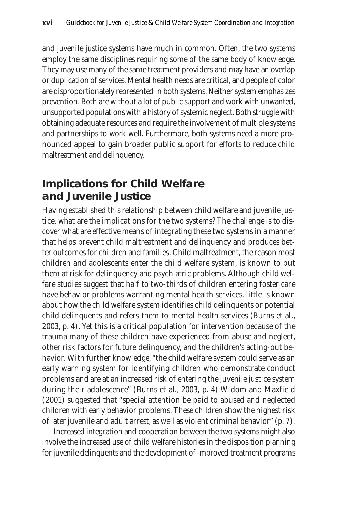and juvenile justice systems have much in common. Often, the two systems employ the same disciplines requiring some of the same body of knowledge. They may use many of the same treatment providers and may have an overlap or duplication of services. Mental health needs are critical, and people of color are disproportionately represented in both systems. Neither system emphasizes prevention. Both are without a lot of public support and work with unwanted, unsupported populations with a history of systemic neglect. Both struggle with obtaining adequate resources and require the involvement of multiple systems and partnerships to work well. Furthermore, both systems need a more pronounced appeal to gain broader public support for efforts to reduce child maltreatment and delinquency.

#### **Implications for Child Welfare and Juvenile Justice**

Having established this relationship between child welfare and juvenile justice, what are the implications for the two systems? The challenge is to discover what are effective means of integrating these two systems in a manner that helps prevent child maltreatment and delinquency and produces better outcomes for children and families. Child maltreatment, the reason most children and adolescents enter the child welfare system, is known to put them at risk for delinquency and psychiatric problems. Although child welfare studies suggest that half to two-thirds of children entering foster care have behavior problems warranting mental health services, little is known about how the child welfare system identifies child delinquents or potential child delinquents and refers them to mental health services (Burns et al., 2003, p. 4). Yet this is a critical population for intervention because of the trauma many of these children have experienced from abuse and neglect, other risk factors for future delinquency, and the children's acting-out behavior. With further knowledge, "the child welfare system could serve as an early warning system for identifying children who demonstrate conduct problems and are at an increased risk of entering the juvenile justice system during their adolescence" (Burns et al., 2003, p. 4) Widom and Maxfield (2001) suggested that "special attention be paid to abused and neglected children with early behavior problems. These children show the highest risk of later juvenile and adult arrest, as well as violent criminal behavior" (p. 7).

Increased integration and cooperation between the two systems might also involve the increased use of child welfare histories in the disposition planning for juvenile delinquents and the development of improved treatment programs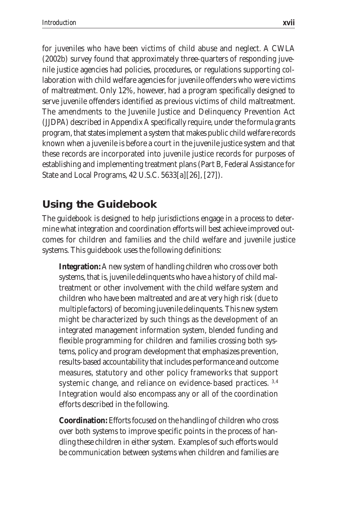for juveniles who have been victims of child abuse and neglect. A CWLA (2002b) survey found that approximately three-quarters of responding juvenile justice agencies had policies, procedures, or regulations supporting collaboration with child welfare agencies for juvenile offenders who were victims of maltreatment. Only 12%, however, had a program specifically designed to serve juvenile offenders identified as previous victims of child maltreatment. The amendments to the Juvenile Justice and Delinquency Prevention Act (JJDPA) described in Appendix A specifically require, under the formula grants program, that states implement a system that makes public child welfare records known when a juvenile is before a court in the juvenile justice system and that these records are incorporated into juvenile justice records for purposes of establishing and implementing treatment plans (Part B, Federal Assistance for State and Local Programs, 42 U.S.C. 5633[a][26], [27]).

#### **Using the Guidebook**

The guidebook is designed to help jurisdictions engage in a process to determine what integration and coordination efforts will best achieve improved outcomes for children and families and the child welfare and juvenile justice systems. This guidebook uses the following definitions:

**Integration:** A new system of handling children who cross over both systems, that is, juvenile delinquents who have a history of child maltreatment or other involvement with the child welfare system and children who have been maltreated and are at very high risk (due to multiple factors) of becoming juvenile delinquents. This new system might be characterized by such things as the development of an integrated management information system, blended funding and flexible programming for children and families crossing both systems, policy and program development that emphasizes prevention, results-based accountability that includes performance and outcome measures, statutory and other policy frameworks that support systemic change, and reliance on evidence-based practices. 3,4 Integration would also encompass any or all of the coordination efforts described in the following.

**Coordination:** Efforts focused on the handling of children who cross over both systems to improve specific points in the process of handling these children in either system. Examples of such efforts would be communication between systems when children and families are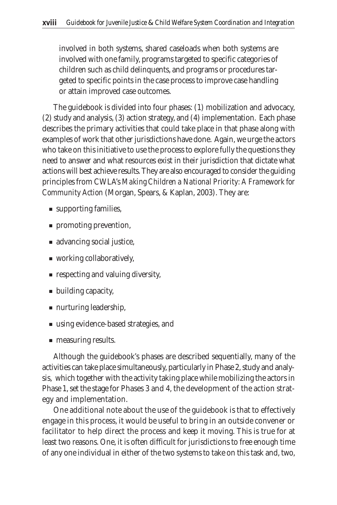involved in both systems, shared caseloads when both systems are involved with one family, programs targeted to specific categories of children such as child delinquents, and programs or procedures targeted to specific points in the case process to improve case handling or attain improved case outcomes.

The guidebook is divided into four phases: (1) mobilization and advocacy, (2) study and analysis, (3) action strategy, and (4) implementation. Each phase describes the primary activities that could take place in that phase along with examples of work that other jurisdictions have done. Again, we urge the actors who take on this initiative to use the process to explore fully the questions they need to answer and what resources exist in their jurisdiction that dictate what actions will best achieve results. They are also encouraged to consider the guiding principles from CWLA's *Making Children a National Priority: A Framework for Community Action* (Morgan, Spears, & Kaplan, 2003). They are:

- supporting families,
- promoting prevention,
- advancing social justice,
- working collaboratively,
- respecting and valuing diversity,
- building capacity,
- nurturing leadership,
- using evidence-based strategies, and
- measuring results.

Although the guidebook's phases are described sequentially, many of the activities can take place simultaneously, particularly in Phase 2, study and analysis, which together with the activity taking place while mobilizing the actors in Phase 1, set the stage for Phases 3 and 4, the development of the action strategy and implementation.

One additional note about the use of the guidebook is that to effectively engage in this process, it would be useful to bring in an outside convener or facilitator to help direct the process and keep it moving. This is true for at least two reasons. One, it is often difficult for jurisdictions to free enough time of any one individual in either of the two systems to take on this task and, two,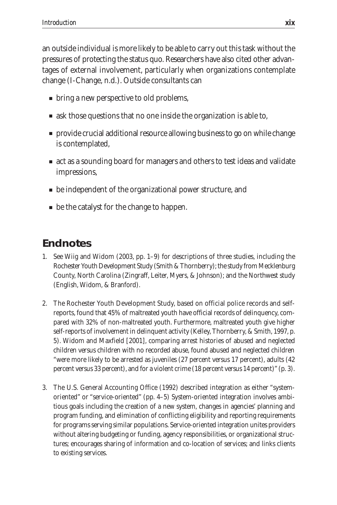an outside individual is more likely to be able to carry out this task without the pressures of protecting the status quo. Researchers have also cited other advantages of external involvement, particularly when organizations contemplate change (I-Change, n.d.). Outside consultants can

- bring a new perspective to old problems,
- ask those questions that no one inside the organization is able to,
- provide crucial additional resource allowing business to go on while change is contemplated,
- act as a sounding board for managers and others to test ideas and validate impressions,
- be independent of the organizational power structure, and
- be the catalyst for the change to happen.

#### **Endnotes**

- 1. See Wiig and Widom (2003, pp. 1–9) for descriptions of three studies, including the Rochester Youth Development Study (Smith & Thornberry); the study from Mecklenburg County, North Carolina (Zingraff, Leiter, Myers, & Johnson); and the Northwest study (English, Widom, & Branford).
- 2. The Rochester Youth Development Study, based on official police records and selfreports, found that 45% of maltreated youth have official records of delinquency, compared with 32% of non-maltreated youth. Furthermore, maltreated youth give higher self-reports of involvement in delinquent activity (Kelley, Thornberry, & Smith, 1997, p. 5). Widom and Maxfield [2001], comparing arrest histories of abused and neglected children versus children with no recorded abuse, found abused and neglected children "were more likely to be arrested as juveniles (27 percent versus 17 percent), adults (42 percent versus 33 percent), and for a violent crime (18 percent versus 14 percent)" (p. 3).
- 3. The U.S. General Accounting Office (1992) described integration as either "systemoriented" or "service-oriented" (pp. 4–5) System-oriented integration involves ambitious goals including the creation of a new system, changes in agencies' planning and program funding, and elimination of conflicting eligibility and reporting requirements for programs serving similar populations. Service-oriented integration unites providers without altering budgeting or funding, agency responsibilities, or organizational structures; encourages sharing of information and co-location of services; and links clients to existing services.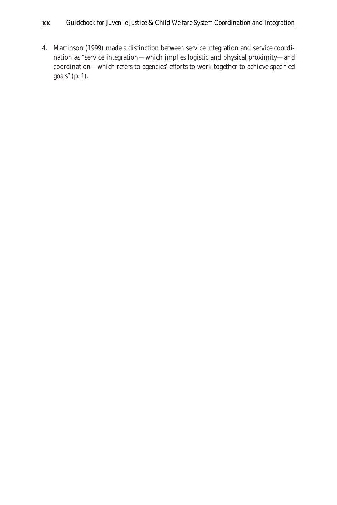4. Martinson (1999) made a distinction between service integration and service coordination as "service integration—which implies logistic and physical proximity—and coordination—which refers to agencies' efforts to work together to achieve specified goals" (p. 1).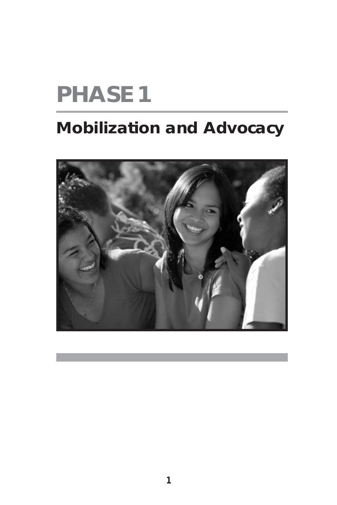# **PHASE 1**

## **Mobilization and Advocacy**

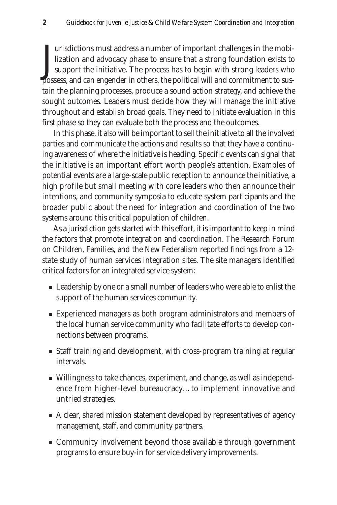J<sub>noss</sub> urisdictions must address a number of important challenges in the mobilization and advocacy phase to ensure that a strong foundation exists to support the initiative. The process has to begin with strong leaders who possess, and can engender in others, the political will and commitment to sustain the planning processes, produce a sound action strategy, and achieve the sought outcomes. Leaders must decide how they will manage the initiative throughout and establish broad goals. They need to initiate evaluation in this first phase so they can evaluate both the process and the outcomes.

In this phase, it also will be important to sell the initiative to all the involved parties and communicate the actions and results so that they have a continuing awareness of where the initiative is heading. Specific events can signal that the initiative is an important effort worth people's attention. Examples of potential events are a large-scale public reception to announce the initiative, a high profile but small meeting with core leaders who then announce their intentions, and community symposia to educate system participants and the broader public about the need for integration and coordination of the two systems around this critical population of children.

As a jurisdiction gets started with this effort, it is important to keep in mind the factors that promote integration and coordination. The Research Forum on Children, Families, and the New Federalism reported findings from a 12 state study of human services integration sites. The site managers identified critical factors for an integrated service system:

- Leadership by one or a small number of leaders who were able to enlist the support of the human services community.
- Experienced managers as both program administrators and members of the local human service community who facilitate efforts to develop connections between programs.
- Staff training and development, with cross-program training at regular intervals.
- Willingness to take chances, experiment, and change, as well as independence from higher-level bureaucracy…to implement innovative and untried strategies.
- A clear, shared mission statement developed by representatives of agency management, staff, and community partners.
- Community involvement beyond those available through government programs to ensure buy-in for service delivery improvements.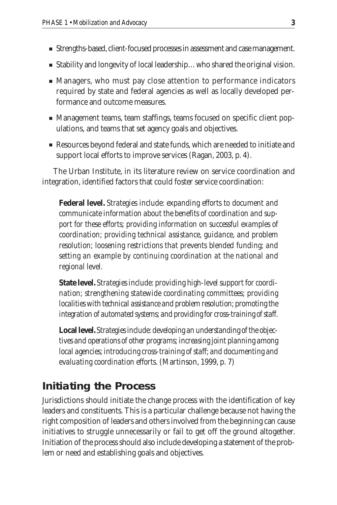- Strengths-based, client-focused processes in assessment and case management.
- Stability and longevity of local leadership...who shared the original vision.
- Managers, who must pay close attention to performance indicators required by state and federal agencies as well as locally developed performance and outcome measures.
- Management teams, team staffings, teams focused on specific client populations, and teams that set agency goals and objectives.
- Resources beyond federal and state funds, which are needed to initiate and support local efforts to improve services (Ragan, 2003, p. 4).

The Urban Institute, in its literature review on service coordination and integration, identified factors that could foster service coordination:

**Federal level.** *Strategies include: expanding efforts to document and communicate information about the benefits of coordination and support for these efforts; providing information on successful examples of coordination; providing technical assistance, guidance, and problem resolution; loosening restrictions that prevents blended funding; and setting an example by continuing coordination at the national and regional level.*

**State level.** *Strategies include: providing high-level support for coordination; strengthening statewide coordinating committees; providing localities with technical assistance and problem resolution; promoting the integration of automated systems; and providing for cross-training of staff.*

**Local level.** *Strategies include: developing an understanding of the objectives and operations of other programs; increasing joint planning among local agencies; introducing cross-training of staff; and documenting and evaluating coordination efforts.* (Martinson, 1999, p. 7)

#### **Initiating the Process**

Jurisdictions should initiate the change process with the identification of key leaders and constituents. This is a particular challenge because not having the right composition of leaders and others involved from the beginning can cause initiatives to struggle unnecessarily or fail to get off the ground altogether. Initiation of the process should also include developing a statement of the problem or need and establishing goals and objectives.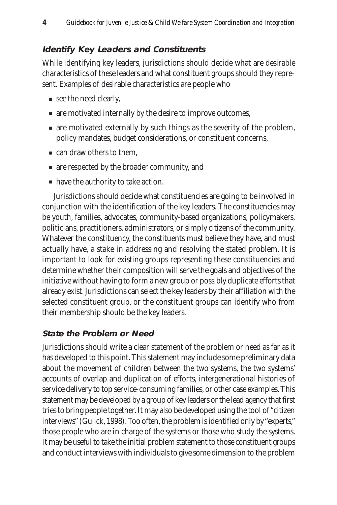#### **Identify Key Leaders and Constituents**

While identifying key leaders, jurisdictions should decide what are desirable characteristics of these leaders and what constituent groups should they represent. Examples of desirable characteristics are people who

- see the need clearly,
- are motivated internally by the desire to improve outcomes,
- are motivated externally by such things as the severity of the problem, policy mandates, budget considerations, or constituent concerns,
- can draw others to them.
- are respected by the broader community, and
- have the authority to take action.

Jurisdictions should decide what constituencies are going to be involved in conjunction with the identification of the key leaders. The constituencies may be youth, families, advocates, community-based organizations, policymakers, politicians, practitioners, administrators, or simply citizens of the community. Whatever the constituency, the constituents must believe they have, and must actually have, a stake in addressing and resolving the stated problem. It is important to look for existing groups representing these constituencies and determine whether their composition will serve the goals and objectives of the initiative without having to form a new group or possibly duplicate efforts that already exist. Jurisdictions can select the key leaders by their affiliation with the selected constituent group, or the constituent groups can identify who from their membership should be the key leaders.

#### **State the Problem or Need**

Jurisdictions should write a clear statement of the problem or need as far as it has developed to this point. This statement may include some preliminary data about the movement of children between the two systems, the two systems' accounts of overlap and duplication of efforts, intergenerational histories of service delivery to top service-consuming families, or other case examples. This statement may be developed by a group of key leaders or the lead agency that first tries to bring people together. It may also be developed using the tool of "citizen interviews" (Gulick, 1998). Too often, the problem is identified only by "experts," those people who are in charge of the systems or those who study the systems. It may be useful to take the initial problem statement to those constituent groups and conduct interviews with individuals to give some dimension to the problem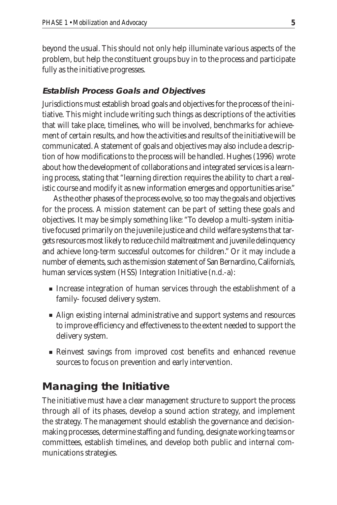beyond the usual. This should not only help illuminate various aspects of the problem, but help the constituent groups buy in to the process and participate fully as the initiative progresses.

#### **Establish Process Goals and Objectives**

Jurisdictions must establish broad goals and objectives for the process of the initiative. This might include writing such things as descriptions of the activities that will take place, timelines, who will be involved, benchmarks for achievement of certain results, and how the activities and results of the initiative will be communicated. A statement of goals and objectives may also include a description of how modifications to the process will be handled. Hughes (1996) wrote about how the development of collaborations and integrated services is a learning process, stating that "learning direction requires the ability to chart a realistic course and modify it as new information emerges and opportunities arise."

As the other phases of the process evolve, so too may the goals and objectives for the process. A mission statement can be part of setting these goals and objectives. It may be simply something like: "To develop a multi-system initiative focused primarily on the juvenile justice and child welfare systems that targets resources most likely to reduce child maltreatment and juvenile delinquency and achieve long-term successful outcomes for children." Or it may include a number of elements, such as the mission statement of San Bernardino, California's, human services system (HSS) Integration Initiative (n.d.-a):

- Increase integration of human services through the establishment of a family- focused delivery system.
- Align existing internal administrative and support systems and resources to improve efficiency and effectiveness to the extent needed to support the delivery system.
- Reinvest savings from improved cost benefits and enhanced revenue sources to focus on prevention and early intervention.

#### **Managing the Initiative**

The initiative must have a clear management structure to support the process through all of its phases, develop a sound action strategy, and implement the strategy. The management should establish the governance and decisionmaking processes, determine staffing and funding, designate working teams or committees, establish timelines, and develop both public and internal communications strategies.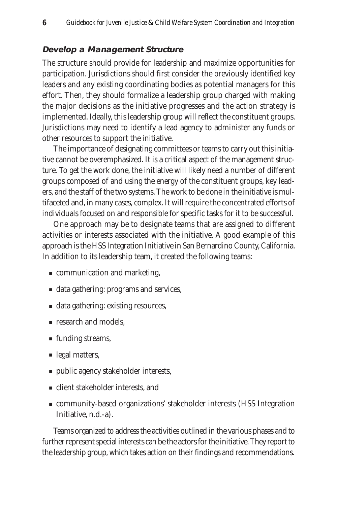#### **Develop a Management Structure**

The structure should provide for leadership and maximize opportunities for participation. Jurisdictions should first consider the previously identified key leaders and any existing coordinating bodies as potential managers for this effort. Then, they should formalize a leadership group charged with making the major decisions as the initiative progresses and the action strategy is implemented. Ideally, this leadership group will reflect the constituent groups. Jurisdictions may need to identify a lead agency to administer any funds or other resources to support the initiative.

The importance of designating committees or teams to carry out this initiative cannot be overemphasized. It is a critical aspect of the management structure. To get the work done, the initiative will likely need a number of different groups composed of and using the energy of the constituent groups, key leaders, and the staff of the two systems. The work to be done in the initiative is multifaceted and, in many cases, complex. It will require the concentrated efforts of individuals focused on and responsible for specific tasks for it to be successful.

One approach may be to designate teams that are assigned to different activities or interests associated with the initiative. A good example of this approach is the HSS Integration Initiative in San Bernardino County, California. In addition to its leadership team, it created the following teams:

- communication and marketing,
- data gathering: programs and services,
- data gathering: existing resources,
- research and models,
- funding streams,
- legal matters,
- public agency stakeholder interests,
- client stakeholder interests, and
- community-based organizations' stakeholder interests (HSS Integration Initiative, n.d.-a).

Teams organized to address the activities outlined in the various phases and to further represent special interests can be the actors for the initiative. They report to the leadership group, which takes action on their findings and recommendations.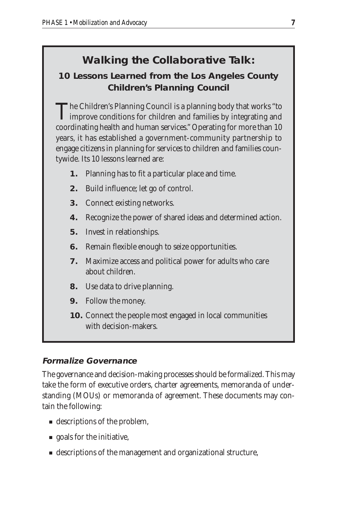### **Walking the Collaborative Talk:**

**10 Lessons Learned from the Los Angeles County Children's Planning Council**

The Children's Planning Council is a planning body that works "to **L** improve conditions for children and families by integrating and coordinating health and human services." Operating for more than 10 years, it has established a government-community partnership to engage citizens in planning for services to children and families countywide. Its 10 lessons learned are:

- **1.** Planning has to fit a particular place and time.
- **2.** Build influence; let go of control.
- **3.** Connect existing networks.
- **4.** Recognize the power of shared ideas and determined action.
- **5.** Invest in relationships.
- **6.** Remain flexible enough to seize opportunities.
- **7.** Maximize access and political power for adults who care about children.
- **8.** Use data to drive planning.
- **9.** Follow the money.
- **10.** Connect the people most engaged in local communities with decision-makers.

#### **Formalize Governance**

The governance and decision-making processes should be formalized. This may take the form of executive orders, charter agreements, memoranda of understanding (MOUs) or memoranda of agreement. These documents may contain the following:

- descriptions of the problem,
- goals for the initiative,
- descriptions of the management and organizational structure,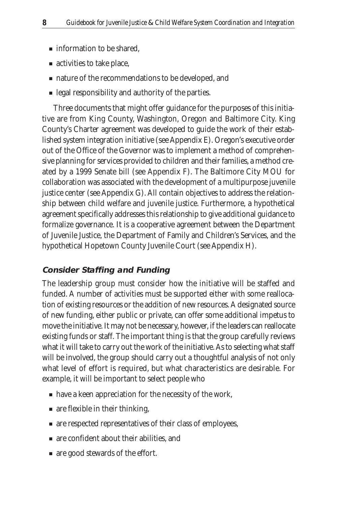- information to be shared,
- activities to take place,
- nature of the recommendations to be developed, and
- legal responsibility and authority of the parties.

Three documents that might offer guidance for the purposes of this initiative are from King County, Washington, Oregon and Baltimore City. King County's Charter agreement was developed to guide the work of their established system integration initiative (see Appendix E). Oregon's executive order out of the Office of the Governor was to implement a method of comprehensive planning for services provided to children and their families, a method created by a 1999 Senate bill (see Appendix F). The Baltimore City MOU for collaboration was associated with the development of a multipurpose juvenile justice center (see Appendix G). All contain objectives to address the relationship between child welfare and juvenile justice. Furthermore, a hypothetical agreement specifically addresses this relationship to give additional guidance to formalize governance. It is a cooperative agreement between the Department of Juvenile Justice, the Department of Family and Children's Services, and the hypothetical Hopetown County Juvenile Court (see Appendix H).

#### **Consider Staffing and Funding**

The leadership group must consider how the initiative will be staffed and funded. A number of activities must be supported either with some reallocation of existing resources or the addition of new resources. A designated source of new funding, either public or private, can offer some additional impetus to move the initiative. It may not be necessary, however, if the leaders can reallocate existing funds or staff. The important thing is that the group carefully reviews what it will take to carry out the work of the initiative. As to selecting what staff will be involved, the group should carry out a thoughtful analysis of not only what level of effort is required, but what characteristics are desirable. For example, it will be important to select people who

- have a keen appreciation for the necessity of the work,
- are flexible in their thinking,
- are respected representatives of their class of employees,
- are confident about their abilities, and
- are good stewards of the effort.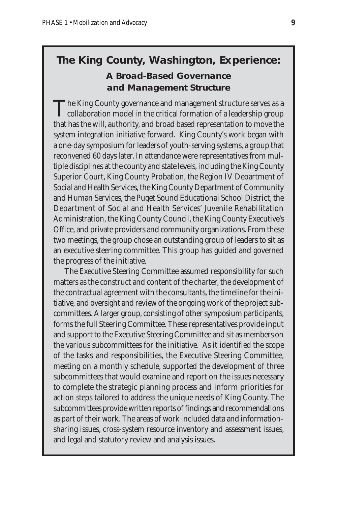**The King County, Washington, Experience: A Broad-Based Governance and Management Structure**

The King County governance and management structure serves as a  $\mathsf L$  collaboration model in the critical formation of a leadership group that has the will, authority, and broad based representation to move the system integration initiative forward. King County's work began with a one-day symposium for leaders of youth-serving systems, a group that reconvened 60 days later. In attendance were representatives from multiple disciplines at the county and state levels, including the King County Superior Court, King County Probation, the Region IV Department of Social and Health Services, the King County Department of Community and Human Services, the Puget Sound Educational School District, the Department of Social and Health Services' Juvenile Rehabilitation Administration, the King County Council, the King County Executive's Office, and private providers and community organizations. From these two meetings, the group chose an outstanding group of leaders to sit as an executive steering committee. This group has guided and governed the progress of the initiative.

The Executive Steering Committee assumed responsibility for such matters as the construct and content of the charter, the development of the contractual agreement with the consultants, the timeline for the initiative, and oversight and review of the ongoing work of the project subcommittees. A larger group, consisting of other symposium participants, forms the full Steering Committee. These representatives provide input and support to the Executive Steering Committee and sit as members on the various subcommittees for the initiative. As it identified the scope of the tasks and responsibilities, the Executive Steering Committee, meeting on a monthly schedule, supported the development of three subcommittees that would examine and report on the issues necessary to complete the strategic planning process and inform priorities for action steps tailored to address the unique needs of King County. The subcommittees provide written reports of findings and recommendations as part of their work. The areas of work included data and informationsharing issues, cross-system resource inventory and assessment issues, and legal and statutory review and analysis issues.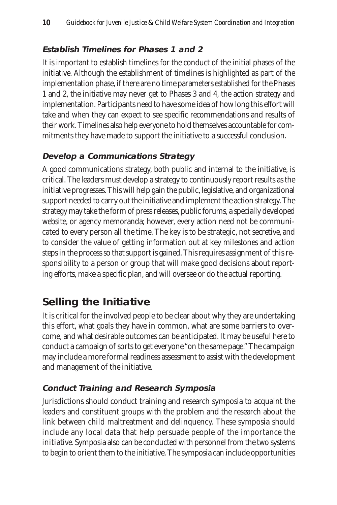#### **Establish Timelines for Phases 1 and 2**

It is important to establish timelines for the conduct of the initial phases of the initiative. Although the establishment of timelines is highlighted as part of the implementation phase, if there are no time parameters established for the Phases 1 and 2, the initiative may never get to Phases 3 and 4, the action strategy and implementation. Participants need to have some idea of how long this effort will take and when they can expect to see specific recommendations and results of their work. Timelines also help everyone to hold themselves accountable for commitments they have made to support the initiative to a successful conclusion.

#### **Develop a Communications Strategy**

A good communications strategy, both public and internal to the initiative, is critical. The leaders must develop a strategy to continuously report results as the initiative progresses. This will help gain the public, legislative, and organizational support needed to carry out the initiative and implement the action strategy. The strategy may take the form of press releases, public forums, a specially developed website, or agency memoranda; however, every action need not be communicated to every person all the time. The key is to be strategic, not secretive, and to consider the value of getting information out at key milestones and action steps in the process so that support is gained. This requires assignment of this responsibility to a person or group that will make good decisions about reporting efforts, make a specific plan, and will oversee or do the actual reporting.

#### **Selling the Initiative**

It is critical for the involved people to be clear about why they are undertaking this effort, what goals they have in common, what are some barriers to overcome, and what desirable outcomes can be anticipated. It may be useful here to conduct a campaign of sorts to get everyone "on the same page." The campaign may include a more formal readiness assessment to assist with the development and management of the initiative.

#### **Conduct Training and Research Symposia**

Jurisdictions should conduct training and research symposia to acquaint the leaders and constituent groups with the problem and the research about the link between child maltreatment and delinquency. These symposia should include any local data that help persuade people of the importance the initiative. Symposia also can be conducted with personnel from the two systems to begin to orient them to the initiative. The symposia can include opportunities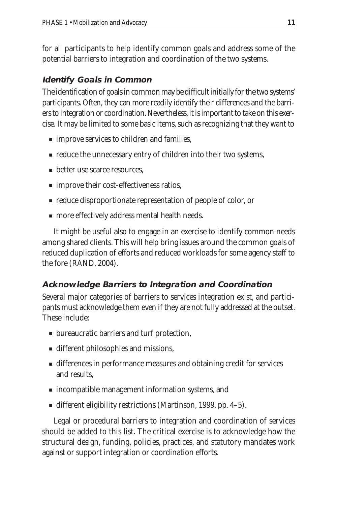for all participants to help identify common goals and address some of the potential barriers to integration and coordination of the two systems.

#### **Identify Goals in Common**

The identification of goals in common may be difficult initially for the two systems' participants. Often, they can more readily identify their differences and the barriers to integration or coordination. Nevertheless, it is important to take on this exercise. It may be limited to some basic items, such as recognizing that they want to

- improve services to children and families,
- reduce the unnecessary entry of children into their two systems,
- better use scarce resources.
- improve their cost-effectiveness ratios,
- reduce disproportionate representation of people of color, or
- more effectively address mental health needs.

It might be useful also to engage in an exercise to identify common needs among shared clients. This will help bring issues around the common goals of reduced duplication of efforts and reduced workloads for some agency staff to the fore (RAND, 2004).

#### **Acknowledge Barriers to Integration and Coordination**

Several major categories of barriers to services integration exist, and participants must acknowledge them even if they are not fully addressed at the outset. These include:

- bureaucratic barriers and turf protection,
- different philosophies and missions,
- differences in performance measures and obtaining credit for services and results,
- incompatible management information systems, and
- different eligibility restrictions (Martinson, 1999, pp. 4–5).

Legal or procedural barriers to integration and coordination of services should be added to this list. The critical exercise is to acknowledge how the structural design, funding, policies, practices, and statutory mandates work against or support integration or coordination efforts.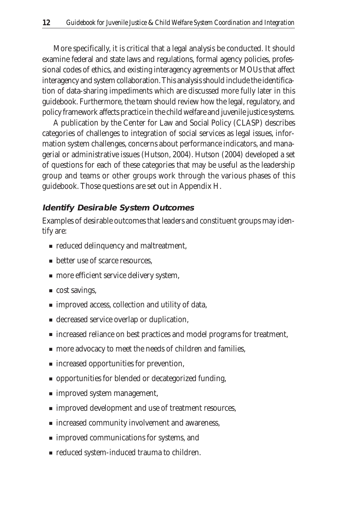More specifically, it is critical that a legal analysis be conducted. It should examine federal and state laws and regulations, formal agency policies, professional codes of ethics, and existing interagency agreements or MOUs that affect interagency and system collaboration. This analysis should include the identification of data-sharing impediments which are discussed more fully later in this guidebook. Furthermore, the team should review how the legal, regulatory, and policy framework affects practice in the child welfare and juvenile justice systems.

A publication by the Center for Law and Social Policy (CLASP) describes categories of challenges to integration of social services as legal issues, information system challenges, concerns about performance indicators, and managerial or administrative issues (Hutson, 2004). Hutson (2004) developed a set of questions for each of these categories that may be useful as the leadership group and teams or other groups work through the various phases of this guidebook. Those questions are set out in Appendix H.

#### **Identify Desirable System Outcomes**

Examples of desirable outcomes that leaders and constituent groups may identify are:

- reduced delinquency and maltreatment,
- better use of scarce resources.
- more efficient service delivery system,
- cost savings,
- improved access, collection and utility of data,
- decreased service overlap or duplication,
- increased reliance on best practices and model programs for treatment,
- more advocacy to meet the needs of children and families,
- increased opportunities for prevention,
- opportunities for blended or decategorized funding,
- improved system management,
- improved development and use of treatment resources,
- increased community involvement and awareness,
- improved communications for systems, and
- reduced system-induced trauma to children.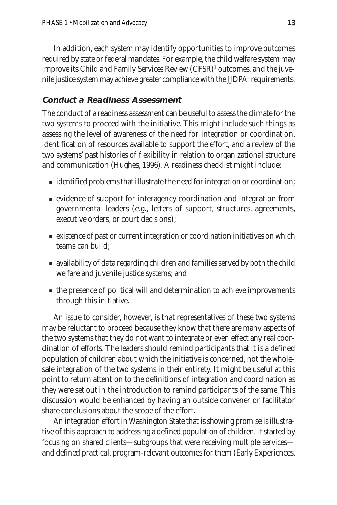In addition, each system may identify opportunities to improve outcomes required by state or federal mandates. For example, the child welfare system may improve its Child and Family Services Review (CFSR)<sup>1</sup> outcomes, and the juvenile justice system may achieve greater compliance with the JJDPA<sup>2</sup> requirements.

#### **Conduct a Readiness Assessment**

The conduct of a readiness assessment can be useful to assess the climate for the two systems to proceed with the initiative. This might include such things as assessing the level of awareness of the need for integration or coordination, identification of resources available to support the effort, and a review of the two systems' past histories of flexibility in relation to organizational structure and communication (Hughes, 1996). A readiness checklist might include:

- identified problems that illustrate the need for integration or coordination;
- evidence of support for interagency coordination and integration from governmental leaders (e.g., letters of support, structures, agreements, executive orders, or court decisions);
- existence of past or current integration or coordination initiatives on which teams can build;
- availability of data regarding children and families served by both the child welfare and juvenile justice systems; and
- the presence of political will and determination to achieve improvements through this initiative.

An issue to consider, however, is that representatives of these two systems may be reluctant to proceed because they know that there are many aspects of the two systems that they do not want to integrate or even effect any real coordination of efforts. The leaders should remind participants that it is a defined population of children about which the initiative is concerned, not the wholesale integration of the two systems in their entirety. It might be useful at this point to return attention to the definitions of integration and coordination as they were set out in the introduction to remind participants of the same. This discussion would be enhanced by having an outside convener or facilitator share conclusions about the scope of the effort.

An integration effort in Washington State that is showing promise is illustrative of this approach to addressing a defined population of children. It started by focusing on shared clients—subgroups that were receiving multiple services and defined practical, program-relevant outcomes for them (Early Experiences,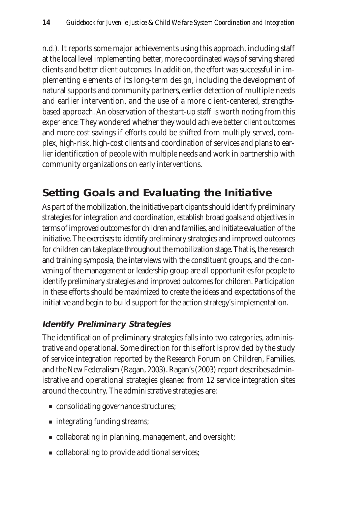n.d.). It reports some major achievements using this approach, including staff at the local level implementing better, more coordinated ways of serving shared clients and better client outcomes. In addition, the effort was successful in implementing elements of its long-term design, including the development of natural supports and community partners, earlier detection of multiple needs and earlier intervention, and the use of a more client-centered, strengthsbased approach. An observation of the start-up staff is worth noting from this experience: They wondered whether they would achieve better client outcomes and more cost savings if efforts could be shifted from multiply served, complex, high-risk, high-cost clients and coordination of services and plans to earlier identification of people with multiple needs and work in partnership with community organizations on early interventions.

### **Setting Goals and Evaluating the Initiative**

As part of the mobilization, the initiative participants should identify preliminary strategies for integration and coordination, establish broad goals and objectives in terms of improved outcomes for children and families, and initiate evaluation of the initiative. The exercises to identify preliminary strategies and improved outcomes for children can take place throughout the mobilization stage. That is, the research and training symposia, the interviews with the constituent groups, and the convening of the management or leadership group are all opportunities for people to identify preliminary strategies and improved outcomes for children. Participation in these efforts should be maximized to create the ideas and expectations of the initiative and begin to build support for the action strategy's implementation.

#### **Identify Preliminary Strategies**

The identification of preliminary strategies falls into two categories, administrative and operational. Some direction for this effort is provided by the study of service integration reported by the Research Forum on Children, Families, and the New Federalism (Ragan, 2003). Ragan's (2003) report describes administrative and operational strategies gleaned from 12 service integration sites around the country. The administrative strategies are:

- consolidating governance structures;
- integrating funding streams;
- collaborating in planning, management, and oversight;
- collaborating to provide additional services;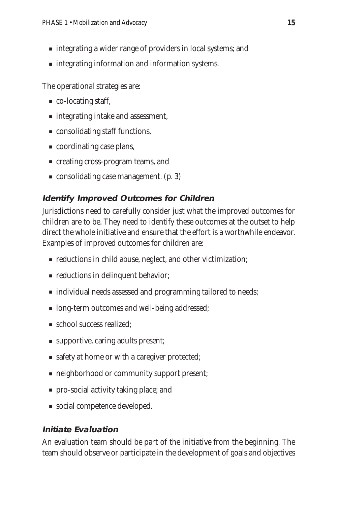- integrating a wider range of providers in local systems; and
- integrating information and information systems.

The operational strategies are:

- co-locating staff,
- integrating intake and assessment,
- consolidating staff functions,
- coordinating case plans,
- creating cross-program teams, and
- consolidating case management. (p. 3)

#### **Identify Improved Outcomes for Children**

Jurisdictions need to carefully consider just what the improved outcomes for children are to be. They need to identify these outcomes at the outset to help direct the whole initiative and ensure that the effort is a worthwhile endeavor. Examples of improved outcomes for children are:

- reductions in child abuse, neglect, and other victimization;
- reductions in delinquent behavior;
- individual needs assessed and programming tailored to needs;
- long-term outcomes and well-being addressed;
- school success realized;
- supportive, caring adults present;
- safety at home or with a caregiver protected;
- neighborhood or community support present;
- pro-social activity taking place; and
- social competence developed.

#### **Initiate Evaluation**

An evaluation team should be part of the initiative from the beginning. The team should observe or participate in the development of goals and objectives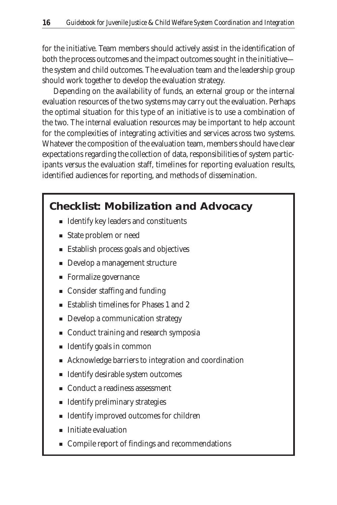for the initiative. Team members should actively assist in the identification of both the process outcomes and the impact outcomes sought in the initiative the system and child outcomes. The evaluation team and the leadership group should work together to develop the evaluation strategy.

Depending on the availability of funds, an external group or the internal evaluation resources of the two systems may carry out the evaluation. Perhaps the optimal situation for this type of an initiative is to use a combination of the two. The internal evaluation resources may be important to help account for the complexities of integrating activities and services across two systems. Whatever the composition of the evaluation team, members should have clear expectations regarding the collection of data, responsibilities of system participants versus the evaluation staff, timelines for reporting evaluation results, identified audiences for reporting, and methods of dissemination.

#### **Checklist: Mobilization and Advocacy**

- Identify key leaders and constituents
- State problem or need
- Establish process goals and objectives
- Develop a management structure
- Formalize governance
- Consider staffing and funding
- Establish timelines for Phases 1 and 2
- Develop a communication strategy
- Conduct training and research symposia
- Identify goals in common
- Acknowledge barriers to integration and coordination
- Identify desirable system outcomes
- Conduct a readiness assessment
- Identify preliminary strategies
- Identify improved outcomes for children
- Initiate evaluation
- Compile report of findings and recommendations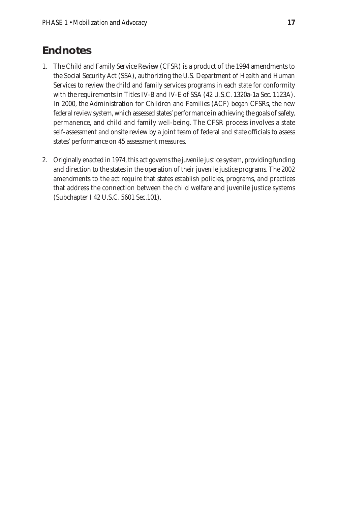#### **Endnotes**

- 1. The Child and Family Service Review (CFSR) is a product of the 1994 amendments to the Social Security Act (SSA), authorizing the U.S. Department of Health and Human Services to review the child and family services programs in each state for conformity with the requirements in Titles IV-B and IV-E of SSA (42 U.S.C. 1320a-1a Sec. 1123A). In 2000, the Administration for Children and Families (ACF) began CFSRs, the new federal review system, which assessed states' performance in achieving the goals of safety, permanence, and child and family well-being. The CFSR process involves a state self-assessment and onsite review by a joint team of federal and state officials to assess states' performance on 45 assessment measures.
- 2. Originally enacted in 1974, this act governs the juvenile justice system, providing funding and direction to the states in the operation of their juvenile justice programs. The 2002 amendments to the act require that states establish policies, programs, and practices that address the connection between the child welfare and juvenile justice systems (Subchapter I 42 U.S.C. 5601 Sec.101).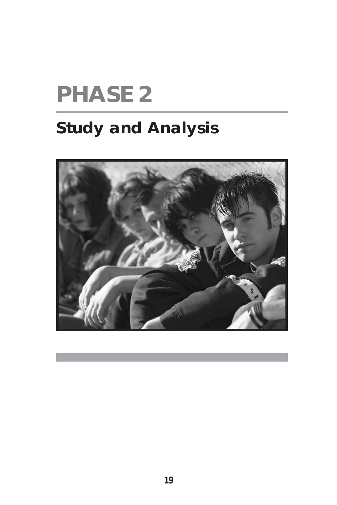# **PHASE 2**

# **Study and Analysis**

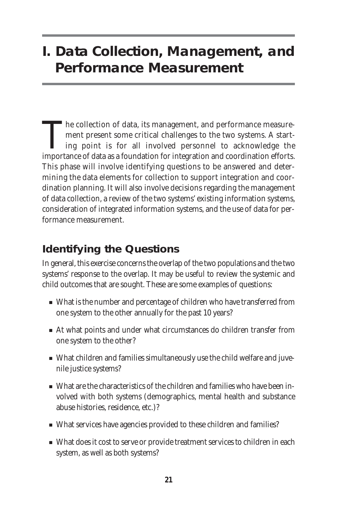# **I. Data Collection, Management, and Performance Measurement**

The collection of data, its management, and performance measurement present some critical challenges to the two systems. A starting point is for all involved personnel to acknowledge the importance of data as a foundation for integration and coordination efforts. This phase will involve identifying questions to be answered and determining the data elements for collection to support integration and coordination planning. It will also involve decisions regarding the management of data collection, a review of the two systems' existing information systems, consideration of integrated information systems, and the use of data for performance measurement.

### **Identifying the Questions**

In general, this exercise concerns the overlap of the two populations and the two systems' response to the overlap. It may be useful to review the systemic and child outcomes that are sought. These are some examples of questions:

- What is the number and percentage of children who have transferred from one system to the other annually for the past 10 years?
- At what points and under what circumstances do children transfer from one system to the other?
- What children and families simultaneously use the child welfare and juvenile justice systems?
- What are the characteristics of the children and families who have been involved with both systems (demographics, mental health and substance abuse histories, residence, etc.)?
- What services have agencies provided to these children and families?
- What does it cost to serve or provide treatment services to children in each system, as well as both systems?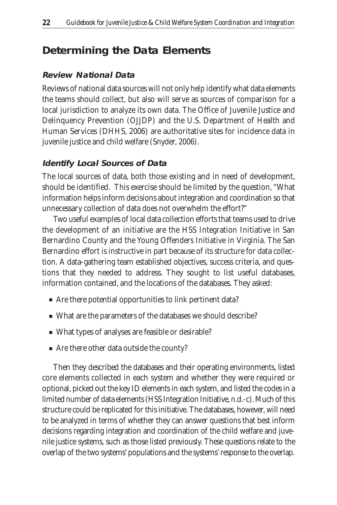### **Determining the Data Elements**

### **Review National Data**

Reviews of national data sources will not only help identify what data elements the teams should collect, but also will serve as sources of comparison for a local jurisdiction to analyze its own data. The Office of Juvenile Justice and Delinquency Prevention (OJJDP) and the U.S. Department of Health and Human Services (DHHS, 2006) are authoritative sites for incidence data in juvenile justice and child welfare (Snyder, 2006).

### **Identify Local Sources of Data**

The local sources of data, both those existing and in need of development, should be identified. This exercise should be limited by the question, "What information helps inform decisions about integration and coordination so that unnecessary collection of data does not overwhelm the effort?"

Two useful examples of local data collection efforts that teams used to drive the development of an initiative are the HSS Integration Initiative in San Bernardino County and the Young Offenders Initiative in Virginia. The San Bernardino effort is instructive in part because of its structure for data collection. A data-gathering team established objectives, success criteria, and questions that they needed to address. They sought to list useful databases, information contained, and the locations of the databases. They asked:

- Are there potential opportunities to link pertinent data?
- What are the parameters of the databases we should describe?
- What types of analyses are feasible or desirable?
- Are there other data outside the county?

Then they described the databases and their operating environments, listed core elements collected in each system and whether they were required or optional, picked out the key ID elements in each system, and listed the codes in a limited number of data elements (HSS Integration Initiative, n.d.-c). Much of this structure could be replicated for this initiative. The databases, however, will need to be analyzed in terms of whether they can answer questions that best inform decisions regarding integration and coordination of the child welfare and juvenile justice systems, such as those listed previously. These questions relate to the overlap of the two systems' populations and the systems' response to the overlap.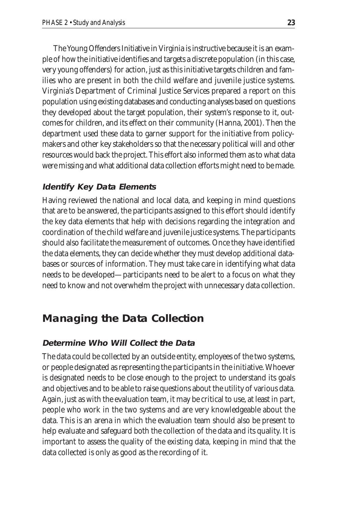The Young Offenders Initiative in Virginia is instructive because it is an example of how the initiative identifies and targets a discrete population (in this case, very young offenders) for action, just as this initiative targets children and families who are present in both the child welfare and juvenile justice systems. Virginia's Department of Criminal Justice Services prepared a report on this population using existing databases and conducting analyses based on questions they developed about the target population, their system's response to it, outcomes for children, and its effect on their community (Hanna, 2001). Then the department used these data to garner support for the initiative from policymakers and other key stakeholders so that the necessary political will and other resources would back the project. This effort also informed them as to what data were missing and what additional data collection efforts might need to be made.

#### **Identify Key Data Elements**

Having reviewed the national and local data, and keeping in mind questions that are to be answered, the participants assigned to this effort should identify the key data elements that help with decisions regarding the integration and coordination of the child welfare and juvenile justice systems. The participants should also facilitate the measurement of outcomes. Once they have identified the data elements, they can decide whether they must develop additional databases or sources of information. They must take care in identifying what data needs to be developed—participants need to be alert to a focus on what they need to know and not overwhelm the project with unnecessary data collection.

### **Managing the Data Collection**

#### **Determine Who Will Collect the Data**

The data could be collected by an outside entity, employees of the two systems, or people designated as representing the participants in the initiative. Whoever is designated needs to be close enough to the project to understand its goals and objectives and to be able to raise questions about the utility of various data. Again, just as with the evaluation team, it may be critical to use, at least in part, people who work in the two systems and are very knowledgeable about the data. This is an arena in which the evaluation team should also be present to help evaluate and safeguard both the collection of the data and its quality. It is important to assess the quality of the existing data, keeping in mind that the data collected is only as good as the recording of it.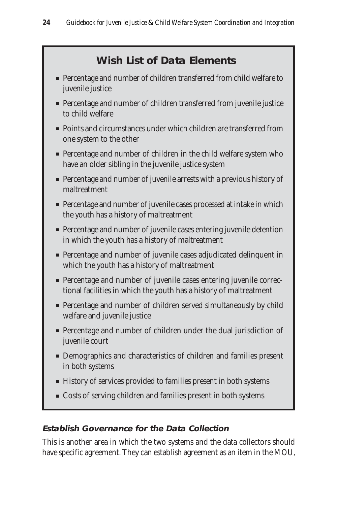### **Wish List of Data Elements**

- Percentage and number of children transferred from child welfare to juvenile justice
- Percentage and number of children transferred from juvenile justice to child welfare
- Points and circumstances under which children are transferred from one system to the other
- Percentage and number of children in the child welfare system who have an older sibling in the juvenile justice system
- Percentage and number of juvenile arrests with a previous history of maltreatment
- Percentage and number of juvenile cases processed at intake in which the youth has a history of maltreatment
- Percentage and number of juvenile cases entering juvenile detention in which the youth has a history of maltreatment
- Percentage and number of juvenile cases adjudicated delinquent in which the youth has a history of maltreatment
- Percentage and number of juvenile cases entering juvenile correctional facilities in which the youth has a history of maltreatment
- Percentage and number of children served simultaneously by child welfare and juvenile justice
- Percentage and number of children under the dual jurisdiction of juvenile court
- Demographics and characteristics of children and families present in both systems
- History of services provided to families present in both systems
- Costs of serving children and families present in both systems

### **Establish Governance for the Data Collection**

This is another area in which the two systems and the data collectors should have specific agreement. They can establish agreement as an item in the MOU,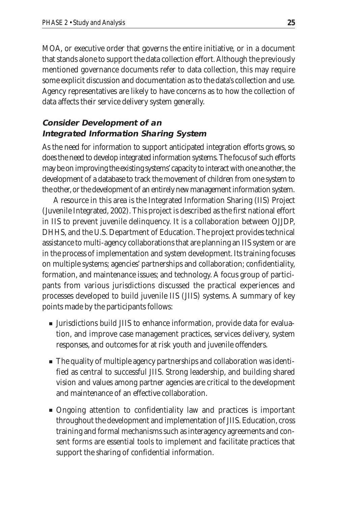MOA, or executive order that governs the entire initiative, or in a document that stands alone to support the data collection effort. Although the previously mentioned governance documents refer to data collection, this may require some explicit discussion and documentation as to the data's collection and use. Agency representatives are likely to have concerns as to how the collection of data affects their service delivery system generally.

### **Consider Development of an Integrated Information Sharing System**

As the need for information to support anticipated integration efforts grows, so does the need to develop integrated information systems. The focus of such efforts may be on improving the existing systems' capacity to interact with one another, the development of a database to track the movement of children from one system to the other, or the development of an entirely new management information system.

A resource in this area is the Integrated Information Sharing (IIS) Project (Juvenile Integrated, 2002). This project is described as the first national effort in IIS to prevent juvenile delinquency. It is a collaboration between OJJDP, DHHS, and the U.S. Department of Education. The project provides technical assistance to multi-agency collaborations that are planning an IIS system or are in the process of implementation and system development. Its training focuses on multiple systems; agencies' partnerships and collaboration; confidentiality, formation, and maintenance issues; and technology. A focus group of participants from various jurisdictions discussed the practical experiences and processes developed to build juvenile IIS (JIIS) systems. A summary of key points made by the participants follows:

- Jurisdictions build JIIS to enhance information, provide data for evaluation, and improve case management practices, services delivery, system responses, and outcomes for at risk youth and juvenile offenders.
- The quality of multiple agency partnerships and collaboration was identified as central to successful JIIS. Strong leadership, and building shared vision and values among partner agencies are critical to the development and maintenance of an effective collaboration.
- Ongoing attention to confidentiality law and practices is important throughout the development and implementation of JIIS. Education, cross training and formal mechanisms such as interagency agreements and consent forms are essential tools to implement and facilitate practices that support the sharing of confidential information.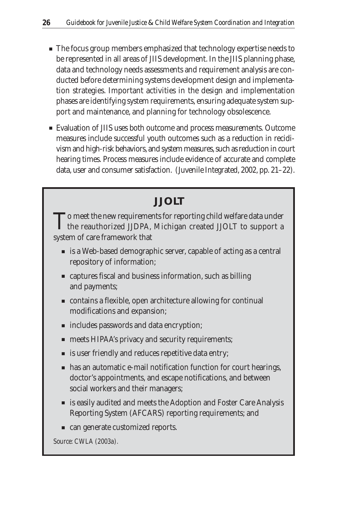- The focus group members emphasized that technology expertise needs to be represented in all areas of JIIS development. In the JIIS planning phase, data and technology needs assessments and requirement analysis are conducted before determining systems development design and implementation strategies. Important activities in the design and implementation phases are identifying system requirements, ensuring adequate system support and maintenance, and planning for technology obsolescence.
- Evaluation of JIIS uses both outcome and process measurements. Outcome measures include successful youth outcomes such as a reduction in recidivism and high-risk behaviors, and system measures, such as reduction in court hearing times. Process measures include evidence of accurate and complete data, user and consumer satisfaction. (Juvenile Integrated, 2002, pp. 21–22).

### **JJOLT**

To meet the new requirements for reporting child welfare data under<br>the reauthorized JJDPA, Michigan created JJOLT to support a system of care framework that

- is a Web-based demographic server, capable of acting as a central repository of information;
- captures fiscal and business information, such as billing and payments;
- contains a flexible, open architecture allowing for continual modifications and expansion;
- includes passwords and data encryption;
- meets HIPAA's privacy and security requirements;
- is user friendly and reduces repetitive data entry;
- has an automatic e-mail notification function for court hearings, doctor's appointments, and escape notifications, and between social workers and their managers;
- is easily audited and meets the Adoption and Foster Care Analysis Reporting System (AFCARS) reporting requirements; and
- can generate customized reports.

*Source: CWLA (2003a).*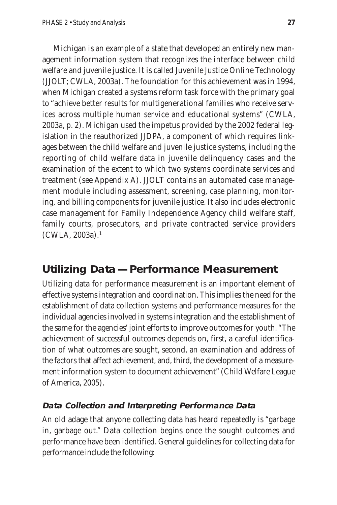Michigan is an example of a state that developed an entirely new management information system that recognizes the interface between child welfare and juvenile justice. It is called Juvenile Justice Online Technology (JJOLT; CWLA, 2003a). The foundation for this achievement was in 1994, when Michigan created a systems reform task force with the primary goal to "achieve better results for multigenerational families who receive services across multiple human service and educational systems" (CWLA, 2003a, p. 2). Michigan used the impetus provided by the 2002 federal legislation in the reauthorized JJDPA, a component of which requires linkages between the child welfare and juvenile justice systems, including the reporting of child welfare data in juvenile delinquency cases and the examination of the extent to which two systems coordinate services and treatment (see Appendix A). JJOLT contains an automated case management module including assessment, screening, case planning, monitoring, and billing components for juvenile justice. It also includes electronic case management for Family Independence Agency child welfare staff, family courts, prosecutors, and private contracted service providers  $(CWLA, 2003a).<sup>1</sup>$ 

### **Utilizing Data— Performance Measurement**

Utilizing data for performance measurement is an important element of effective systems integration and coordination. This implies the need for the establishment of data collection systems and performance measures for the individual agencies involved in systems integration and the establishment of the same for the agencies' joint efforts to improve outcomes for youth. "The achievement of successful outcomes depends on, first, a careful identification of what outcomes are sought, second, an examination and address of the factors that affect achievement, and, third, the development of a measurement information system to document achievement" (Child Welfare League of America, 2005).

#### **Data Collection and Interpreting Performance Data**

An old adage that anyone collecting data has heard repeatedly is "garbage in, garbage out." Data collection begins once the sought outcomes and performance have been identified. General guidelines for collecting data for performance include the following: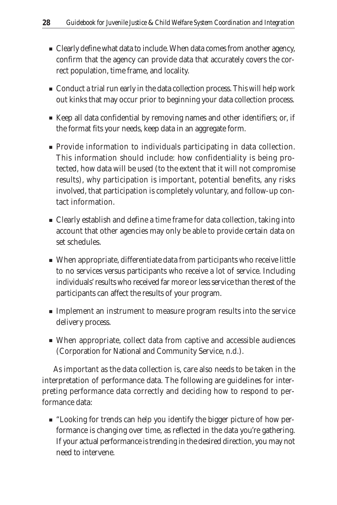- Clearly define what data to include. When data comes from another agency, confirm that the agency can provide data that accurately covers the correct population, time frame, and locality.
- Conduct a trial run early in the data collection process. This will help work out kinks that may occur prior to beginning your data collection process.
- Keep all data confidential by removing names and other identifiers; or, if the format fits your needs, keep data in an aggregate form.
- Provide information to individuals participating in data collection. This information should include: how confidentiality is being protected, how data will be used (to the extent that it will not compromise results), why participation is important, potential benefits, any risks involved, that participation is completely voluntary, and follow-up contact information.
- Clearly establish and define a time frame for data collection, taking into account that other agencies may only be able to provide certain data on set schedules.
- When appropriate, differentiate data from participants who receive little to no services versus participants who receive a lot of service. Including individuals' results who received far more or less service than the rest of the participants can affect the results of your program.
- Implement an instrument to measure program results into the service delivery process.
- When appropriate, collect data from captive and accessible audiences (Corporation for National and Community Service, n.d.).

As important as the data collection is, care also needs to be taken in the interpretation of performance data. The following are guidelines for interpreting performance data correctly and deciding how to respond to performance data:

■ "Looking for trends can help you identify the bigger picture of how performance is changing over time, as reflected in the data you're gathering. If your actual performance is trending in the desired direction, you may not need to intervene.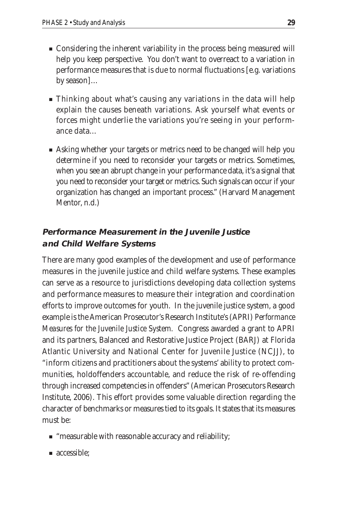- Considering the inherent variability in the process being measured will help you keep perspective. You don't want to overreact to a variation in performance measures that is due to normal fluctuations [e.g. variations by season]…
- Thinking about what's causing any variations in the data will help explain the causes beneath variations. Ask yourself what events or forces might underlie the variations you're seeing in your performance data…
- Asking whether your targets or metrics need to be changed will help you determine if you need to reconsider your targets or metrics. Sometimes, when you see an abrupt change in your performance data, it's a signal that you need to reconsider your target or metrics. Such signals can occur if your organization has changed an important process." (Harvard Management Mentor, n.d.)

### **Performance Measurement in the Juvenile Justice and Child Welfare Systems**

There are many good examples of the development and use of performance measures in the juvenile justice and child welfare systems. These examples can serve as a resource to jurisdictions developing data collection systems and performance measures to measure their integration and coordination efforts to improve outcomes for youth. In the juvenile justice system, a good example is the American Prosecutor's Research Institute's (APRI) *Performance Measures for the Juvenile Justice System.* Congress awarded a grant to APRI and its partners, Balanced and Restorative Justice Project (BARJ) at Florida Atlantic University and National Center for Juvenile Justice (NCJJ), to "inform citizens and practitioners about the systems' ability to protect communities, holdoffenders accountable, and reduce the risk of re-offending through increased competencies in offenders" (American Prosecutors Research Institute, 2006). This effort provides some valuable direction regarding the character of benchmarks or measures tied to its goals. It states that its measures must be:

- "measurable with reasonable accuracy and reliability;
- accessible;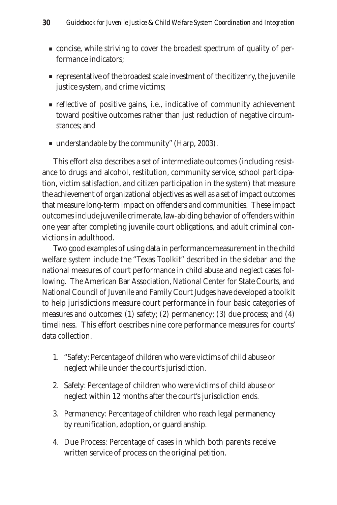- concise, while striving to cover the broadest spectrum of quality of performance indicators;
- representative of the broadest scale investment of the citizenry, the juvenile justice system, and crime victims;
- reflective of positive gains, i.e., indicative of community achievement toward positive outcomes rather than just reduction of negative circumstances; and
- understandable by the community" (Harp, 2003).

This effort also describes a set of intermediate outcomes (including resistance to drugs and alcohol, restitution, community service, school participation, victim satisfaction, and citizen participation in the system) that measure the achievement of organizational objectives as well as a set of impact outcomes that measure long-term impact on offenders and communities. These impact outcomes include juvenile crime rate, law-abiding behavior of offenders within one year after completing juvenile court obligations, and adult criminal convictions in adulthood.

Two good examples of using data in performance measurement in the child welfare system include the "Texas Toolkit" described in the sidebar and the national measures of court performance in child abuse and neglect cases following. The American Bar Association, National Center for State Courts, and National Council of Juvenile and Family Court Judges have developed a toolkit to help jurisdictions measure court performance in four basic categories of measures and outcomes: (1) safety; (2) permanency; (3) due process; and (4) timeliness. This effort describes nine core performance measures for courts' data collection.

- 1. "Safety: Percentage of children who were victims of child abuse or neglect while under the court's jurisdiction.
- 2. Safety: Percentage of children who were victims of child abuse or neglect within 12 months after the court's jurisdiction ends.
- 3. Permanency: Percentage of children who reach legal permanency by reunification, adoption, or guardianship.
- 4. Due Process: Percentage of cases in which both parents receive written service of process on the original petition.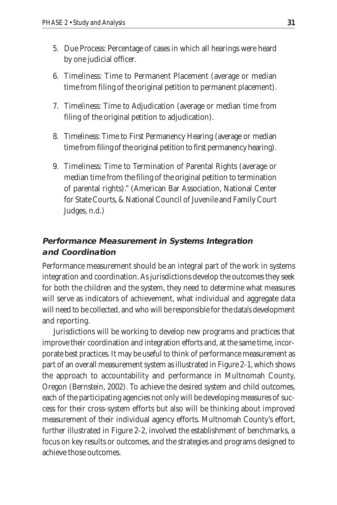- 5. Due Process: Percentage of cases in which all hearings were heard by one judicial officer.
- 6. Timeliness: Time to Permanent Placement (average or median time from filing of the original petition to permanent placement).
- 7. Timeliness: Time to Adjudication (average or median time from filing of the original petition to adjudication).
- 8. Timeliness: Time to First Permanency Hearing (average or median time from filing of the original petition to first permanency hearing).
- 9. Timeliness: Time to Termination of Parental Rights (average or median time from the filing of the original petition to termination of parental rights)." (American Bar Association, National Center for State Courts, & National Council of Juvenile and Family Court Judges, n.d.)

#### **Performance Measurement in Systems Integration and Coordination**

Performance measurement should be an integral part of the work in systems integration and coordination. As jurisdictions develop the outcomes they seek for both the children and the system, they need to determine what measures will serve as indicators of achievement, what individual and aggregate data will need to be collected, and who will be responsible for the data's development and reporting.

Jurisdictions will be working to develop new programs and practices that improve their coordination and integration efforts and, at the same time, incorporate best practices. It may be useful to think of performance measurement as part of an overall measurement system as illustrated in Figure 2-1, which shows the approach to accountability and performance in Multnomah County, Oregon (Bernstein, 2002). To achieve the desired system and child outcomes, each of the participating agencies not only will be developing measures of success for their cross-system efforts but also will be thinking about improved measurement of their individual agency efforts. Multnomah County's effort, further illustrated in Figure 2-2, involved the establishment of benchmarks, a focus on key results or outcomes, and the strategies and programs designed to achieve those outcomes.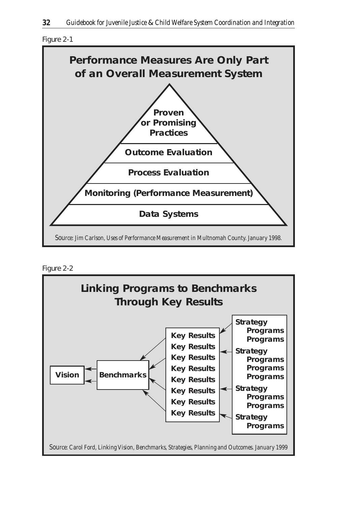





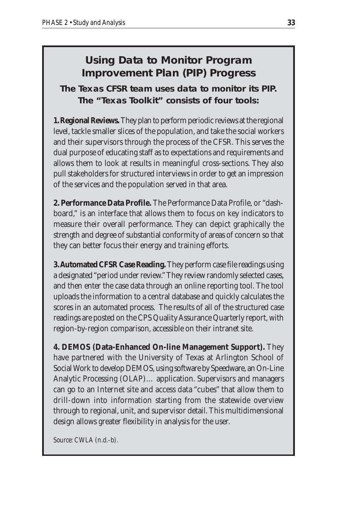### **Using Data to Monitor Program Improvement Plan (PIP) Progress**

**The Texas CFSR team uses data to monitor its PIP. The "Texas Toolkit" consists of four tools:**

**1. Regional Reviews.**They plan to perform periodic reviews at the regional level, tackle smaller slices of the population, and take the social workers and their supervisors through the process of the CFSR. This serves the dual purpose of educating staff as to expectations and requirements and allows them to look at results in meaningful cross-sections. They also pull stakeholders for structured interviews in order to get an impression of the services and the population served in that area.

**2. Performance Data Profile.** The Performance Data Profile, or "dashboard," is an interface that allows them to focus on key indicators to measure their overall performance. They can depict graphically the strength and degree of substantial conformity of areas of concern so that they can better focus their energy and training efforts.

**3. Automated CFSR Case Reading.** They perform case file readings using a designated "period under review." They review randomly selected cases, and then enter the case data through an online reporting tool. The tool uploads the information to a central database and quickly calculates the scores in an automated process. The results of all of the structured case readings are posted on the CPS Quality Assurance Quarterly report, with region-by-region comparison, accessible on their intranet site.

**4. DEMOS (Data-Enhanced On-line Management Support).** They have partnered with the University of Texas at Arlington School of Social Work to develop DEMOS, using software by Speedware, an On-Line Analytic Processing (OLAP)… application. Supervisors and managers can go to an Internet site and access data "cubes" that allow them to drill-down into information starting from the statewide overview through to regional, unit, and supervisor detail. This multidimensional design allows greater flexibility in analysis for the user.

*Source: CWLA (n.d.-b).*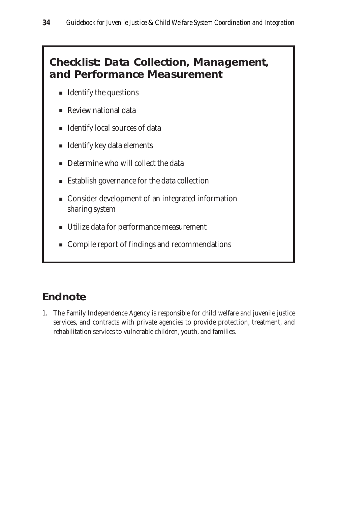### **Checklist: Data Collection, Management, and Performance Measurement**

- Identify the questions
- Review national data
- Identify local sources of data
- Identify key data elements
- Determine who will collect the data
- Establish governance for the data collection
- Consider development of an integrated information sharing system
- Utilize data for performance measurement
- Compile report of findings and recommendations

### **Endnote**

1. The Family Independence Agency is responsible for child welfare and juvenile justice services, and contracts with private agencies to provide protection, treatment, and rehabilitation services to vulnerable children, youth, and families.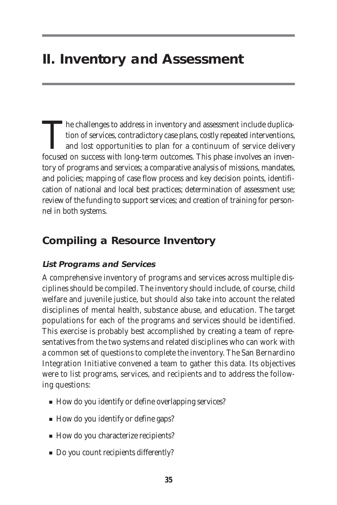# **II. Inventory and Assessment**

The challenges to address in inventory and assessment include duplication of services, contradictory case plans, costly repeated interventions, and lost opportunities to plan for a continuum of service delivery focused on tion of services, contradictory case plans, costly repeated interventions, and lost opportunities to plan for a continuum of service delivery focused on success with long-term outcomes. This phase involves an inventory of programs and services; a comparative analysis of missions, mandates, and policies; mapping of case flow process and key decision points, identification of national and local best practices; determination of assessment use; review of the funding to support services; and creation of training for personnel in both systems.

### **Compiling a Resource Inventory**

#### **List Programs and Services**

A comprehensive inventory of programs and services across multiple disciplines should be compiled. The inventory should include, of course, child welfare and juvenile justice, but should also take into account the related disciplines of mental health, substance abuse, and education. The target populations for each of the programs and services should be identified. This exercise is probably best accomplished by creating a team of representatives from the two systems and related disciplines who can work with a common set of questions to complete the inventory. The San Bernardino Integration Initiative convened a team to gather this data. Its objectives were to list programs, services, and recipients and to address the following questions:

- How do you identify or define overlapping services?
- How do you identify or define gaps?
- How do you characterize recipients?
- Do you count recipients differently?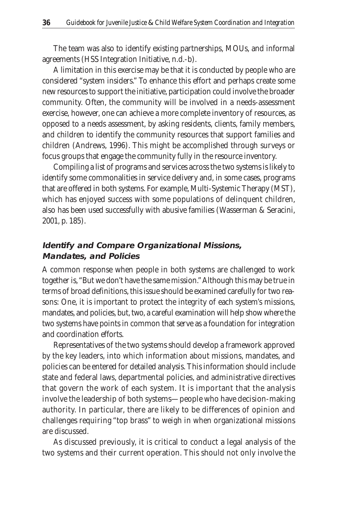The team was also to identify existing partnerships, MOUs, and informal agreements (HSS Integration Initiative, n.d.-b).

A limitation in this exercise may be that it is conducted by people who are considered "system insiders." To enhance this effort and perhaps create some new resources to support the initiative, participation could involve the broader community. Often, the community will be involved in a needs-assessment exercise, however, one can achieve a more complete inventory of resources, as opposed to a needs assessment, by asking residents, clients, family members, and children to identify the community resources that support families and children (Andrews, 1996). This might be accomplished through surveys or focus groups that engage the community fully in the resource inventory.

Compiling a list of programs and services across the two systems is likely to identify some commonalities in service delivery and, in some cases, programs that are offered in both systems. For example, Multi-Systemic Therapy (MST), which has enjoyed success with some populations of delinquent children, also has been used successfully with abusive families (Wasserman & Seracini, 2001, p. 185).

#### **Identify and Compare Organizational Missions, Mandates, and Policies**

A common response when people in both systems are challenged to work together is, "But we don't have the same mission." Although this may be true in terms of broad definitions, this issue should be examined carefully for two reasons: One, it is important to protect the integrity of each system's missions, mandates, and policies, but, two, a careful examination will help show where the two systems have points in common that serve as a foundation for integration and coordination efforts.

Representatives of the two systems should develop a framework approved by the key leaders, into which information about missions, mandates, and policies can be entered for detailed analysis. This information should include state and federal laws, departmental policies, and administrative directives that govern the work of each system. It is important that the analysis involve the leadership of both systems—people who have decision-making authority. In particular, there are likely to be differences of opinion and challenges requiring "top brass" to weigh in when organizational missions are discussed.

As discussed previously, it is critical to conduct a legal analysis of the two systems and their current operation. This should not only involve the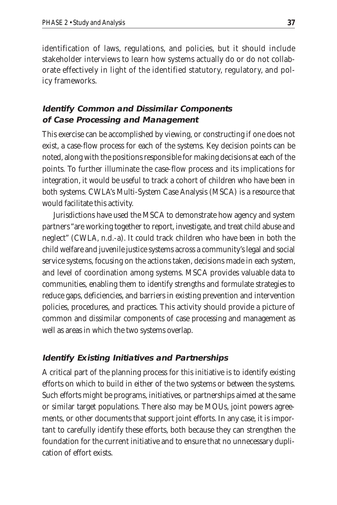identification of laws, regulations, and policies, but it should include stakeholder interviews to learn how systems actually do or do not collaborate effectively in light of the identified statutory, regulatory, and policy frameworks.

### **Identify Common and Dissimilar Components of Case Processing and Management**

This exercise can be accomplished by viewing, or constructing if one does not exist, a case-flow process for each of the systems. Key decision points can be noted, along with the positions responsible for making decisions at each of the points. To further illuminate the case-flow process and its implications for integration, it would be useful to track a cohort of children who have been in both systems. CWLA's Multi-System Case Analysis (MSCA) is a resource that would facilitate this activity.

Jurisdictions have used the MSCA to demonstrate how agency and system partners "are working together to report, investigate, and treat child abuse and neglect" (CWLA, n.d.-a). It could track children who have been in both the child welfare and juvenile justice systems across a community's legal and social service systems, focusing on the actions taken, decisions made in each system, and level of coordination among systems. MSCA provides valuable data to communities, enabling them to identify strengths and formulate strategies to reduce gaps, deficiencies, and barriers in existing prevention and intervention policies, procedures, and practices. This activity should provide a picture of common and dissimilar components of case processing and management as well as areas in which the two systems overlap.

#### **Identify Existing Initiatives and Partnerships**

A critical part of the planning process for this initiative is to identify existing efforts on which to build in either of the two systems or between the systems. Such efforts might be programs, initiatives, or partnerships aimed at the same or similar target populations. There also may be MOUs, joint powers agreements, or other documents that support joint efforts. In any case, it is important to carefully identify these efforts, both because they can strengthen the foundation for the current initiative and to ensure that no unnecessary duplication of effort exists.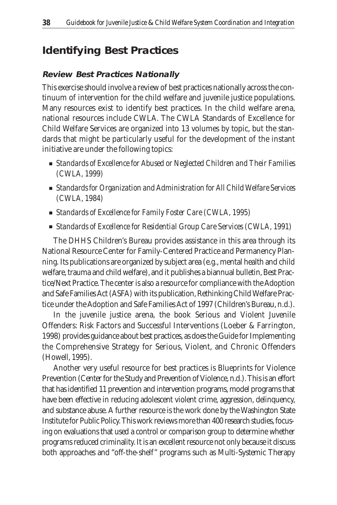### **Identifying Best Practices**

#### **Review Best Practices Nationally**

This exercise should involve a review of best practices nationally across the continuum of intervention for the child welfare and juvenile justice populations. Many resources exist to identify best practices. In the child welfare arena, national resources include CWLA. The CWLA Standards of Excellence for Child Welfare Services are organized into 13 volumes by topic, but the standards that might be particularly useful for the development of the instant initiative are under the following topics:

- *Standards of Excellence for Abused or Neglected Children and Their Families (CWLA, 1999)*
- *Standards for Organization and Administration for All Child Welfare Services (CWLA, 1984)*
- *Standards of Excellence for Family Foster Care (CWLA, 1995)*
- *Standards of Excellence for Residential Group Care Services (CWLA, 1991)*

The DHHS Children's Bureau provides assistance in this area through its National Resource Center for Family-Centered Practice and Permanency Planning. Its publications are organized by subject area (e.g., mental health and child welfare, trauma and child welfare), and it publishes a biannual bulletin, Best Practice/Next Practice. The center is also a resource for compliance with the Adoption and Safe Families Act (ASFA) with its publication, Rethinking Child Welfare Practice under the Adoption and Safe Families Act of 1997 (Children's Bureau, n.d.).

In the juvenile justice arena, the book Serious and Violent Juvenile Offenders: Risk Factors and Successful Interventions (Loeber & Farrington, 1998) provides guidance about best practices, as does the Guide for Implementing the Comprehensive Strategy for Serious, Violent, and Chronic Offenders (Howell, 1995).

Another very useful resource for best practices is Blueprints for Violence Prevention (Center for the Study and Prevention of Violence, n.d.). This is an effort that has identified 11 prevention and intervention programs, model programs that have been effective in reducing adolescent violent crime, aggression, delinquency, and substance abuse. A further resource is the work done by the Washington State Institute for Public Policy. This work reviews more than 400 research studies, focusing on evaluations that used a control or comparison group to determine whether programs reduced criminality. It is an excellent resource not only because it discuss both approaches and "off-the-shelf" programs such as Multi-Systemic Therapy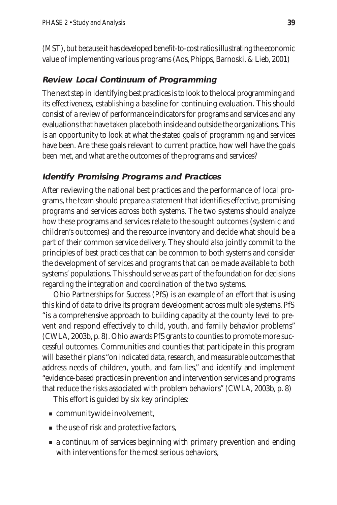(MST), but because it has developed benefit-to-cost ratios illustrating the economic value of implementing various programs (Aos, Phipps, Barnoski, & Lieb, 2001)

#### **Review Local Continuum of Programming**

The next step in identifying best practices is to look to the local programming and its effectiveness, establishing a baseline for continuing evaluation. This should consist of a review of performance indicators for programs and services and any evaluations that have taken place both inside and outside the organizations. This is an opportunity to look at what the stated goals of programming and services have been. Are these goals relevant to current practice, how well have the goals been met, and what are the outcomes of the programs and services?

#### **Identify Promising Programs and Practices**

After reviewing the national best practices and the performance of local programs, the team should prepare a statement that identifies effective, promising programs and services across both systems. The two systems should analyze how these programs and services relate to the sought outcomes (systemic and children's outcomes) and the resource inventory and decide what should be a part of their common service delivery. They should also jointly commit to the principles of best practices that can be common to both systems and consider the development of services and programs that can be made available to both systems' populations. This should serve as part of the foundation for decisions regarding the integration and coordination of the two systems.

Ohio Partnerships for Success (PfS) is an example of an effort that is using this kind of data to drive its program development across multiple systems. PfS "is a comprehensive approach to building capacity at the county level to prevent and respond effectively to child, youth, and family behavior problems" (CWLA, 2003b, p. 8). Ohio awards PfS grants to counties to promote more successful outcomes. Communities and counties that participate in this program will base their plans "on indicated data, research, and measurable outcomes that address needs of children, youth, and families," and identify and implement "evidence-based practices in prevention and intervention services and programs that reduce the risks associated with problem behaviors" (CWLA, 2003b, p. 8)

This effort is guided by six key principles:

- communitywide involvement,
- the use of risk and protective factors,
- a continuum of services beginning with primary prevention and ending with interventions for the most serious behaviors,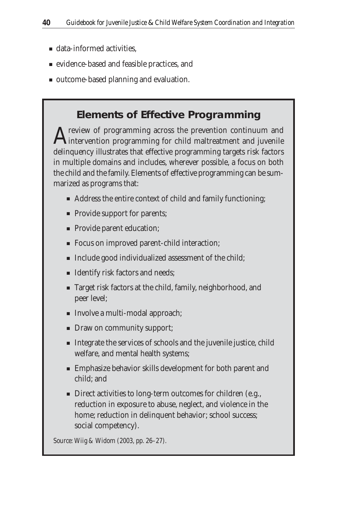- data-informed activities.
- evidence-based and feasible practices, and
- outcome-based planning and evaluation.

### **Elements of Effective Programming**

 $\Lambda$  review of programming across the prevention continuum and **L**intervention programming for child maltreatment and juvenile delinquency illustrates that effective programming targets risk factors in multiple domains and includes, wherever possible, a focus on both the child and the family. Elements of effective programming can be summarized as programs that:

- Address the entire context of child and family functioning;
- Provide support for parents;
- Provide parent education;
- Focus on improved parent-child interaction;
- Include good individualized assessment of the child;
- Identify risk factors and needs;
- Target risk factors at the child, family, neighborhood, and peer level;
- Involve a multi-modal approach;
- Draw on community support;
- Integrate the services of schools and the juvenile justice, child welfare, and mental health systems;
- Emphasize behavior skills development for both parent and child; and
- Direct activities to long-term outcomes for children (e.g., reduction in exposure to abuse, neglect, and violence in the home; reduction in delinquent behavior; school success; social competency).

*Source: Wiig & Widom (2003, pp. 26–27).*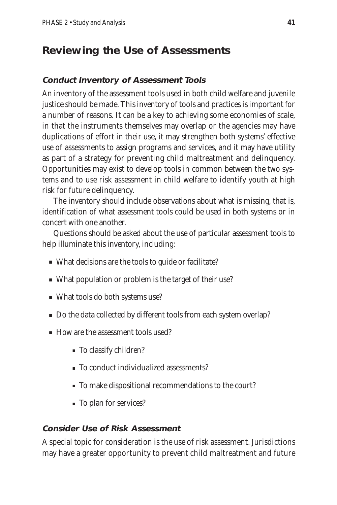### **Reviewing the Use of Assessments**

### **Conduct Inventory of Assessment Tools**

An inventory of the assessment tools used in both child welfare and juvenile justice should be made. This inventory of tools and practices is important for a number of reasons. It can be a key to achieving some economies of scale, in that the instruments themselves may overlap or the agencies may have duplications of effort in their use, it may strengthen both systems' effective use of assessments to assign programs and services, and it may have utility as part of a strategy for preventing child maltreatment and delinquency. Opportunities may exist to develop tools in common between the two systems and to use risk assessment in child welfare to identify youth at high risk for future delinquency.

The inventory should include observations about what is missing, that is, identification of what assessment tools could be used in both systems or in concert with one another.

Questions should be asked about the use of particular assessment tools to help illuminate this inventory, including:

- What decisions are the tools to guide or facilitate?
- What population or problem is the target of their use?
- What tools do both systems use?
- Do the data collected by different tools from each system overlap?
- How are the assessment tools used?
	- To classify children?
	- To conduct individualized assessments?
	- To make dispositional recommendations to the court?
	- To plan for services?

#### **Consider Use of Risk Assessment**

A special topic for consideration is the use of risk assessment. Jurisdictions may have a greater opportunity to prevent child maltreatment and future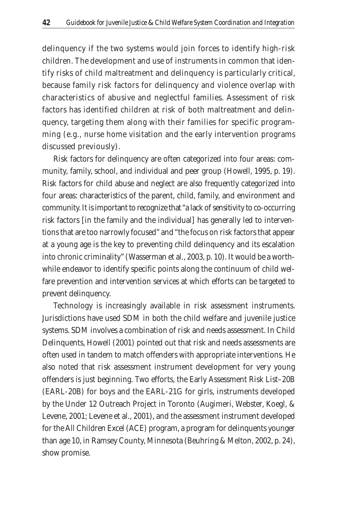delinquency if the two systems would join forces to identify high-risk children. The development and use of instruments in common that identify risks of child maltreatment and delinquency is particularly critical, because family risk factors for delinquency and violence overlap with characteristics of abusive and neglectful families. Assessment of risk factors has identified children at risk of both maltreatment and delinquency, targeting them along with their families for specific programming (e.g., nurse home visitation and the early intervention programs discussed previously).

Risk factors for delinquency are often categorized into four areas: community, family, school, and individual and peer group (Howell, 1995, p. 19). Risk factors for child abuse and neglect are also frequently categorized into four areas: characteristics of the parent, child, family, and environment and community. It is important to recognize that "a lack of sensitivity to co-occurring risk factors [in the family and the individual] has generally led to interventions that are too narrowly focused" and "the focus on risk factors that appear at a young age is the key to preventing child delinquency and its escalation into chronic criminality" (Wasserman et al., 2003, p. 10). It would be a worthwhile endeavor to identify specific points along the continuum of child welfare prevention and intervention services at which efforts can be targeted to prevent delinquency.

Technology is increasingly available in risk assessment instruments. Jurisdictions have used SDM in both the child welfare and juvenile justice systems. SDM involves a combination of risk and needs assessment. In Child Delinquents, Howell (2001) pointed out that risk and needs assessments are often used in tandem to match offenders with appropriate interventions. He also noted that risk assessment instrument development for very young offenders is just beginning. Two efforts, the Early Assessment Risk List–20B (EARL-20B) for boys and the EARL-21G for girls, instruments developed by the Under 12 Outreach Project in Toronto (Augimeri, Webster, Koegl, & Levene, 2001; Levene et al., 2001), and the assessment instrument developed for the All Children Excel (ACE) program, a program for delinquents younger than age 10, in Ramsey County, Minnesota (Beuhring & Melton, 2002, p. 24), show promise.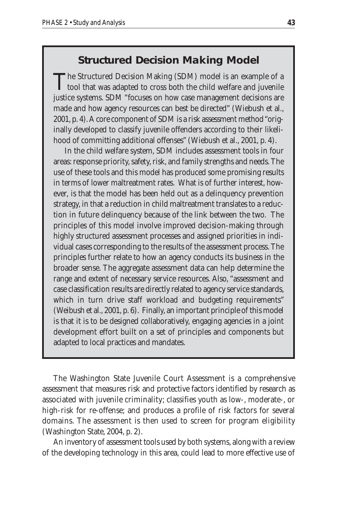### **Structured Decision Making Model**

The Structured Decision Making (SDM) model is an example of a  $\blacksquare$  tool that was adapted to cross both the child welfare and juvenile justice systems. SDM "focuses on how case management decisions are made and how agency resources can best be directed" (Wiebush et al., 2001, p. 4). A core component of SDM is a risk assessment method "originally developed to classify juvenile offenders according to their likelihood of committing additional offenses" (Wiebush et al., 2001, p. 4).

In the child welfare system, SDM includes assessment tools in four areas: response priority, safety, risk, and family strengths and needs. The use of these tools and this model has produced some promising results in terms of lower maltreatment rates. What is of further interest, however, is that the model has been held out as a delinquency prevention strategy, in that a reduction in child maltreatment translates to a reduction in future delinquency because of the link between the two. The principles of this model involve improved decision-making through highly structured assessment processes and assigned priorities in individual cases corresponding to the results of the assessment process. The principles further relate to how an agency conducts its business in the broader sense. The aggregate assessment data can help determine the range and extent of necessary service resources. Also, "assessment and case classification results are directly related to agency service standards, which in turn drive staff workload and budgeting requirements" (Weibush et al., 2001, p. 6). Finally, an important principle of this model is that it is to be designed collaboratively, engaging agencies in a joint development effort built on a set of principles and components but adapted to local practices and mandates.

The Washington State Juvenile Court Assessment is a comprehensive assessment that measures risk and protective factors identified by research as associated with juvenile criminality; classifies youth as low-, moderate-, or high-risk for re-offense; and produces a profile of risk factors for several domains. The assessment is then used to screen for program eligibility (Washington State, 2004, p. 2).

An inventory of assessment tools used by both systems, along with a review of the developing technology in this area, could lead to more effective use of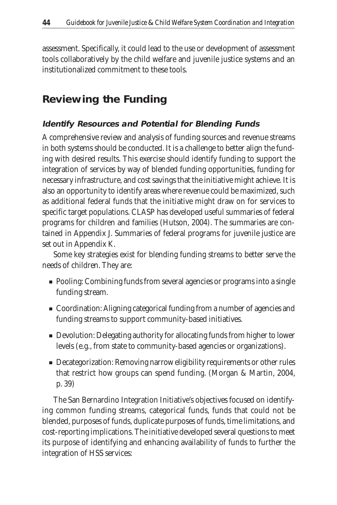assessment. Specifically, it could lead to the use or development of assessment tools collaboratively by the child welfare and juvenile justice systems and an institutionalized commitment to these tools.

### **Reviewing the Funding**

#### **Identify Resources and Potential for Blending Funds**

A comprehensive review and analysis of funding sources and revenue streams in both systems should be conducted. It is a challenge to better align the funding with desired results. This exercise should identify funding to support the integration of services by way of blended funding opportunities, funding for necessary infrastructure, and cost savings that the initiative might achieve. It is also an opportunity to identify areas where revenue could be maximized, such as additional federal funds that the initiative might draw on for services to specific target populations. CLASP has developed useful summaries of federal programs for children and families (Hutson, 2004). The summaries are contained in Appendix J. Summaries of federal programs for juvenile justice are set out in Appendix K.

Some key strategies exist for blending funding streams to better serve the needs of children. They are:

- Pooling: Combining funds from several agencies or programs into a single funding stream.
- Coordination: Aligning categorical funding from a number of agencies and funding streams to support community-based initiatives.
- Devolution: Delegating authority for allocating funds from higher to lower levels (e.g., from state to community-based agencies or organizations).
- Decategorization: Removing narrow eligibility requirements or other rules that restrict how groups can spend funding. (Morgan & Martin, 2004, p. 39)

The San Bernardino Integration Initiative's objectives focused on identifying common funding streams, categorical funds, funds that could not be blended, purposes of funds, duplicate purposes of funds, time limitations, and cost-reporting implications. The initiative developed several questions to meet its purpose of identifying and enhancing availability of funds to further the integration of HSS services: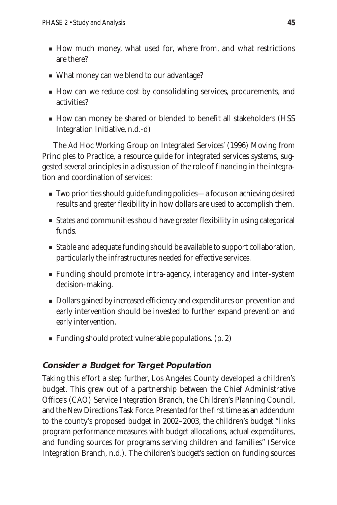- How much money, what used for, where from, and what restrictions are there?
- What money can we blend to our advantage?
- How can we reduce cost by consolidating services, procurements, and activities?
- How can money be shared or blended to benefit all stakeholders (HSS Integration Initiative, n.d.-d)

The Ad Hoc Working Group on Integrated Services' (1996) Moving from Principles to Practice, a resource guide for integrated services systems, suggested several principles in a discussion of the role of financing in the integration and coordination of services:

- Two priorities should guide funding policies—a focus on achieving desired results and greater flexibility in how dollars are used to accomplish them.
- States and communities should have greater flexibility in using categorical funds.
- Stable and adequate funding should be available to support collaboration, particularly the infrastructures needed for effective services.
- Funding should promote intra-agency, interagency and inter-system decision-making.
- Dollars gained by increased efficiency and expenditures on prevention and early intervention should be invested to further expand prevention and early intervention.
- Funding should protect vulnerable populations. (p. 2)

#### **Consider a Budget for Target Population**

Taking this effort a step further, Los Angeles County developed a children's budget. This grew out of a partnership between the Chief Administrative Office's (CAO) Service Integration Branch, the Children's Planning Council, and the New Directions Task Force. Presented for the first time as an addendum to the county's proposed budget in 2002–2003, the children's budget "links program performance measures with budget allocations, actual expenditures, and funding sources for programs serving children and families" (Service Integration Branch, n.d.). The children's budget's section on funding sources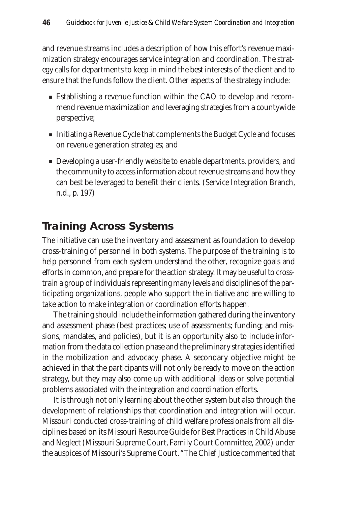and revenue streams includes a description of how this effort's revenue maximization strategy encourages service integration and coordination. The strategy calls for departments to keep in mind the best interests of the client and to ensure that the funds follow the client. Other aspects of the strategy include:

- Establishing a revenue function within the CAO to develop and recommend revenue maximization and leveraging strategies from a countywide perspective;
- Initiating a Revenue Cycle that complements the Budget Cycle and focuses on revenue generation strategies; and
- Developing a user-friendly website to enable departments, providers, and the community to access information about revenue streams and how they can best be leveraged to benefit their clients. (Service Integration Branch, n.d., p. 197)

### **Training Across Systems**

The initiative can use the inventory and assessment as foundation to develop cross-training of personnel in both systems. The purpose of the training is to help personnel from each system understand the other, recognize goals and efforts in common, and prepare for the action strategy. It may be useful to crosstrain a group of individuals representing many levels and disciplines of the participating organizations, people who support the initiative and are willing to take action to make integration or coordination efforts happen.

The training should include the information gathered during the inventory and assessment phase (best practices; use of assessments; funding; and missions, mandates, and policies), but it is an opportunity also to include information from the data collection phase and the preliminary strategies identified in the mobilization and advocacy phase. A secondary objective might be achieved in that the participants will not only be ready to move on the action strategy, but they may also come up with additional ideas or solve potential problems associated with the integration and coordination efforts.

It is through not only learning about the other system but also through the development of relationships that coordination and integration will occur. Missouri conducted cross-training of child welfare professionals from all disciplines based on its Missouri Resource Guide for Best Practices in Child Abuse and Neglect (Missouri Supreme Court, Family Court Committee, 2002) under the auspices of Missouri's Supreme Court. "The Chief Justice commented that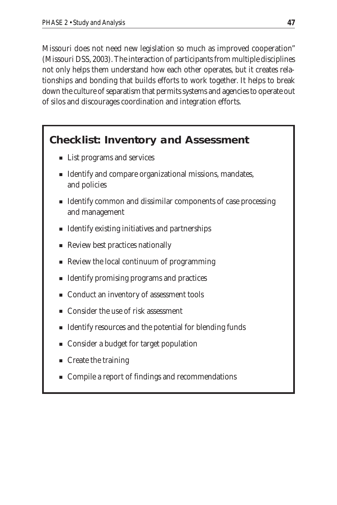Missouri does not need new legislation so much as improved cooperation" (Missouri DSS, 2003). The interaction of participants from multiple disciplines not only helps them understand how each other operates, but it creates relationships and bonding that builds efforts to work together. It helps to break down the culture of separatism that permits systems and agencies to operate out of silos and discourages coordination and integration efforts.

### **Checklist: Inventory and Assessment**

- List programs and services
- Identify and compare organizational missions, mandates, and policies
- Identify common and dissimilar components of case processing and management
- Identify existing initiatives and partnerships
- Review best practices nationally
- Review the local continuum of programming
- Identify promising programs and practices
- Conduct an inventory of assessment tools
- Consider the use of risk assessment
- Identify resources and the potential for blending funds
- Consider a budget for target population
- Create the training
- Compile a report of findings and recommendations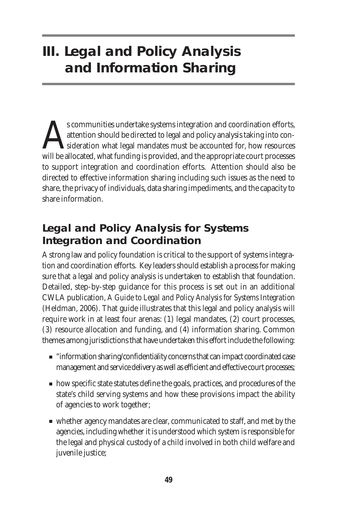# **III. Legal and Policy Analysis and Information Sharing**

s communities undertake systems integration and coordination efforts, attention should be directed to legal and policy analysis taking into consideration what legal mandates must be accounted for, how resources will be allocated, what funding is provided, and the appropriate court processes to support integration and coordination efforts. Attention should also be directed to effective information sharing including such issues as the need to share, the privacy of individuals, data sharing impediments, and the capacity to share information.

### **Legal and Policy Analysis for Systems Integration and Coordination**

A strong law and policy foundation is critical to the support of systems integration and coordination efforts. Key leaders should establish a process for making sure that a legal and policy analysis is undertaken to establish that foundation. Detailed, step-by-step guidance for this process is set out in an additional CWLA publication, *A Guide to Legal and Policy Analysis for Systems Integration* (Heldman, 2006). That guide illustrates that this legal and policy analysis will require work in at least four arenas: (1) legal mandates, (2) court processes, (3) resource allocation and funding, and (4) information sharing. Common themes among jurisdictions that have undertaken this effort include the following:

- "information sharing/confidentiality concerns that can impact coordinated case management and service delivery as well as efficient and effective court processes;
- how specific state statutes define the goals, practices, and procedures of the state's child serving systems and how these provisions impact the ability of agencies to work together;
- whether agency mandates are clear, communicated to staff, and met by the agencies, including whether it is understood which system is responsible for the legal and physical custody of a child involved in both child welfare and juvenile justice;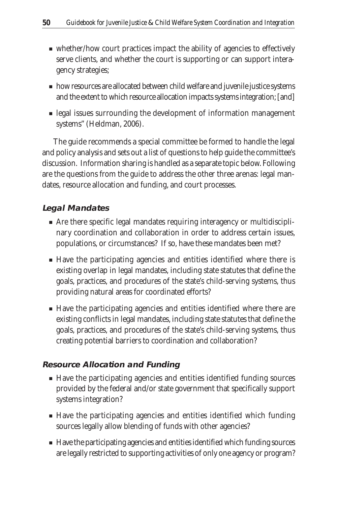- whether/how court practices impact the ability of agencies to effectively serve clients, and whether the court is supporting or can support interagency strategies;
- how resources are allocated between child welfare and juvenile justice systems and the extent to which resource allocation impacts systems integration; [and]
- legal issues surrounding the development of information management systems" (Heldman, 2006).

The guide recommends a special committee be formed to handle the legal and policy analysis and sets out a list of questions to help guide the committee's discussion. Information sharing is handled as a separate topic below. Following are the questions from the guide to address the other three arenas: legal mandates, resource allocation and funding, and court processes.

#### **Legal Mandates**

- Are there specific legal mandates requiring interagency or multidisciplinary coordination and collaboration in order to address certain issues, populations, or circumstances? If so, have these mandates been met?
- Have the participating agencies and entities identified where there is existing overlap in legal mandates, including state statutes that define the goals, practices, and procedures of the state's child-serving systems, thus providing natural areas for coordinated efforts?
- Have the participating agencies and entities identified where there are existing conflicts in legal mandates, including state statutes that define the goals, practices, and procedures of the state's child-serving systems, thus creating potential barriers to coordination and collaboration?

#### **Resource Allocation and Funding**

- Have the participating agencies and entities identified funding sources provided by the federal and/or state government that specifically support systems integration?
- Have the participating agencies and entities identified which funding sources legally allow blending of funds with other agencies?
- Have the participating agencies and entities identified which funding sources are legally restricted to supporting activities of only one agency or program?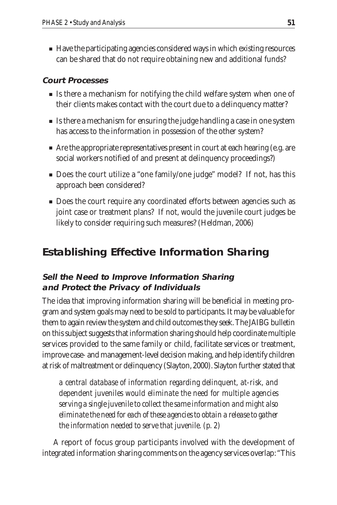■ Have the participating agencies considered ways in which existing resources can be shared that do not require obtaining new and additional funds?

#### **Court Processes**

- Is there a mechanism for notifying the child welfare system when one of their clients makes contact with the court due to a delinquency matter?
- Is there a mechanism for ensuring the judge handling a case in one system has access to the information in possession of the other system?
- Are the appropriate representatives present in court at each hearing (e.g. are social workers notified of and present at delinquency proceedings?)
- Does the court utilize a "one family/one judge" model? If not, has this approach been considered?
- Does the court require any coordinated efforts between agencies such as joint case or treatment plans? If not, would the juvenile court judges be likely to consider requiring such measures? (Heldman, 2006)

### **Establishing Effective Information Sharing**

### **Sell the Need to Improve Information Sharing and Protect the Privacy of Individuals**

The idea that improving information sharing will be beneficial in meeting program and system goals may need to be sold to participants. It may be valuable for them to again review the system and child outcomes they seek. The JAIBG bulletin on this subject suggests that information sharing should help coordinate multiple services provided to the same family or child, facilitate services or treatment, improve case- and management-level decision making, and help identify children at risk of maltreatment or delinquency (Slayton, 2000). Slayton further stated that

*a central database of information regarding delinquent, at-risk, and dependent juveniles would eliminate the need for multiple agencies serving a single juvenile to collect the same information and might also eliminate the need for each of these agencies to obtain a release to gather the information needed to serve that juvenile. (p. 2)*

A report of focus group participants involved with the development of integrated information sharing comments on the agency services overlap: "This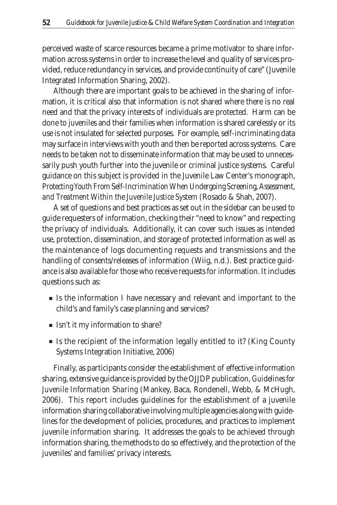perceived waste of scarce resources became a prime motivator to share information across systems in order to increase the level and quality of services provided, reduce redundancy in services, and provide continuity of care" (Juvenile Integrated Information Sharing, 2002).

Although there are important goals to be achieved in the sharing of information, it is critical also that information is not shared where there is no real need and that the privacy interests of individuals are protected. Harm can be done to juveniles and their families when information is shared carelessly or its use is not insulated for selected purposes. For example, self-incriminating data may surface in interviews with youth and then be reported across systems. Care needs to be taken not to disseminate information that may be used to unnecessarily push youth further into the juvenile or criminal justice systems. Careful guidance on this subject is provided in the Juvenile Law Center's monograph, *Protecting Youth From Self-Incrimination When Undergoing Screening, Assessment, and Treatment Within the Juvenile Justice System* (Rosado & Shah, 2007).

A set of questions and best practices as set out in the sidebar can be used to guide requesters of information, checking their "need to know" and respecting the privacy of individuals. Additionally, it can cover such issues as intended use, protection, dissemination, and storage of protected information as well as the maintenance of logs documenting requests and transmissions and the handling of consents/releases of information (Wiig, n.d.). Best practice guidance is also available for those who receive requests for information. It includes questions such as:

- Is the information I have necessary and relevant and important to the child's and family's case planning and services?
- Isn't it my information to share?
- Is the recipient of the information legally entitled to it? (King County Systems Integration Initiative, 2006)

Finally, as participants consider the establishment of effective information sharing, extensive guidance is provided by the OJJDP publication, *Guidelines for Juvenile Information Sharing* (Mankey, Baca, Rondenell, Webb, & McHugh, 2006). This report includes guidelines for the establishment of a juvenile information sharing collaborative involving multiple agencies along with guidelines for the development of policies, procedures, and practices to implement juvenile information sharing. It addresses the goals to be achieved through information sharing, the methods to do so effectively, and the protection of the juveniles' and families' privacy interests.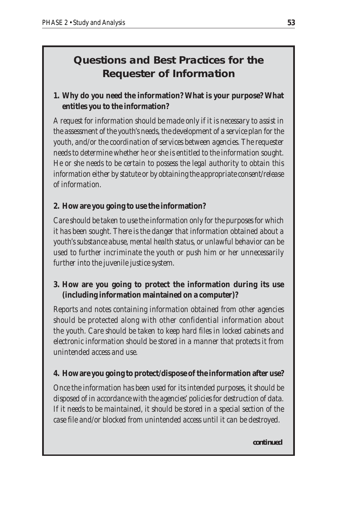### **Questions and Best Practices for the Requester of Information**

### **1. Why do you need the information? What is your purpose? What entitles you to the information?**

*A request for information should be made only if it is necessary to assist in the assessment of the youth's needs, the development of a service plan for the youth, and/or the coordination of services between agencies. The requester needs to determine whether he or she is entitled to the information sought. He or she needs to be certain to possess the legal authority to obtain this information either by statute or by obtaining the appropriate consent/release of information.* 

### **2. How are you going to use the information?**

*Care should be taken to use the information only for the purposes for which it has been sought. There is the danger that information obtained about a youth's substance abuse, mental health status, or unlawful behavior can be used to further incriminate the youth or push him or her unnecessarily further into the juvenile justice system.*

### **3. How are you going to protect the information during its use (including information maintained on a computer)?**

*Reports and notes containing information obtained from other agencies should be protected along with other confidential information about the youth. Care should be taken to keep hard files in locked cabinets and electronic information should be stored in a manner that protects it from unintended access and use.*

### **4. How are you going to protect/dispose of the information after use?**

*Once the information has been used for its intended purposes, it should be disposed of in accordance with the agencies' policies for destruction of data. If it needs to be maintained, it should be stored in a special section of the case file and/or blocked from unintended access until it can be destroyed.* 

*continued*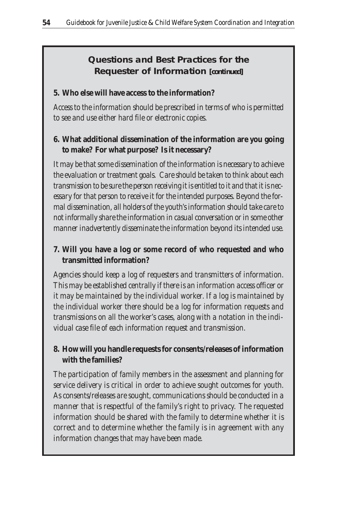**Questions and Best Practices for the Requester of Information** *[continued]*

#### **5. Who else will have access to the information?**

*Access to the information should be prescribed in terms of who is permitted to see and use either hard file or electronic copies.* 

#### **6. What additional dissemination of the information are you going to make? For what purpose? Is it necessary?**

*It may be that some dissemination of the information is necessary to achieve the evaluation or treatment goals. Care should be taken to think about each transmission to be sure the person receiving it is entitled to it and that it is necessary for that person to receive it for the intended purposes. Beyond the formal dissemination, all holders of the youth's information should take care to not informally share the information in casual conversation or in some other manner inadvertently disseminate the information beyond its intended use.* 

### **7. Will you have a log or some record of who requested and who transmitted information?**

*Agencies should keep a log of requesters and transmitters of information. This may be established centrally if there is an information access officer or it may be maintained by the individual worker. If a log is maintained by the individual worker there should be a log for information requests and transmissions on all the worker's cases, along with a notation in the individual case file of each information request and transmission.* 

### **8. How will you handle requests for consents/releases of information with the families?**

*The participation of family members in the assessment and planning for service delivery is critical in order to achieve sought outcomes for youth. As consents/releases are sought, communications should be conducted in a manner that is respectful of the family's right to privacy. The requested information should be shared with the family to determine whether it is correct and to determine whether the family is in agreement with any information changes that may have been made.*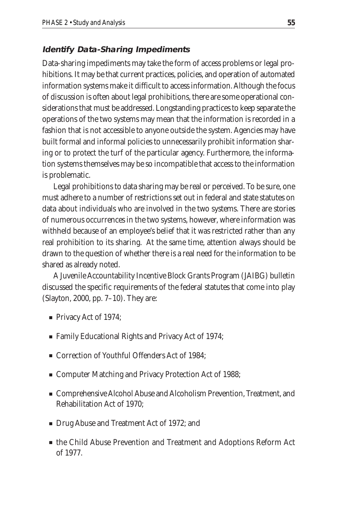### **Identify Data-Sharing Impediments**

Data-sharing impediments may take the form of access problems or legal prohibitions. It may be that current practices, policies, and operation of automated information systems make it difficult to access information. Although the focus of discussion is often about legal prohibitions, there are some operational considerations that must be addressed. Longstanding practices to keep separate the operations of the two systems may mean that the information is recorded in a fashion that is not accessible to anyone outside the system. Agencies may have built formal and informal policies to unnecessarily prohibit information sharing or to protect the turf of the particular agency. Furthermore, the information systems themselves may be so incompatible that access to the information is problematic.

Legal prohibitions to data sharing may be real or perceived. To be sure, one must adhere to a number of restrictions set out in federal and state statutes on data about individuals who are involved in the two systems. There are stories of numerous occurrences in the two systems, however, where information was withheld because of an employee's belief that it was restricted rather than any real prohibition to its sharing. At the same time, attention always should be drawn to the question of whether there is a real need for the information to be shared as already noted.

A Juvenile Accountability Incentive Block Grants Program (JAIBG) bulletin discussed the specific requirements of the federal statutes that come into play (Slayton, 2000, pp. 7–10). They are:

- Privacy Act of 1974;
- Family Educational Rights and Privacy Act of 1974;
- Correction of Youthful Offenders Act of 1984;
- Computer Matching and Privacy Protection Act of 1988;
- Comprehensive Alcohol Abuse and Alcoholism Prevention, Treatment, and Rehabilitation Act of 1970;
- Drug Abuse and Treatment Act of 1972; and
- the Child Abuse Prevention and Treatment and Adoptions Reform Act of 1977.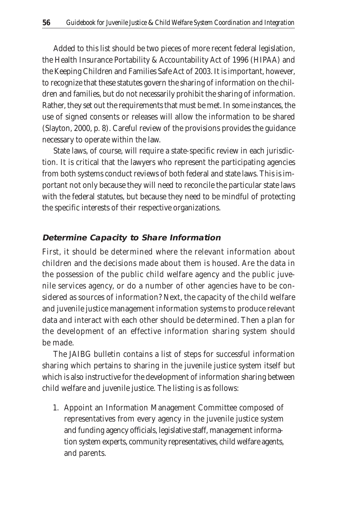Added to this list should be two pieces of more recent federal legislation, the Health Insurance Portability & Accountability Act of 1996 (HIPAA) and the Keeping Children and Families Safe Act of 2003. It is important, however, to recognize that these statutes govern the sharing of information on the children and families, but do not necessarily prohibit the sharing of information. Rather, they set out the requirements that must be met. In some instances, the use of signed consents or releases will allow the information to be shared (Slayton, 2000, p. 8). Careful review of the provisions provides the guidance necessary to operate within the law.

State laws, of course, will require a state-specific review in each jurisdiction. It is critical that the lawyers who represent the participating agencies from both systems conduct reviews of both federal and state laws. This is important not only because they will need to reconcile the particular state laws with the federal statutes, but because they need to be mindful of protecting the specific interests of their respective organizations.

#### **Determine Capacity to Share Information**

First, it should be determined where the relevant information about children and the decisions made about them is housed. Are the data in the possession of the public child welfare agency and the public juvenile services agency, or do a number of other agencies have to be considered as sources of information? Next, the capacity of the child welfare and juvenile justice management information systems to produce relevant data and interact with each other should be determined. Then a plan for the development of an effective information sharing system should be made.

The JAIBG bulletin contains a list of steps for successful information sharing which pertains to sharing in the juvenile justice system itself but which is also instructive for the development of information sharing between child welfare and juvenile justice. The listing is as follows:

1. Appoint an Information Management Committee composed of representatives from every agency in the juvenile justice system and funding agency officials, legislative staff, management information system experts, community representatives, child welfare agents, and parents.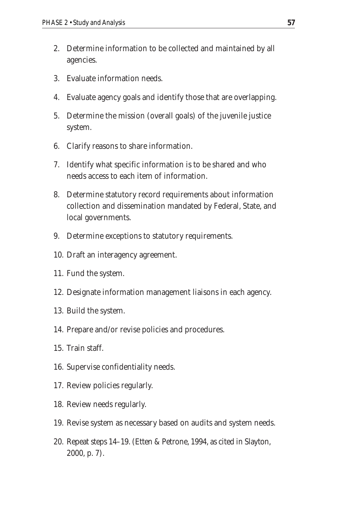- 2. Determine information to be collected and maintained by all agencies.
- 3. Evaluate information needs.
- 4. Evaluate agency goals and identify those that are overlapping.
- 5. Determine the mission (overall goals) of the juvenile justice system.
- 6. Clarify reasons to share information.
- 7. Identify what specific information is to be shared and who needs access to each item of information.
- 8. Determine statutory record requirements about information collection and dissemination mandated by Federal, State, and local governments.
- 9. Determine exceptions to statutory requirements.
- 10. Draft an interagency agreement.
- 11. Fund the system.
- 12. Designate information management liaisons in each agency.
- 13. Build the system.
- 14. Prepare and/or revise policies and procedures.
- 15. Train staff.
- 16. Supervise confidentiality needs.
- 17. Review policies regularly.
- 18. Review needs regularly.
- 19. Revise system as necessary based on audits and system needs.
- 20. Repeat steps 14–19. (Etten & Petrone, 1994, as cited in Slayton, 2000, p. 7).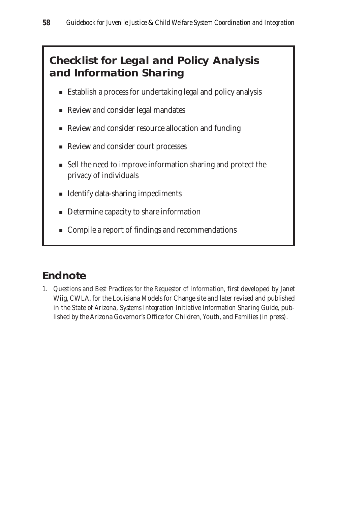## **Checklist for Legal and Policy Analysis and Information Sharing**

- Establish a process for undertaking legal and policy analysis
- Review and consider legal mandates
- Review and consider resource allocation and funding
- Review and consider court processes
- Sell the need to improve information sharing and protect the privacy of individuals
- Identify data-sharing impediments
- Determine capacity to share information
- Compile a report of findings and recommendations

## **Endnote**

1. *Questions and Best Practices for the Requestor of Information,* first developed by Janet Wiig, CWLA, for the Louisiana Models for Change site and later revised and published in the *State of Arizona, Systems Integration Initiative Information Sharing Guide*, published by the Arizona Governor's Office for Children, Youth, and Families (in press).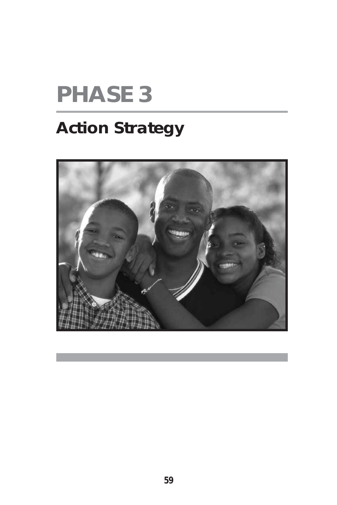# **PHASE 3**

## **Action Strategy**

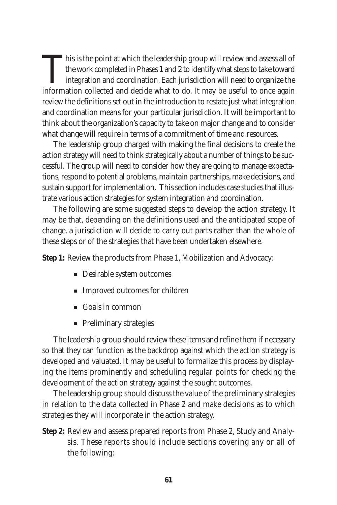This is the point at which the leadership group will review and assess all of the work completed in Phases 1 and 2 to identify what steps to take toward integration and coordination. Each jurisdiction will need to organize the information collected and decide what to do. It may be useful to once again review the definitions set out in the introduction to restate just what integration and coordination means for your particular jurisdiction. It will be important to think about the organization's capacity to take on major change and to consider what change will require in terms of a commitment of time and resources.

The leadership group charged with making the final decisions to create the action strategy will need to think strategically about a number of things to be successful. The group will need to consider how they are going to manage expectations, respond to potential problems, maintain partnerships, make decisions, and sustain support for implementation. This section includes case studies that illustrate various action strategies for system integration and coordination.

The following are some suggested steps to develop the action strategy. It may be that, depending on the definitions used and the anticipated scope of change, a jurisdiction will decide to carry out parts rather than the whole of these steps or of the strategies that have been undertaken elsewhere.

**Step 1:** Review the products from Phase 1, Mobilization and Advocacy:

- Desirable system outcomes
- Improved outcomes for children
- Goals in common
- Preliminary strategies

The leadership group should review these items and refine them if necessary so that they can function as the backdrop against which the action strategy is developed and valuated. It may be useful to formalize this process by displaying the items prominently and scheduling regular points for checking the development of the action strategy against the sought outcomes.

The leadership group should discuss the value of the preliminary strategies in relation to the data collected in Phase 2 and make decisions as to which strategies they will incorporate in the action strategy.

**Step 2:** Review and assess prepared reports from Phase 2, Study and Analysis. These reports should include sections covering any or all of the following: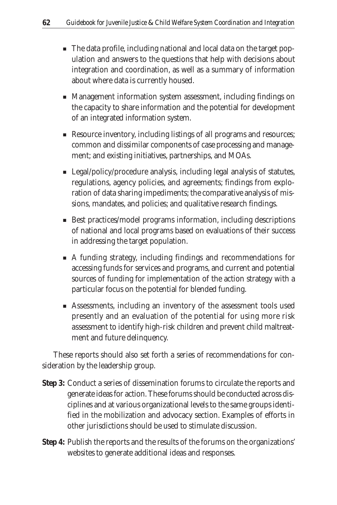- The data profile, including national and local data on the target population and answers to the questions that help with decisions about integration and coordination, as well as a summary of information about where data is currently housed.
- Management information system assessment, including findings on the capacity to share information and the potential for development of an integrated information system.
- Resource inventory, including listings of all programs and resources; common and dissimilar components of case processing and management; and existing initiatives, partnerships, and MOAs.
- Legal/policy/procedure analysis, including legal analysis of statutes, regulations, agency policies, and agreements; findings from exploration of data sharing impediments; the comparative analysis of missions, mandates, and policies; and qualitative research findings.
- Best practices/model programs information, including descriptions of national and local programs based on evaluations of their success in addressing the target population.
- A funding strategy, including findings and recommendations for accessing funds for services and programs, and current and potential sources of funding for implementation of the action strategy with a particular focus on the potential for blended funding.
- Assessments, including an inventory of the assessment tools used presently and an evaluation of the potential for using more risk assessment to identify high-risk children and prevent child maltreatment and future delinquency.

These reports should also set forth a series of recommendations for consideration by the leadership group.

- **Step 3:** Conduct a series of dissemination forums to circulate the reports and generate ideas for action. These forums should be conducted across disciplines and at various organizational levels to the same groups identified in the mobilization and advocacy section. Examples of efforts in other jurisdictions should be used to stimulate discussion.
- **Step 4:** Publish the reports and the results of the forums on the organizations' websites to generate additional ideas and responses.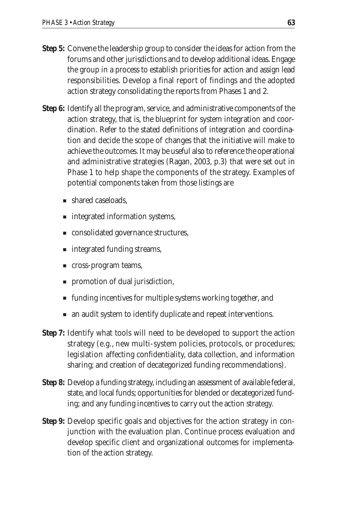- **Step 5:** Convene the leadership group to consider the ideas for action from the forums and other jurisdictions and to develop additional ideas. Engage the group in a process to establish priorities for action and assign lead responsibilities. Develop a final report of findings and the adopted action strategy consolidating the reports from Phases 1 and 2.
- **Step 6:** Identify all the program, service, and administrative components of the action strategy, that is, the blueprint for system integration and coordination. Refer to the stated definitions of integration and coordination and decide the scope of changes that the initiative will make to achieve the outcomes. It may be useful also to reference the operational and administrative strategies (Ragan, 2003, p.3) that were set out in Phase 1 to help shape the components of the strategy. Examples of potential components taken from those listings are
	- shared caseloads,
	- integrated information systems,
	- consolidated governance structures,
	- integrated funding streams,
	- cross-program teams,
	- promotion of dual jurisdiction,
	- funding incentives for multiple systems working together, and
	- an audit system to identify duplicate and repeat interventions.
- **Step 7:** Identify what tools will need to be developed to support the action strategy (e.g., new multi-system policies, protocols, or procedures; legislation affecting confidentiality, data collection, and information sharing; and creation of decategorized funding recommendations).
- **Step 8:** Develop a funding strategy, including an assessment of available federal, state, and local funds; opportunities for blended or decategorized funding; and any funding incentives to carry out the action strategy.
- **Step 9:** Develop specific goals and objectives for the action strategy in conjunction with the evaluation plan. Continue process evaluation and develop specific client and organizational outcomes for implementation of the action strategy.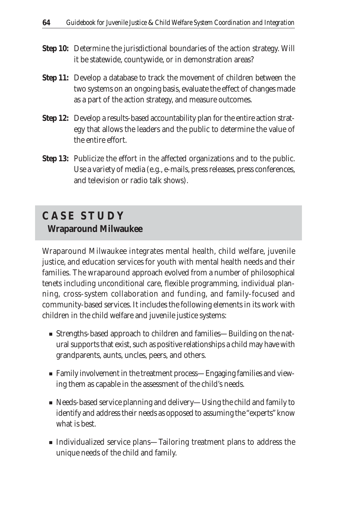- **Step 10:** Determine the jurisdictional boundaries of the action strategy. Will it be statewide, countywide, or in demonstration areas?
- **Step 11:** Develop a database to track the movement of children between the two systems on an ongoing basis, evaluate the effect of changes made as a part of the action strategy, and measure outcomes.
- **Step 12:** Develop a results-based accountability plan for the entire action strategy that allows the leaders and the public to determine the value of the entire effort.
- **Step 13:** Publicize the effort in the affected organizations and to the public. Use a variety of media (e.g., e-mails, press releases, press conferences, and television or radio talk shows).

## **C A S E S T U D Y Wraparound Milwaukee**

Wraparound Milwaukee integrates mental health, child welfare, juvenile justice, and education services for youth with mental health needs and their families. The wraparound approach evolved from a number of philosophical tenets including unconditional care, flexible programming, individual planning, cross-system collaboration and funding, and family-focused and community-based services. It includes the following elements in its work with children in the child welfare and juvenile justice systems:

- Strengths-based approach to children and families—Building on the natural supports that exist, such as positive relationships a child may have with grandparents, aunts, uncles, peers, and others.
- Family involvement in the treatment process—Engaging families and viewing them as capable in the assessment of the child's needs.
- Needs-based service planning and delivery—Using the child and family to identify and address their needs as opposed to assuming the "experts" know what is best.
- Individualized service plans—Tailoring treatment plans to address the unique needs of the child and family.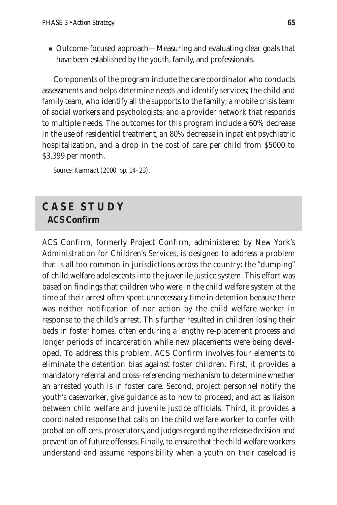■ Outcome-focused approach—Measuring and evaluating clear goals that have been established by the youth, family, and professionals.

Components of the program include the care coordinator who conducts assessments and helps determine needs and identify services; the child and family team, who identify all the supports to the family; a mobile crisis team of social workers and psychologists; and a provider network that responds to multiple needs. The outcomes for this program include a 60% decrease in the use of residential treatment, an 80% decrease in inpatient psychiatric hospitalization, and a drop in the cost of care per child from \$5000 to \$3,399 per month.

*Source: Kamradt (2000, pp. 14–23).*

## **C A S E S T U D Y ACS Confirm**

ACS Confirm, formerly Project Confirm, administered by New York's Administration for Children's Services, is designed to address a problem that is all too common in jurisdictions across the country: the "dumping" of child welfare adolescents into the juvenile justice system. This effort was based on findings that children who were in the child welfare system at the time of their arrest often spent unnecessary time in detention because there was neither notification of nor action by the child welfare worker in response to the child's arrest. This further resulted in children losing their beds in foster homes, often enduring a lengthy re-placement process and longer periods of incarceration while new placements were being developed. To address this problem, ACS Confirm involves four elements to eliminate the detention bias against foster children. First, it provides a mandatory referral and cross-referencing mechanism to determine whether an arrested youth is in foster care. Second, project personnel notify the youth's caseworker, give guidance as to how to proceed, and act as liaison between child welfare and juvenile justice officials. Third, it provides a coordinated response that calls on the child welfare worker to confer with probation officers, prosecutors, and judges regarding the release decision and prevention of future offenses. Finally, to ensure that the child welfare workers understand and assume responsibility when a youth on their caseload is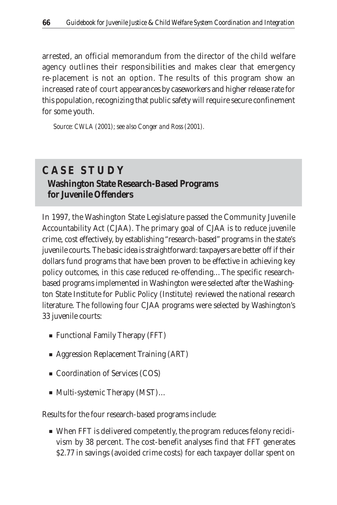arrested, an official memorandum from the director of the child welfare agency outlines their responsibilities and makes clear that emergency re-placement is not an option. The results of this program show an increased rate of court appearances by caseworkers and higher release rate for this population, recognizing that public safety will require secure confinement for some youth.

*Source: CWLA (2001); see also Conger and Ross (2001).*

## **C A S E S T U D Y Washington State Research-Based Programs for Juvenile Offenders**

In 1997, the Washington State Legislature passed the Community Juvenile Accountability Act (CJAA). The primary goal of CJAA is to reduce juvenile crime, cost effectively, by establishing "research-based" programs in the state's juvenile courts. The basic idea is straightforward: taxpayers are better off if their dollars fund programs that have been proven to be effective in achieving key policy outcomes, in this case reduced re-offending…The specific researchbased programs implemented in Washington were selected after the Washington State Institute for Public Policy (Institute) reviewed the national research literature. The following four CJAA programs were selected by Washington's 33 juvenile courts:

- Functional Family Therapy (FFT)
- Aggression Replacement Training (ART)
- Coordination of Services (COS)
- Multi-systemic Therapy (MST)...

Results for the four research-based programs include:

■ When FFT is delivered competently, the program reduces felony recidivism by 38 percent. The cost-benefit analyses find that FFT generates \$2.77 in savings (avoided crime costs) for each taxpayer dollar spent on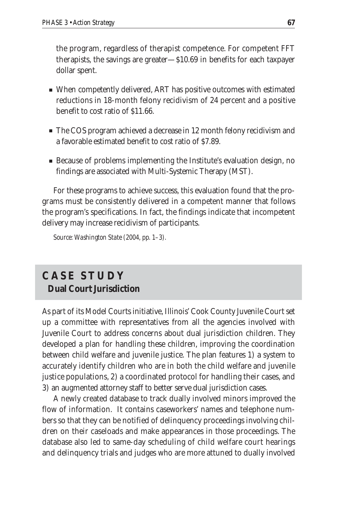the program, regardless of therapist competence. For competent FFT therapists, the savings are greater—\$10.69 in benefits for each taxpayer dollar spent.

- When competently delivered, ART has positive outcomes with estimated reductions in 18-month felony recidivism of 24 percent and a positive benefit to cost ratio of \$11.66.
- The COS program achieved a decrease in 12 month felony recidivism and a favorable estimated benefit to cost ratio of \$7.89.
- Because of problems implementing the Institute's evaluation design, no findings are associated with Multi-Systemic Therapy (MST).

For these programs to achieve success, this evaluation found that the programs must be consistently delivered in a competent manner that follows the program's specifications. In fact, the findings indicate that incompetent delivery may increase recidivism of participants.

*Source: Washington State (2004, pp. 1–3).*

## **C A S E S T U D Y Dual Court Jurisdiction**

As part of its Model Courts initiative, Illinois' Cook County Juvenile Court set up a committee with representatives from all the agencies involved with Juvenile Court to address concerns about dual jurisdiction children. They developed a plan for handling these children, improving the coordination between child welfare and juvenile justice. The plan features 1) a system to accurately identify children who are in both the child welfare and juvenile justice populations, 2) a coordinated protocol for handling their cases, and 3) an augmented attorney staff to better serve dual jurisdiction cases.

A newly created database to track dually involved minors improved the flow of information. It contains caseworkers' names and telephone numbers so that they can be notified of delinquency proceedings involving children on their caseloads and make appearances in those proceedings. The database also led to same-day scheduling of child welfare court hearings and delinquency trials and judges who are more attuned to dually involved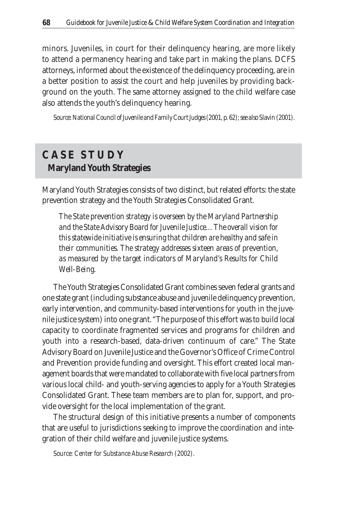minors. Juveniles, in court for their delinquency hearing, are more likely to attend a permanency hearing and take part in making the plans. DCFS attorneys, informed about the existence of the delinquency proceeding, are in a better position to assist the court and help juveniles by providing background on the youth. The same attorney assigned to the child welfare case also attends the youth's delinquency hearing.

*Source: National Council of Juvenile and Family Court Judges (2001, p. 62); see also Slavin (2001).*

## **C A S E S T U D Y Maryland Youth Strategies**

Maryland Youth Strategies consists of two distinct, but related efforts: the state prevention strategy and the Youth Strategies Consolidated Grant.

*The State prevention strategy is overseen by the Maryland Partnership and the State Advisory Board for Juvenile Justice…The overall vision for this statewide initiative is ensuring that children are healthy and safe in their communities. The strategy addresses sixteen areas of prevention, as measured by the target indicators of Maryland's Results for Child Well-Being.*

The Youth Strategies Consolidated Grant combines seven federal grants and one state grant (including substance abuse and juvenile delinquency prevention, early intervention, and community-based interventions for youth in the juvenile justice system) into one grant. "The purpose of this effort was to build local capacity to coordinate fragmented services and programs for children and youth into a research-based, data-driven continuum of care." The State Advisory Board on Juvenile Justice and the Governor's Office of Crime Control and Prevention provide funding and oversight. This effort created local management boards that were mandated to collaborate with five local partners from various local child- and youth-serving agencies to apply for a Youth Strategies Consolidated Grant. These team members are to plan for, support, and provide oversight for the local implementation of the grant.

The structural design of this initiative presents a number of components that are useful to jurisdictions seeking to improve the coordination and integration of their child welfare and juvenile justice systems.

*Source: Center for Substance Abuse Research (2002).*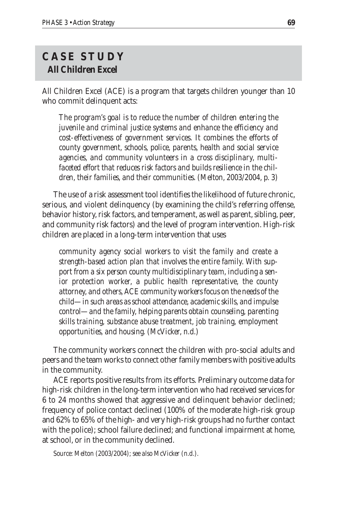#### **C A S E S T U D Y All Children Excel**

All Children Excel (ACE) is a program that targets children younger than 10 who commit delinquent acts:

*The program's goal is to reduce the number of children entering the juvenile and criminal justice systems and enhance the efficiency and cost-effectiveness of government services. It combines the efforts of county government, schools, police, parents, health and social service agencies, and community volunteers in a cross disciplinary, multifaceted effort that reduces risk factors and builds resilience in the children, their families, and their communities. (Melton, 2003/2004, p. 3)*

The use of a risk assessment tool identifies the likelihood of future chronic, serious, and violent delinquency (by examining the child's referring offense, behavior history, risk factors, and temperament, as well as parent, sibling, peer, and community risk factors) and the level of program intervention. High-risk children are placed in a long-term intervention that uses

*community agency social workers to visit the family and create a strength-based action plan that involves the entire family. With support from a six person county multidisciplinary team, including a senior protection worker, a public health representative, the county attorney, and others, ACE community workers focus on the needs of the child—in such areas as school attendance, academic skills, and impulse control—and the family, helping parents obtain counseling, parenting skills training, substance abuse treatment, job training, employment opportunities, and housing. (McVicker, n.d.)*

The community workers connect the children with pro-social adults and peers and the team works to connect other family members with positive adults in the community.

ACE reports positive results from its efforts. Preliminary outcome data for high-risk children in the long-term intervention who had received services for 6 to 24 months showed that aggressive and delinquent behavior declined; frequency of police contact declined (100% of the moderate high-risk group and 62% to 65% of the high- and very high-risk groups had no further contact with the police); school failure declined; and functional impairment at home, at school, or in the community declined.

*Source: Melton (2003/2004); see also McVicker (n.d.).*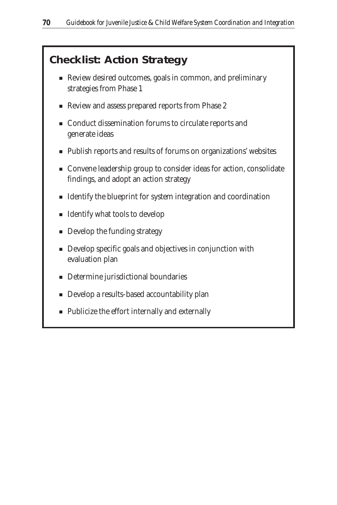## **Checklist: Action Strategy**

- Review desired outcomes, goals in common, and preliminary strategies from Phase 1
- Review and assess prepared reports from Phase 2
- Conduct dissemination forums to circulate reports and generate ideas
- Publish reports and results of forums on organizations' websites
- Convene leadership group to consider ideas for action, consolidate findings, and adopt an action strategy
- Identify the blueprint for system integration and coordination
- Identify what tools to develop
- Develop the funding strategy
- Develop specific goals and objectives in conjunction with evaluation plan
- Determine jurisdictional boundaries
- Develop a results-based accountability plan
- Publicize the effort internally and externally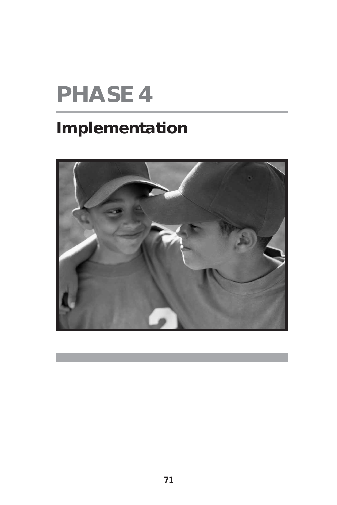# **PHASE 4**

## **Implementation**

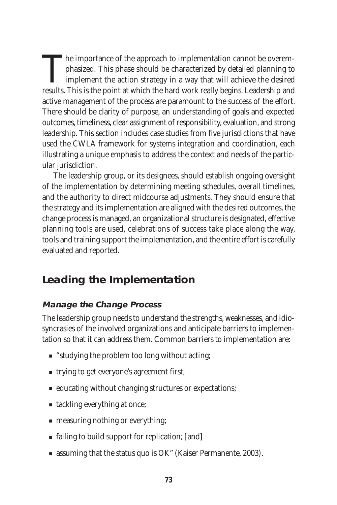The importance of the approach to implementation cannot be overemphasized. This phase should be characterized by detailed planning to implement the action strategy in a way that will achieve the desired results. This is th phasized. This phase should be characterized by detailed planning to implement the action strategy in a way that will achieve the desired results. This is the point at which the hard work really begins. Leadership and active management of the process are paramount to the success of the effort. There should be clarity of purpose, an understanding of goals and expected outcomes, timeliness, clear assignment of responsibility, evaluation, and strong leadership. This section includes case studies from five jurisdictions that have used the CWLA framework for systems integration and coordination, each illustrating a unique emphasis to address the context and needs of the particular jurisdiction.

The leadership group, or its designees, should establish ongoing oversight of the implementation by determining meeting schedules, overall timelines, and the authority to direct midcourse adjustments. They should ensure that the strategy and its implementation are aligned with the desired outcomes, the change process is managed, an organizational structure is designated, effective planning tools are used, celebrations of success take place along the way, tools and training support the implementation, and the entire effort is carefully evaluated and reported.

### **Leading the Implementation**

#### **Manage the Change Process**

The leadership group needs to understand the strengths, weaknesses, and idiosyncrasies of the involved organizations and anticipate barriers to implementation so that it can address them. Common barriers to implementation are:

- "studying the problem too long without acting;
- trying to get everyone's agreement first;
- educating without changing structures or expectations;
- tackling everything at once;
- measuring nothing or everything;
- failing to build support for replication; [and]
- assuming that the status quo is OK" (Kaiser Permanente, 2003).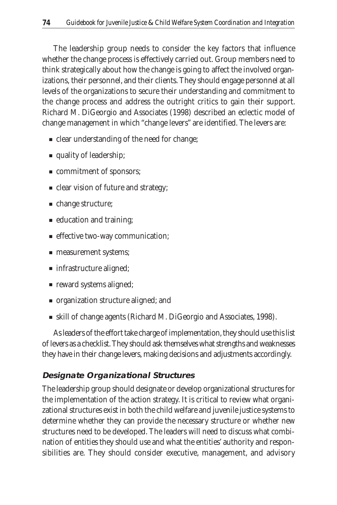The leadership group needs to consider the key factors that influence whether the change process is effectively carried out. Group members need to think strategically about how the change is going to affect the involved organizations, their personnel, and their clients. They should engage personnel at all levels of the organizations to secure their understanding and commitment to the change process and address the outright critics to gain their support. Richard M. DiGeorgio and Associates (1998) described an eclectic model of change management in which "change levers" are identified. The levers are:

- clear understanding of the need for change;
- quality of leadership;
- commitment of sponsors;
- clear vision of future and strategy;
- change structure;
- education and training;
- effective two-way communication;
- measurement systems;
- infrastructure aligned;
- reward systems aligned;
- organization structure aligned; and
- skill of change agents (Richard M. DiGeorgio and Associates, 1998).

As leaders of the effort take charge of implementation, they should use this list of levers as a checklist. They should ask themselves what strengths and weaknesses they have in their change levers, making decisions and adjustments accordingly.

#### **Designate Organizational Structures**

The leadership group should designate or develop organizational structures for the implementation of the action strategy. It is critical to review what organizational structures exist in both the child welfare and juvenile justice systems to determine whether they can provide the necessary structure or whether new structures need to be developed. The leaders will need to discuss what combination of entities they should use and what the entities' authority and responsibilities are. They should consider executive, management, and advisory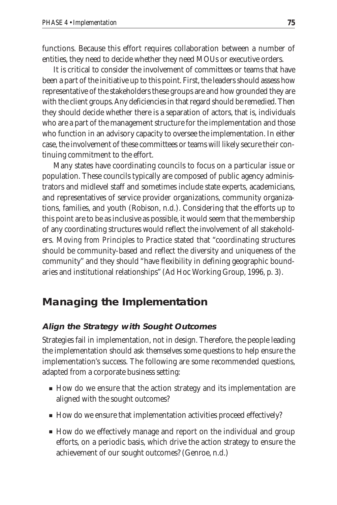functions. Because this effort requires collaboration between a number of entities, they need to decide whether they need MOUs or executive orders.

It is critical to consider the involvement of committees or teams that have been a part of the initiative up to this point. First, the leaders should assess how representative of the stakeholders these groups are and how grounded they are with the client groups. Any deficiencies in that regard should be remedied. Then they should decide whether there is a separation of actors, that is, individuals who are a part of the management structure for the implementation and those who function in an advisory capacity to oversee the implementation. In either case, the involvement of these committees or teams will likely secure their continuing commitment to the effort.

Many states have coordinating councils to focus on a particular issue or population. These councils typically are composed of public agency administrators and midlevel staff and sometimes include state experts, academicians, and representatives of service provider organizations, community organizations, families, and youth (Robison, n.d.). Considering that the efforts up to this point are to be as inclusive as possible, it would seem that the membership of any coordinating structures would reflect the involvement of all stakeholders. *Moving from Principles to Practice* stated that "coordinating structures should be community-based and reflect the diversity and uniqueness of the community" and they should "have flexibility in defining geographic boundaries and institutional relationships" (Ad Hoc Working Group, 1996, p. 3).

#### **Managing the Implementation**

#### **Align the Strategy with Sought Outcomes**

Strategies fail in implementation, not in design. Therefore, the people leading the implementation should ask themselves some questions to help ensure the implementation's success. The following are some recommended questions, adapted from a corporate business setting:

- How do we ensure that the action strategy and its implementation are aligned with the sought outcomes?
- How do we ensure that implementation activities proceed effectively?
- How do we effectively manage and report on the individual and group efforts, on a periodic basis, which drive the action strategy to ensure the achievement of our sought outcomes? (Genroe, n.d.)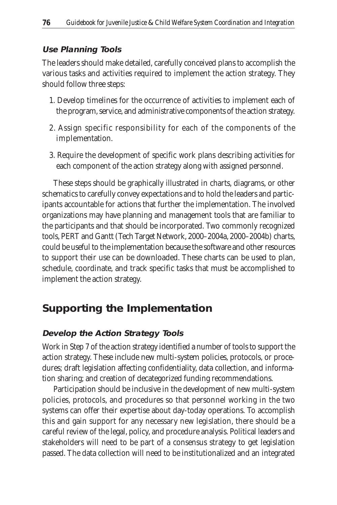#### **Use Planning Tools**

The leaders should make detailed, carefully conceived plans to accomplish the various tasks and activities required to implement the action strategy. They should follow three steps:

- 1. Develop timelines for the occurrence of activities to implement each of the program, service, and administrative components of the action strategy.
- 2. Assign specific responsibility for each of the components of the implementation.
- 3. Require the development of specific work plans describing activities for each component of the action strategy along with assigned personnel.

These steps should be graphically illustrated in charts, diagrams, or other schematics to carefully convey expectations and to hold the leaders and participants accountable for actions that further the implementation. The involved organizations may have planning and management tools that are familiar to the participants and that should be incorporated. Two commonly recognized tools, PERT and Gantt (Tech Target Network, 2000–2004a, 2000–2004b) charts, could be useful to the implementation because the software and other resources to support their use can be downloaded. These charts can be used to plan, schedule, coordinate, and track specific tasks that must be accomplished to implement the action strategy.

## **Supporting the Implementation**

#### **Develop the Action Strategy Tools**

Work in Step 7 of the action strategy identified a number of tools to support the action strategy. These include new multi-system policies, protocols, or procedures; draft legislation affecting confidentiality, data collection, and information sharing; and creation of decategorized funding recommendations.

Participation should be inclusive in the development of new multi-system policies, protocols, and procedures so that personnel working in the two systems can offer their expertise about day-today operations. To accomplish this and gain support for any necessary new legislation, there should be a careful review of the legal, policy, and procedure analysis. Political leaders and stakeholders will need to be part of a consensus strategy to get legislation passed. The data collection will need to be institutionalized and an integrated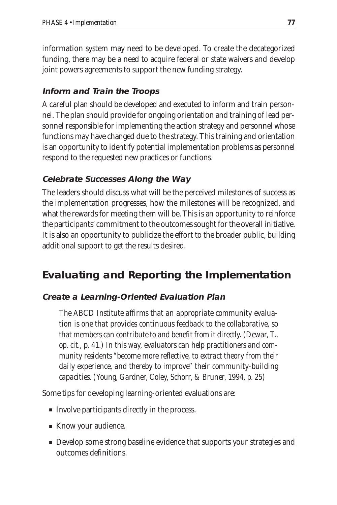information system may need to be developed. To create the decategorized funding, there may be a need to acquire federal or state waivers and develop joint powers agreements to support the new funding strategy.

#### **Inform and Train the Troops**

A careful plan should be developed and executed to inform and train personnel. The plan should provide for ongoing orientation and training of lead personnel responsible for implementing the action strategy and personnel whose functions may have changed due to the strategy. This training and orientation is an opportunity to identify potential implementation problems as personnel respond to the requested new practices or functions.

#### **Celebrate Successes Along the Way**

The leaders should discuss what will be the perceived milestones of success as the implementation progresses, how the milestones will be recognized, and what the rewards for meeting them will be. This is an opportunity to reinforce the participants' commitment to the outcomes sought for the overall initiative. It is also an opportunity to publicize the effort to the broader public, building additional support to get the results desired.

#### **Evaluating and Reporting the Implementation**

#### **Create a Learning-Oriented Evaluation Plan**

*The ABCD Institute affirms that an appropriate community evaluation is one that provides continuous feedback to the collaborative, so that members can contribute to and benefit from it directly. (Dewar, T., op. cit., p. 41.) In this way, evaluators can help practitioners and community residents "become more reflective, to extract theory from their daily experience, and thereby to improve" their community-building capacities. (Young, Gardner, Coley, Schorr, & Bruner, 1994, p. 25)*

Some tips for developing learning-oriented evaluations are:

- Involve participants directly in the process.
- Know your audience.
- Develop some strong baseline evidence that supports your strategies and outcomes definitions.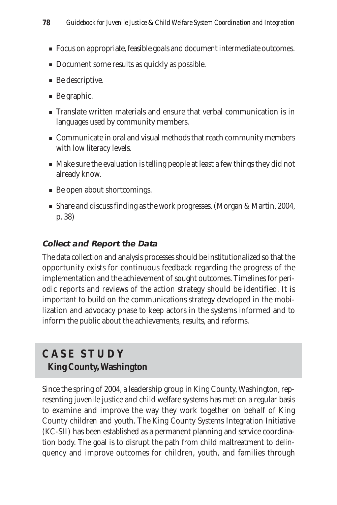- Focus on appropriate, feasible goals and document intermediate outcomes.
- Document some results as quickly as possible.
- Be descriptive.
- Be graphic.
- Translate written materials and ensure that verbal communication is in languages used by community members.
- Communicate in oral and visual methods that reach community members with low literacy levels.
- Make sure the evaluation is telling people at least a few things they did not already know.
- Be open about shortcomings.
- Share and discuss finding as the work progresses. (Morgan & Martin, 2004, p. 38)

#### **Collect and Report the Data**

The data collection and analysis processes should be institutionalized so that the opportunity exists for continuous feedback regarding the progress of the implementation and the achievement of sought outcomes. Timelines for periodic reports and reviews of the action strategy should be identified. It is important to build on the communications strategy developed in the mobilization and advocacy phase to keep actors in the systems informed and to inform the public about the achievements, results, and reforms.

### **C A S E S T U D Y King County, Washington**

Since the spring of 2004, a leadership group in King County, Washington, representing juvenile justice and child welfare systems has met on a regular basis to examine and improve the way they work together on behalf of King County children and youth. The King County Systems Integration Initiative (KC-SII) has been established as a permanent planning and service coordination body. The goal is to disrupt the path from child maltreatment to delinquency and improve outcomes for children, youth, and families through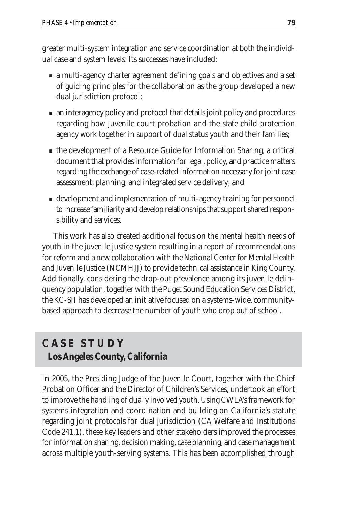greater multi-system integration and service coordination at both the individual case and system levels. Its successes have included:

- a multi-agency charter agreement defining goals and objectives and a set of guiding principles for the collaboration as the group developed a new dual jurisdiction protocol;
- an interagency policy and protocol that details joint policy and procedures regarding how juvenile court probation and the state child protection agency work together in support of dual status youth and their families;
- the development of a Resource Guide for Information Sharing, a critical document that provides information for legal, policy, and practice matters regarding the exchange of case-related information necessary for joint case assessment, planning, and integrated service delivery; and
- development and implementation of multi-agency training for personnel to increase familiarity and develop relationships that support shared responsibility and services.

This work has also created additional focus on the mental health needs of youth in the juvenile justice system resulting in a report of recommendations for reform and a new collaboration with the National Center for Mental Health and Juvenile Justice (NCMHJJ) to provide technical assistance in King County. Additionally, considering the drop-out prevalence among its juvenile delinquency population, together with the Puget Sound Education Services District, the KC-SII has developed an initiative focused on a systems-wide, communitybased approach to decrease the number of youth who drop out of school.

#### **C A S E S T U D Y Los Angeles County, California**

In 2005, the Presiding Judge of the Juvenile Court, together with the Chief Probation Officer and the Director of Children's Services, undertook an effort to improve the handling of dually involved youth. Using CWLA's framework for systems integration and coordination and building on California's statute regarding joint protocols for dual jurisdiction (CA Welfare and Institutions Code 241.1), these key leaders and other stakeholders improved the processes for information sharing, decision making, case planning, and case management across multiple youth-serving systems. This has been accomplished through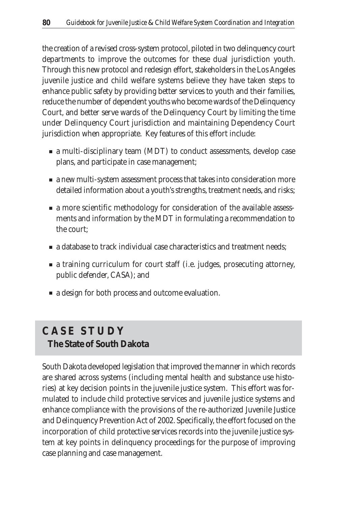the creation of a revised cross-system protocol, piloted in two delinquency court departments to improve the outcomes for these dual jurisdiction youth. Through this new protocol and redesign effort, stakeholders in the Los Angeles juvenile justice and child welfare systems believe they have taken steps to enhance public safety by providing better services to youth and their families, reduce the number of dependent youths who become wards of the Delinquency Court, and better serve wards of the Delinquency Court by limiting the time under Delinquency Court jurisdiction and maintaining Dependency Court jurisdiction when appropriate. Key features of this effort include:

- a multi-disciplinary team (MDT) to conduct assessments, develop case plans, and participate in case management;
- a new multi-system assessment process that takes into consideration more detailed information about a youth's strengths, treatment needs, and risks;
- a more scientific methodology for consideration of the available assessments and information by the MDT in formulating a recommendation to the court;
- a database to track individual case characteristics and treatment needs:
- a training curriculum for court staff (i.e. judges, prosecuting attorney, public defender, CASA); and
- a design for both process and outcome evaluation.

## **C A S E S T U D Y The State of South Dakota**

South Dakota developed legislation that improved the manner in which records are shared across systems (including mental health and substance use histories) at key decision points in the juvenile justice system. This effort was formulated to include child protective services and juvenile justice systems and enhance compliance with the provisions of the re-authorized Juvenile Justice and Delinquency Prevention Act of 2002. Specifically, the effort focused on the incorporation of child protective services records into the juvenile justice system at key points in delinquency proceedings for the purpose of improving case planning and case management.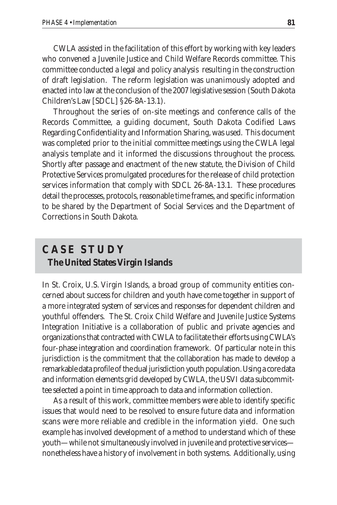CWLA assisted in the facilitation of this effort by working with key leaders who convened a Juvenile Justice and Child Welfare Records committee. This committee conducted a legal and policy analysis resulting in the construction of draft legislation. The reform legislation was unanimously adopted and enacted into law at the conclusion of the 2007 legislative session (South Dakota Children's Law [SDCL] §26-8A-13.1).

Throughout the series of on-site meetings and conference calls of the Records Committee, a guiding document, South Dakota Codified Laws Regarding Confidentiality and Information Sharing, was used. This document was completed prior to the initial committee meetings using the CWLA legal analysis template and it informed the discussions throughout the process. Shortly after passage and enactment of the new statute, the Division of Child Protective Services promulgated procedures for the release of child protection services information that comply with SDCL 26-8A-13.1. These procedures detail the processes, protocols, reasonable time frames, and specific information to be shared by the Department of Social Services and the Department of Corrections in South Dakota.

#### **C A S E S T U D Y The United States Virgin Islands**

In St. Croix, U.S. Virgin Islands, a broad group of community entities concerned about success for children and youth have come together in support of a more integrated system of services and responses for dependent children and youthful offenders. The St. Croix Child Welfare and Juvenile Justice Systems Integration Initiative is a collaboration of public and private agencies and organizations that contracted with CWLA to facilitate their efforts using CWLA's four-phase integration and coordination framework. Of particular note in this jurisdiction is the commitment that the collaboration has made to develop a remarkable data profile of the dual jurisdiction youth population. Using a core data and information elements grid developed by CWLA, the USVI data subcommittee selected a point in time approach to data and information collection.

As a result of this work, committee members were able to identify specific issues that would need to be resolved to ensure future data and information scans were more reliable and credible in the information yield. One such example has involved development of a method to understand which of these youth—while not simultaneously involved in juvenile and protective services nonetheless have a history of involvement in both systems. Additionally, using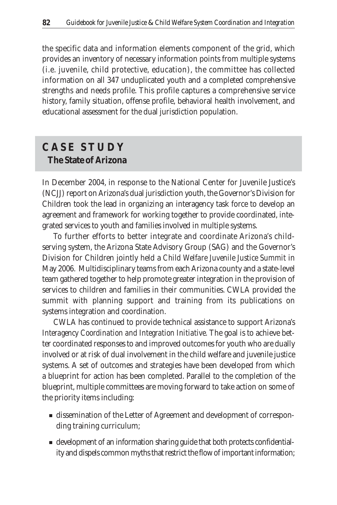the specific data and information elements component of the grid, which provides an inventory of necessary information points from multiple systems (i.e. juvenile, child protective, education), the committee has collected information on all 347 unduplicated youth and a completed comprehensive strengths and needs profile. This profile captures a comprehensive service history, family situation, offense profile, behavioral health involvement, and educational assessment for the dual jurisdiction population.

#### **C A S E S T U D Y The State of Arizona**

In December 2004, in response to the National Center for Juvenile Justice's (NCJJ) report on Arizona's dual jurisdiction youth, the Governor's Division for Children took the lead in organizing an interagency task force to develop an agreement and framework for working together to provide coordinated, integrated services to youth and families involved in multiple systems.

To further efforts to better integrate and coordinate Arizona's childserving system, the Arizona State Advisory Group (SAG) and the Governor's Division for Children jointly held a *Child Welfare Juvenile Justice Summit* in May 2006. Multidisciplinary teams from each Arizona county and a state-level team gathered together to help promote greater integration in the provision of services to children and families in their communities. CWLA provided the summit with planning support and training from its publications on systems integration and coordination.

CWLA has continued to provide technical assistance to support Arizona's *Interagency Coordination and Integration Initiative.* The goal is to achieve better coordinated responses to and improved outcomes for youth who are dually involved or at risk of dual involvement in the child welfare and juvenile justice systems. A set of outcomes and strategies have been developed from which a blueprint for action has been completed. Parallel to the completion of the blueprint, multiple committees are moving forward to take action on some of the priority items including:

- dissemination of the Letter of Agreement and development of corresponding training curriculum;
- development of an information sharing guide that both protects confidentiality and dispels common myths that restrict the flow of important information;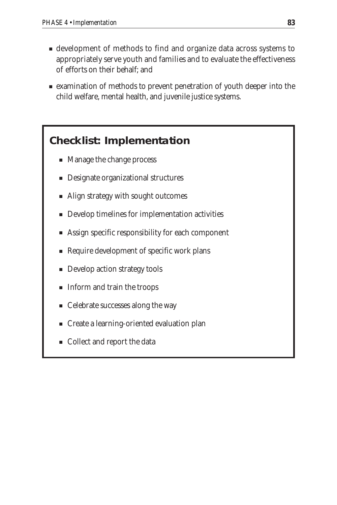- development of methods to find and organize data across systems to appropriately serve youth and families and to evaluate the effectiveness of efforts on their behalf; and
- examination of methods to prevent penetration of youth deeper into the child welfare, mental health, and juvenile justice systems.

#### **Checklist: Implementation**

- Manage the change process
- Designate organizational structures
- Align strategy with sought outcomes
- Develop timelines for implementation activities
- Assign specific responsibility for each component
- Require development of specific work plans
- Develop action strategy tools
- Inform and train the troops
- Celebrate successes along the way
- Create a learning-oriented evaluation plan
- Collect and report the data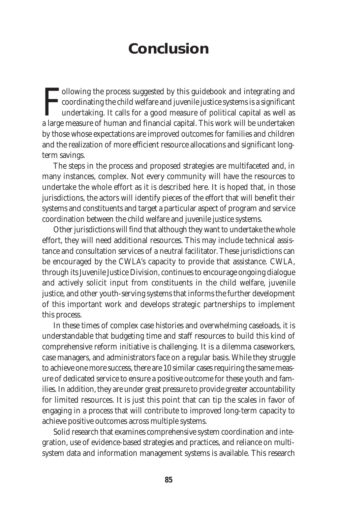## **Conclusion**

Following the process suggested by this guidebook and integrating and coordinating the child welfare and juvenile justice systems is a significant undertaking. It calls for a good measure of political capital as well as a **Tollowing the process suggested by this guidebook and integrating and** coordinating the child welfare and juvenile justice systems is a significant undertaking. It calls for a good measure of political capital as well as by those whose expectations are improved outcomes for families and children and the realization of more efficient resource allocations and significant longterm savings.

The steps in the process and proposed strategies are multifaceted and, in many instances, complex. Not every community will have the resources to undertake the whole effort as it is described here. It is hoped that, in those jurisdictions, the actors will identify pieces of the effort that will benefit their systems and constituents and target a particular aspect of program and service coordination between the child welfare and juvenile justice systems.

Other jurisdictions will find that although they want to undertake the whole effort, they will need additional resources. This may include technical assistance and consultation services of a neutral facilitator. These jurisdictions can be encouraged by the CWLA's capacity to provide that assistance. CWLA, through its Juvenile Justice Division, continues to encourage ongoing dialogue and actively solicit input from constituents in the child welfare, juvenile justice, and other youth-serving systems that informs the further development of this important work and develops strategic partnerships to implement this process.

In these times of complex case histories and overwhelming caseloads, it is understandable that budgeting time and staff resources to build this kind of comprehensive reform initiative is challenging. It is a dilemma caseworkers, case managers, and administrators face on a regular basis. While they struggle to achieve one more success, there are 10 similar cases requiring the same measure of dedicated service to ensure a positive outcome for these youth and families. In addition, they are under great pressure to provide greater accountability for limited resources. It is just this point that can tip the scales in favor of engaging in a process that will contribute to improved long-term capacity to achieve positive outcomes across multiple systems.

Solid research that examines comprehensive system coordination and integration, use of evidence-based strategies and practices, and reliance on multisystem data and information management systems is available. This research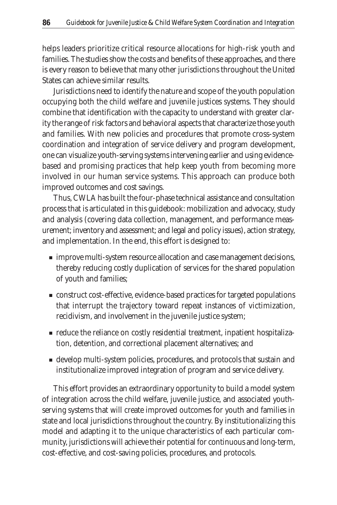helps leaders prioritize critical resource allocations for high-risk youth and families. The studies show the costs and benefits of these approaches, and there is every reason to believe that many other jurisdictions throughout the United States can achieve similar results.

Jurisdictions need to identify the nature and scope of the youth population occupying both the child welfare and juvenile justices systems. They should combine that identification with the capacity to understand with greater clarity the range of risk factors and behavioral aspects that characterize those youth and families. With new policies and procedures that promote cross-system coordination and integration of service delivery and program development, one can visualize youth-serving systems intervening earlier and using evidencebased and promising practices that help keep youth from becoming more involved in our human service systems. This approach can produce both improved outcomes and cost savings.

Thus, CWLA has built the four-phase technical assistance and consultation process that is articulated in this guidebook: mobilization and advocacy, study and analysis (covering data collection, management, and performance measurement; inventory and assessment; and legal and policy issues), action strategy, and implementation. In the end, this effort is designed to:

- improve multi-system resource allocation and case management decisions, thereby reducing costly duplication of services for the shared population of youth and families;
- construct cost-effective, evidence-based practices for targeted populations that interrupt the trajectory toward repeat instances of victimization, recidivism, and involvement in the juvenile justice system;
- reduce the reliance on costly residential treatment, inpatient hospitalization, detention, and correctional placement alternatives; and
- develop multi-system policies, procedures, and protocols that sustain and institutionalize improved integration of program and service delivery.

This effort provides an extraordinary opportunity to build a model system of integration across the child welfare, juvenile justice, and associated youthserving systems that will create improved outcomes for youth and families in state and local jurisdictions throughout the country. By institutionalizing this model and adapting it to the unique characteristics of each particular community, jurisdictions will achieve their potential for continuous and long-term, cost-effective, and cost-saving policies, procedures, and protocols.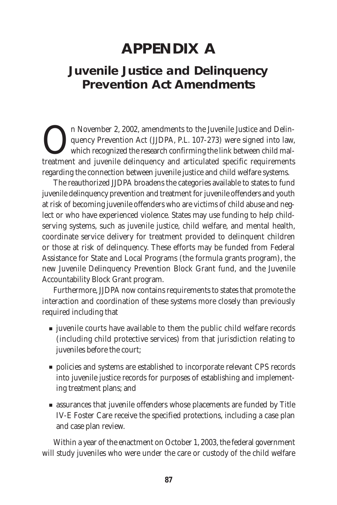## **APPENDIX A**

## **Juvenile Justice and Delinquency Prevention Act Amendments**

The November 2, 2002, amendments to the Juvenile Justice and Delin-<br>quency Prevention Act (JJDPA, P.L. 107-273) were signed into law,<br>which recognized the research confirming the link between child mal-<br>treatment and juven quency Prevention Act (JJDPA, P.L. 107-273) were signed into law, which recognized the research confirming the link between child maltreatment and juvenile delinquency and articulated specific requirements regarding the connection between juvenile justice and child welfare systems.

The reauthorized JJDPA broadens the categories available to states to fund juvenile delinquency prevention and treatment for juvenile offenders and youth at risk of becoming juvenile offenders who are victims of child abuse and neglect or who have experienced violence. States may use funding to help childserving systems, such as juvenile justice, child welfare, and mental health, coordinate service delivery for treatment provided to delinquent children or those at risk of delinquency. These efforts may be funded from Federal Assistance for State and Local Programs (the formula grants program), the new Juvenile Delinquency Prevention Block Grant fund, and the Juvenile Accountability Block Grant program.

Furthermore, JJDPA now contains requirements to states that promote the interaction and coordination of these systems more closely than previously required including that

- juvenile courts have available to them the public child welfare records (including child protective services) from that jurisdiction relating to juveniles before the court;
- policies and systems are established to incorporate relevant CPS records into juvenile justice records for purposes of establishing and implementing treatment plans; and
- assurances that juvenile offenders whose placements are funded by Title IV-E Foster Care receive the specified protections, including a case plan and case plan review.

Within a year of the enactment on October 1, 2003, the federal government will study juveniles who were under the care or custody of the child welfare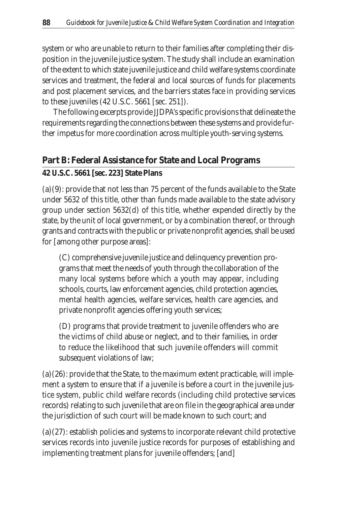system or who are unable to return to their families after completing their disposition in the juvenile justice system. The study shall include an examination of the extent to which state juvenile justice and child welfare systems coordinate services and treatment, the federal and local sources of funds for placements and post placement services, and the barriers states face in providing services to these juveniles (42 U.S.C. 5661 [sec. 251]).

The following excerpts provide JJDPA's specific provisions that delineate the requirements regarding the connections between these systems and provide further impetus for more coordination across multiple youth-serving systems.

#### **Part B: Federal Assistance for State and Local Programs**

#### **42 U.S.C. 5661 [sec. 223] State Plans**

(a)(9): provide that not less than 75 percent of the funds available to the State under 5632 of this title, other than funds made available to the state advisory group under section 5632(d) of this title, whether expended directly by the state, by the unit of local government, or by a combination thereof, or through grants and contracts with the public or private nonprofit agencies, shall be used for [among other purpose areas]:

(C) comprehensive juvenile justice and delinquency prevention programs that meet the needs of youth through the collaboration of the many local systems before which a youth may appear, including schools, courts, law enforcement agencies, child protection agencies, mental health agencies, welfare services, health care agencies, and private nonprofit agencies offering youth services;

(D) programs that provide treatment to juvenile offenders who are the victims of child abuse or neglect, and to their families, in order to reduce the likelihood that such juvenile offenders will commit subsequent violations of law;

(a)(26): provide that the State, to the maximum extent practicable, will implement a system to ensure that if a juvenile is before a court in the juvenile justice system, public child welfare records (including child protective services records) relating to such juvenile that are on file in the geographical area under the jurisdiction of such court will be made known to such court; and

(a)(27): establish policies and systems to incorporate relevant child protective services records into juvenile justice records for purposes of establishing and implementing treatment plans for juvenile offenders; [and]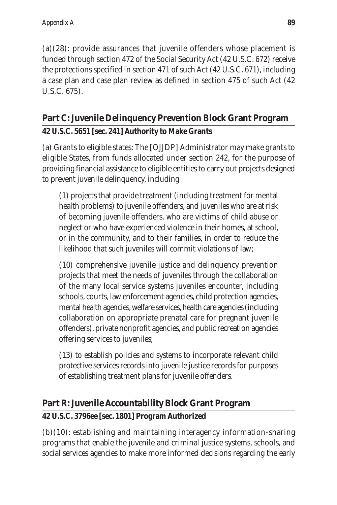(a)(28): provide assurances that juvenile offenders whose placement is funded through section 472 of the Social Security Act (42 U.S.C. 672) receive the protections specified in section 471 of such Act (42 U.S.C. 671), including a case plan and case plan review as defined in section 475 of such Act (42 U.S.C. 675).

#### **Part C: Juvenile Delinquency Prevention Block Grant Program 42 U.S.C. 5651 [sec. 241] Authority to Make Grants**

(a) Grants to eligible states: The [OJJDP] Administrator may make grants to eligible States, from funds allocated under section 242, for the purpose of providing financial assistance to eligible entities to carry out projects designed to prevent juvenile delinquency, including

(1) projects that provide treatment (including treatment for mental health problems) to juvenile offenders, and juveniles who are at risk of becoming juvenile offenders, who are victims of child abuse or neglect or who have experienced violence in their homes, at school, or in the community, and to their families, in order to reduce the likelihood that such juveniles will commit violations of law;

(10) comprehensive juvenile justice and delinquency prevention projects that meet the needs of juveniles through the collaboration of the many local service systems juveniles encounter, including schools, courts, law enforcement agencies, child protection agencies, mental health agencies, welfare services, health care agencies (including collaboration on appropriate prenatal care for pregnant juvenile offenders), private nonprofit agencies, and public recreation agencies offering services to juveniles;

(13) to establish policies and systems to incorporate relevant child protective services records into juvenile justice records for purposes of establishing treatment plans for juvenile offenders.

#### **Part R: Juvenile Accountability Block Grant Program**

#### **42 U.S.C. 3796ee [sec. 1801] Program Authorized**

(b)(10): establishing and maintaining interagency information-sharing programs that enable the juvenile and criminal justice systems, schools, and social services agencies to make more informed decisions regarding the early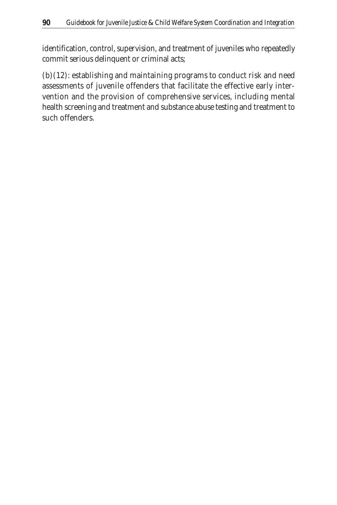identification, control, supervision, and treatment of juveniles who repeatedly commit serious delinquent or criminal acts;

(b)(12): establishing and maintaining programs to conduct risk and need assessments of juvenile offenders that facilitate the effective early intervention and the provision of comprehensive services, including mental health screening and treatment and substance abuse testing and treatment to such offenders.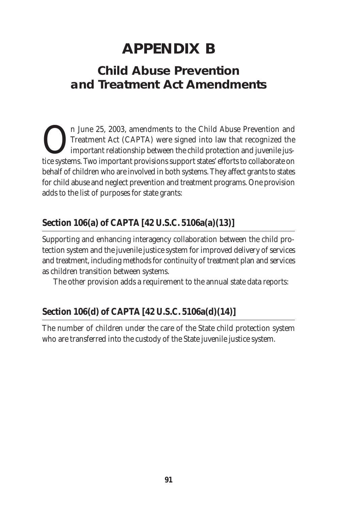## **APPENDIX B**

## **Child Abuse Prevention and Treatment Act Amendments**

The 25, 2003, amendments to the Child Abuse Prevention and Treatment Act (CAPTA) were signed into law that recognized the important relationship between the child protection and juvenile justice systems. Two important prov Treatment Act (CAPTA) were signed into law that recognized the important relationship between the child protection and juvenile justice systems. Two important provisions support states' efforts to collaborate on behalf of children who are involved in both systems. They affect grants to states for child abuse and neglect prevention and treatment programs. One provision adds to the list of purposes for state grants:

## **Section 106(a) of CAPTA [42 U.S.C. 5106a(a)(13)]**

Supporting and enhancing interagency collaboration between the child protection system and the juvenile justice system for improved delivery of services and treatment, including methods for continuity of treatment plan and services as children transition between systems.

The other provision adds a requirement to the annual state data reports:

### **Section 106(d) of CAPTA [42 U.S.C. 5106a(d)(14)]**

The number of children under the care of the State child protection system who are transferred into the custody of the State juvenile justice system.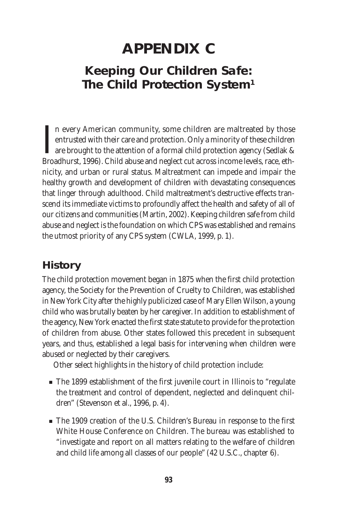## **APPENDIX C**

## **Keeping Our Children Safe: The Child Protection System1**

I<sub>Bro</sub> n every American community, some children are maltreated by those entrusted with their care and protection. Only a minority of these children are brought to the attention of a formal child protection agency (Sedlak & Broadhurst, 1996). Child abuse and neglect cut across income levels, race, ethnicity, and urban or rural status. Maltreatment can impede and impair the healthy growth and development of children with devastating consequences that linger through adulthood. Child maltreatment's destructive effects transcend its immediate victims to profoundly affect the health and safety of all of our citizens and communities (Martin, 2002). Keeping children safe from child abuse and neglect is the foundation on which CPS was established and remains the utmost priority of any CPS system (CWLA, 1999, p. 1).

#### **History**

The child protection movement began in 1875 when the first child protection agency, the Society for the Prevention of Cruelty to Children, was established in New York City after the highly publicized case of Mary Ellen Wilson, a young child who was brutally beaten by her caregiver. In addition to establishment of the agency, New York enacted the first state statute to provide for the protection of children from abuse. Other states followed this precedent in subsequent years, and thus, established a legal basis for intervening when children were abused or neglected by their caregivers.

Other select highlights in the history of child protection include:

- The 1899 establishment of the first juvenile court in Illinois to "regulate" the treatment and control of dependent, neglected and delinquent children" (Stevenson et al., 1996, p. 4).
- The 1909 creation of the U.S. Children's Bureau in response to the first White House Conference on Children. The bureau was established to "investigate and report on all matters relating to the welfare of children and child life among all classes of our people" (42 U.S.C., chapter 6).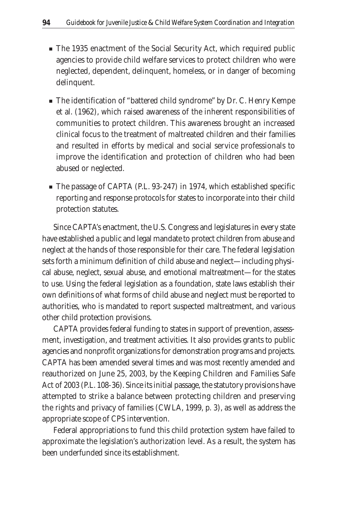- The 1935 enactment of the Social Security Act, which required public agencies to provide child welfare services to protect children who were neglected, dependent, delinquent, homeless, or in danger of becoming delinquent.
- The identification of "battered child syndrome" by Dr. C. Henry Kempe et al. (1962), which raised awareness of the inherent responsibilities of communities to protect children. This awareness brought an increased clinical focus to the treatment of maltreated children and their families and resulted in efforts by medical and social service professionals to improve the identification and protection of children who had been abused or neglected.
- The passage of CAPTA (P.L. 93-247) in 1974, which established specific reporting and response protocols for states to incorporate into their child protection statutes.

Since CAPTA's enactment, the U.S. Congress and legislatures in every state have established a public and legal mandate to protect children from abuse and neglect at the hands of those responsible for their care. The federal legislation sets forth a minimum definition of child abuse and neglect—including physical abuse, neglect, sexual abuse, and emotional maltreatment—for the states to use. Using the federal legislation as a foundation, state laws establish their own definitions of what forms of child abuse and neglect must be reported to authorities, who is mandated to report suspected maltreatment, and various other child protection provisions.

CAPTA provides federal funding to states in support of prevention, assessment, investigation, and treatment activities. It also provides grants to public agencies and nonprofit organizations for demonstration programs and projects. CAPTA has been amended several times and was most recently amended and reauthorized on June 25, 2003, by the Keeping Children and Families Safe Act of 2003 (P.L. 108-36). Since its initial passage, the statutory provisions have attempted to strike a balance between protecting children and preserving the rights and privacy of families (CWLA, 1999, p. 3), as well as address the appropriate scope of CPS intervention.

Federal appropriations to fund this child protection system have failed to approximate the legislation's authorization level. As a result, the system has been underfunded since its establishment.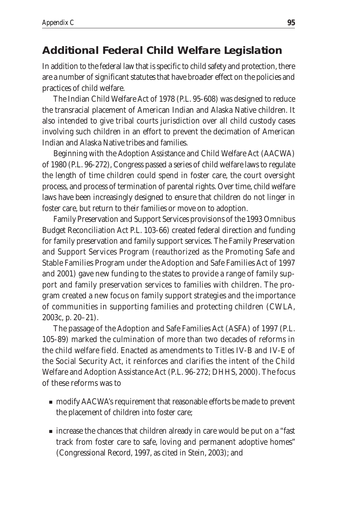### **Additional Federal Child Welfare Legislation**

In addition to the federal law that is specific to child safety and protection, there are a number of significant statutes that have broader effect on the policies and practices of child welfare.

The Indian Child Welfare Act of 1978 (P.L. 95-608) was designed to reduce the transracial placement of American Indian and Alaska Native children. It also intended to give tribal courts jurisdiction over all child custody cases involving such children in an effort to prevent the decimation of American Indian and Alaska Native tribes and families.

Beginning with the Adoption Assistance and Child Welfare Act (AACWA) of 1980 (P.L. 96-272), Congress passed a series of child welfare laws to regulate the length of time children could spend in foster care, the court oversight process, and process of termination of parental rights. Over time, child welfare laws have been increasingly designed to ensure that children do not linger in foster care, but return to their families or move on to adoption.

Family Preservation and Support Services provisions of the 1993 Omnibus Budget Reconciliation Act P.L. 103-66) created federal direction and funding for family preservation and family support services. The Family Preservation and Support Services Program (reauthorized as the Promoting Safe and Stable Families Program under the Adoption and Safe Families Act of 1997 and 2001) gave new funding to the states to provide a range of family support and family preservation services to families with children. The program created a new focus on family support strategies and the importance of communities in supporting families and protecting children (CWLA, 2003c, p. 20–21).

The passage of the Adoption and Safe Families Act (ASFA) of 1997 (P.L. 105-89) marked the culmination of more than two decades of reforms in the child welfare field. Enacted as amendments to Titles IV-B and IV-E of the Social Security Act, it reinforces and clarifies the intent of the Child Welfare and Adoption Assistance Act (P.L. 96-272; DHHS, 2000). The focus of these reforms was to

- modify AACWA's requirement that reasonable efforts be made to prevent the placement of children into foster care;
- increase the chances that children already in care would be put on a "fast" track from foster care to safe, loving and permanent adoptive homes" (Congressional Record, 1997, as cited in Stein, 2003); and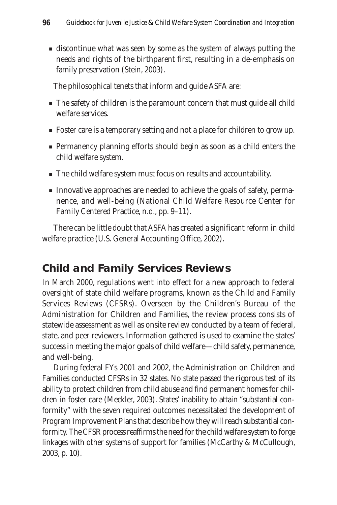■ discontinue what was seen by some as the system of always putting the needs and rights of the birthparent first, resulting in a de-emphasis on family preservation (Stein, 2003).

The philosophical tenets that inform and guide ASFA are:

- The safety of children is the paramount concern that must guide all child welfare services.
- Foster care is a temporary setting and not a place for children to grow up.
- Permanency planning efforts should begin as soon as a child enters the child welfare system.
- The child welfare system must focus on results and accountability.
- Innovative approaches are needed to achieve the goals of safety, permanence, and well-being (National Child Welfare Resource Center for Family Centered Practice, n.d., pp. 9–11).

There can be little doubt that ASFA has created a significant reform in child welfare practice (U.S. General Accounting Office, 2002).

#### **Child and Family Services Reviews**

In March 2000, regulations went into effect for a new approach to federal oversight of state child welfare programs, known as the Child and Family Services Reviews (CFSRs). Overseen by the Children's Bureau of the Administration for Children and Families, the review process consists of statewide assessment as well as onsite review conducted by a team of federal, state, and peer reviewers. Information gathered is used to examine the states' success in meeting the major goals of child welfare—child safety, permanence, and well-being.

During federal FYs 2001 and 2002, the Administration on Children and Families conducted CFSRs in 32 states. No state passed the rigorous test of its ability to protect children from child abuse and find permanent homes for children in foster care (Meckler, 2003). States' inability to attain "substantial conformity" with the seven required outcomes necessitated the development of Program Improvement Plans that describe how they will reach substantial conformity. The CFSR process reaffirms the need for the child welfare system to forge linkages with other systems of support for families (McCarthy & McCullough, 2003, p. 10).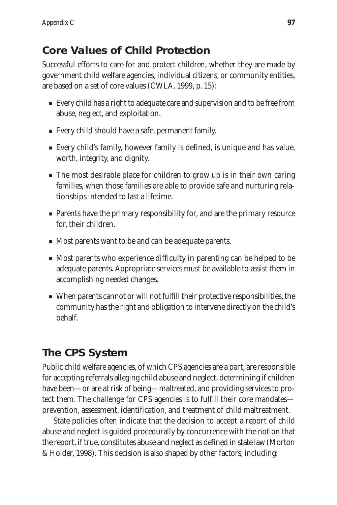# **Core Values of Child Protection**

Successful efforts to care for and protect children, whether they are made by government child welfare agencies, individual citizens, or community entities, are based on a set of core values (CWLA, 1999, p. 15):

- Every child has a right to adequate care and supervision and to be free from abuse, neglect, and exploitation.
- Every child should have a safe, permanent family.
- Every child's family, however family is defined, is unique and has value, worth, integrity, and dignity.
- The most desirable place for children to grow up is in their own caring families, when those families are able to provide safe and nurturing relationships intended to last a lifetime.
- Parents have the primary responsibility for, and are the primary resource for, their children.
- Most parents want to be and can be adequate parents.
- Most parents who experience difficulty in parenting can be helped to be adequate parents. Appropriate services must be available to assist them in accomplishing needed changes.
- When parents cannot or will not fulfill their protective responsibilities, the community has the right and obligation to intervene directly on the child's behalf.

# **The CPS System**

Public child welfare agencies, of which CPS agencies are a part, are responsible for accepting referrals alleging child abuse and neglect, determining if children have been—or are at risk of being—maltreated, and providing services to protect them. The challenge for CPS agencies is to fulfill their core mandates prevention, assessment, identification, and treatment of child maltreatment.

State policies often indicate that the decision to accept a report of child abuse and neglect is guided procedurally by concurrence with the notion that the report, if true, constitutes abuse and neglect as defined in state law (Morton & Holder, 1998). This decision is also shaped by other factors, including: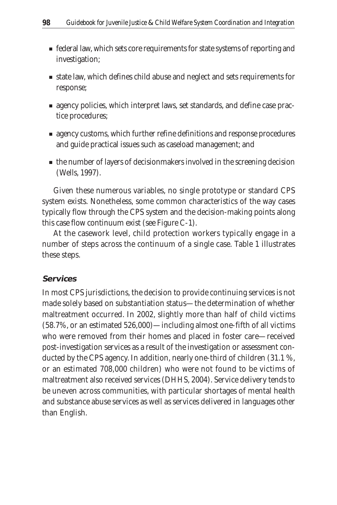- federal law, which sets core requirements for state systems of reporting and investigation;
- state law, which defines child abuse and neglect and sets requirements for response;
- agency policies, which interpret laws, set standards, and define case practice procedures;
- agency customs, which further refine definitions and response procedures and guide practical issues such as caseload management; and
- the number of layers of decisionmakers involved in the screening decision (Wells, 1997).

Given these numerous variables, no single prototype or standard CPS system exists. Nonetheless, some common characteristics of the way cases typically flow through the CPS system and the decision-making points along this case flow continuum exist (see Figure C-1).

At the casework level, child protection workers typically engage in a number of steps across the continuum of a single case. Table 1 illustrates these steps.

#### **Services**

In most CPS jurisdictions, the decision to provide continuing services is not made solely based on substantiation status—the determination of whether maltreatment occurred. In 2002, slightly more than half of child victims (58.7%, or an estimated 526,000)—including almost one-fifth of all victims who were removed from their homes and placed in foster care—received post-investigation services as a result of the investigation or assessment conducted by the CPS agency. In addition, nearly one-third of children (31.1 %, or an estimated 708,000 children) who were not found to be victims of maltreatment also received services (DHHS, 2004). Service delivery tends to be uneven across communities, with particular shortages of mental health and substance abuse services as well as services delivered in languages other than English.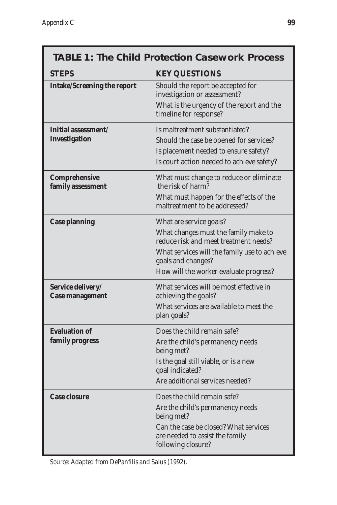| <b>TABLE 1: The Child Protection Casework Process</b> |                                                                                                                                                                                                                          |
|-------------------------------------------------------|--------------------------------------------------------------------------------------------------------------------------------------------------------------------------------------------------------------------------|
| <b>STEPS</b>                                          | <b>KEY QUESTIONS</b>                                                                                                                                                                                                     |
| <b>Intake/Screening the report</b>                    | Should the report be accepted for<br>investigation or assessment?<br>What is the urgency of the report and the<br>timeline for response?                                                                                 |
| Initial assessment/<br><b>Investigation</b>           | Is maltreatment substantiated?<br>Should the case be opened for services?<br>Is placement needed to ensure safety?<br>Is court action needed to achieve safety?                                                          |
| Comprehensive<br>family assessment                    | What must change to reduce or eliminate<br>the risk of harm?<br>What must happen for the effects of the<br>maltreatment to be addressed?                                                                                 |
| <b>Case planning</b>                                  | What are service goals?<br>What changes must the family make to<br>reduce risk and meet treatment needs?<br>What services will the family use to achieve<br>goals and changes?<br>How will the worker evaluate progress? |
| Service delivery/<br><b>Case management</b>           | What services will be most effective in<br>achieving the goals?<br>What services are available to meet the<br>plan goals?                                                                                                |
| <b>Evaluation of</b><br>family progress               | Does the child remain safe?<br>Are the child's permanency needs<br>being met?<br>Is the goal still viable, or is a new<br>goal indicated?<br>Are additional services needed?                                             |
| <b>Case closure</b>                                   | Does the child remain safe?<br>Are the child's permanency needs<br>being met?<br>Can the case be closed? What services<br>are needed to assist the family<br>following closure?                                          |

*Source: Adapted from DePanfilis and Salus (1992).*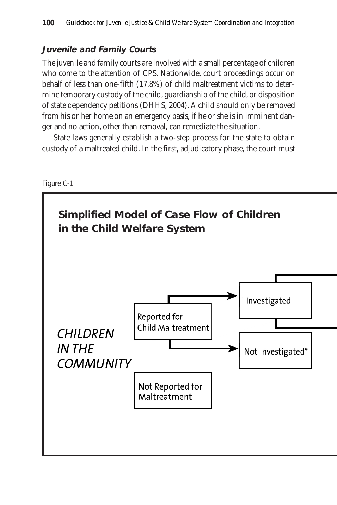#### **Juvenile and Family Courts**

The juvenile and family courts are involved with a small percentage of children who come to the attention of CPS. Nationwide, court proceedings occur on behalf of less than one-fifth (17.8%) of child maltreatment victims to determine temporary custody of the child, guardianship of the child, or disposition of state dependency petitions (DHHS, 2004). A child should only be removed from his or her home on an emergency basis, if he or she is in imminent danger and no action, other than removal, can remediate the situation.

State laws generally establish a two-step process for the state to obtain custody of a maltreated child. In the first, adjudicatory phase, the court must



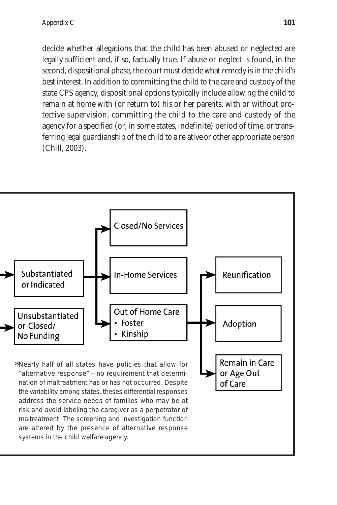decide whether allegations that the child has been abused or neglected are legally sufficient and, if so, factually true. If abuse or neglect is found, in the second, dispositional phase, the court must decide what remedy is in the child's best interest. In addition to committing the child to the care and custody of the state CPS agency, dispositional options typically include allowing the child to remain at home with (or return to) his or her parents, with or without protective supervision, committing the child to the care and custody of the agency for a specified (or, in some states, indefinite) period of time, or transferring legal guardianship of the child to a relative or other appropriate person (Chill, 2003).

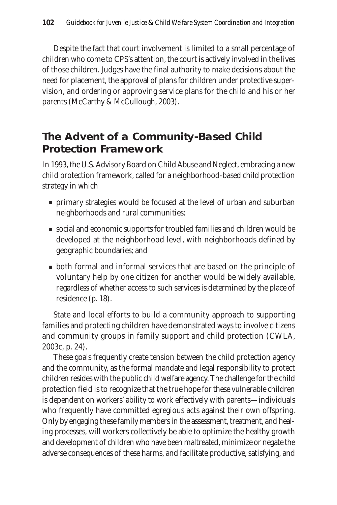Despite the fact that court involvement is limited to a small percentage of children who come to CPS's attention, the court is actively involved in the lives of those children. Judges have the final authority to make decisions about the need for placement, the approval of plans for children under protective supervision, and ordering or approving service plans for the child and his or her parents (McCarthy & McCullough, 2003).

# **The Advent of a Community-Based Child Protection Framework**

In 1993, the U.S. Advisory Board on Child Abuse and Neglect, embracing a new child protection framework, called for a neighborhood-based child protection strategy in which

- primary strategies would be focused at the level of urban and suburban neighborhoods and rural communities;
- social and economic supports for troubled families and children would be developed at the neighborhood level, with neighborhoods defined by geographic boundaries; and
- both formal and informal services that are based on the principle of voluntary help by one citizen for another would be widely available, regardless of whether access to such services is determined by the place of residence (p. 18).

State and local efforts to build a community approach to supporting families and protecting children have demonstrated ways to involve citizens and community groups in family support and child protection (CWLA, 2003c, p. 24).

These goals frequently create tension between the child protection agency and the community, as the formal mandate and legal responsibility to protect children resides with the public child welfare agency. The challenge for the child protection field is to recognize that the true hope for these vulnerable children is dependent on workers' ability to work effectively with parents—individuals who frequently have committed egregious acts against their own offspring. Only by engaging these family members in the assessment, treatment, and healing processes, will workers collectively be able to optimize the healthy growth and development of children who have been maltreated, minimize or negate the adverse consequences of these harms, and facilitate productive, satisfying, and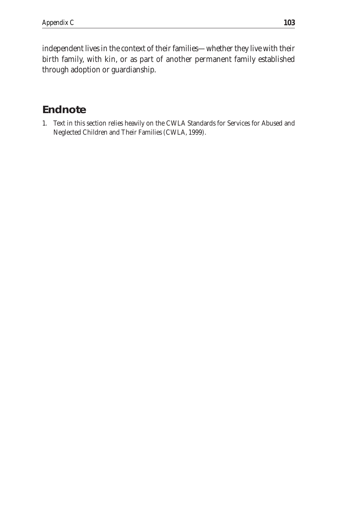independent lives in the context of their families—whether they live with their birth family, with kin, or as part of another permanent family established through adoption or guardianship.

# **Endnote**

1. Text in this section relies heavily on the CWLA Standards for Services for Abused and Neglected Children and Their Families (CWLA, 1999).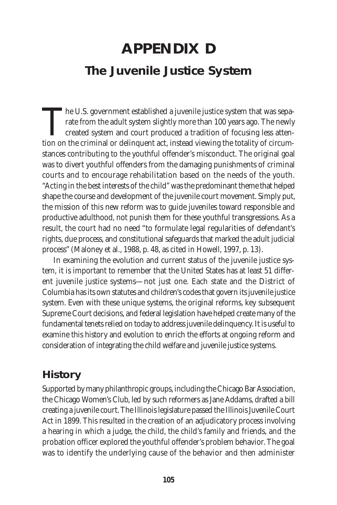# **APPENDIX D The Juvenile Justice System**

The U.S. government established a juvenile justice system that was sepa-<br>rate from the adult system slightly more than 100 years ago. The newly<br>created system and court produced a tradition of focusing less atten-<br>tion on rate from the adult system slightly more than 100 years ago. The newly created system and court produced a tradition of focusing less attention on the criminal or delinquent act, instead viewing the totality of circumstances contributing to the youthful offender's misconduct. The original goal was to divert youthful offenders from the damaging punishments of criminal courts and to encourage rehabilitation based on the needs of the youth. "Acting in the best interests of the child" was the predominant theme that helped shape the course and development of the juvenile court movement. Simply put, the mission of this new reform was to guide juveniles toward responsible and productive adulthood, not punish them for these youthful transgressions. As a result, the court had no need "to formulate legal regularities of defendant's rights, due process, and constitutional safeguards that marked the adult judicial process" (Maloney et al., 1988, p. 48, as cited in Howell, 1997, p. 13).

In examining the evolution and current status of the juvenile justice system, it is important to remember that the United States has at least 51 different juvenile justice systems—not just one. Each state and the District of Columbia has its own statutes and children's codes that govern its juvenile justice system. Even with these unique systems, the original reforms, key subsequent Supreme Court decisions, and federal legislation have helped create many of the fundamental tenets relied on today to address juvenile delinquency. It is useful to examine this history and evolution to enrich the efforts at ongoing reform and consideration of integrating the child welfare and juvenile justice systems.

#### **History**

Supported by many philanthropic groups, including the Chicago Bar Association, the Chicago Women's Club, led by such reformers as Jane Addams, drafted a bill creating a juvenile court. The Illinois legislature passed the Illinois Juvenile Court Act in 1899. This resulted in the creation of an adjudicatory process involving a hearing in which a judge, the child, the child's family and friends, and the probation officer explored the youthful offender's problem behavior. The goal was to identify the underlying cause of the behavior and then administer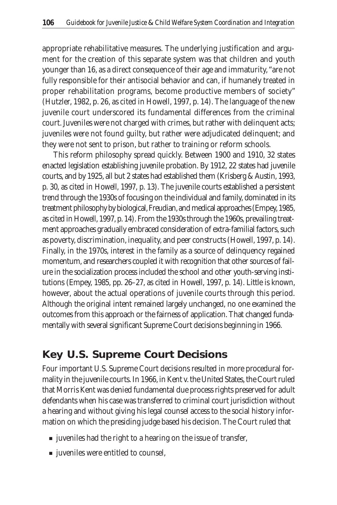appropriate rehabilitative measures. The underlying justification and argument for the creation of this separate system was that children and youth younger than 16, as a direct consequence of their age and immaturity, "are not fully responsible for their antisocial behavior and can, if humanely treated in proper rehabilitation programs, become productive members of society" (Hutzler, 1982, p. 26, as cited in Howell, 1997, p. 14). The language of the new juvenile court underscored its fundamental differences from the criminal court. Juveniles were not charged with crimes, but rather with delinquent acts; juveniles were not found guilty, but rather were adjudicated delinquent; and they were not sent to prison, but rather to training or reform schools.

This reform philosophy spread quickly. Between 1900 and 1910, 32 states enacted legislation establishing juvenile probation. By 1912, 22 states had juvenile courts, and by 1925, all but 2 states had established them (Krisberg & Austin, 1993, p. 30, as cited in Howell, 1997, p. 13). The juvenile courts established a persistent trend through the 1930s of focusing on the individual and family, dominated in its treatment philosophy by biological, Freudian, and medical approaches (Empey, 1985, as cited in Howell, 1997, p. 14). From the 1930s through the 1960s, prevailing treatment approaches gradually embraced consideration of extra-familial factors, such as poverty, discrimination, inequality, and peer constructs (Howell, 1997, p. 14). Finally, in the 1970s, interest in the family as a source of delinquency regained momentum, and researchers coupled it with recognition that other sources of failure in the socialization process included the school and other youth-serving institutions (Empey, 1985, pp. 26–27, as cited in Howell, 1997, p. 14). Little is known, however, about the actual operations of juvenile courts through this period. Although the original intent remained largely unchanged, no one examined the outcomes from this approach or the fairness of application. That changed fundamentally with several significant Supreme Court decisions beginning in 1966.

### **Key U.S. Supreme Court Decisions**

Four important U.S. Supreme Court decisions resulted in more procedural formality in the juvenile courts. In 1966, in Kent v. the United States, the Court ruled that Morris Kent was denied fundamental due process rights preserved for adult defendants when his case was transferred to criminal court jurisdiction without a hearing and without giving his legal counsel access to the social history information on which the presiding judge based his decision. The Court ruled that

- juveniles had the right to a hearing on the issue of transfer,
- juveniles were entitled to counsel,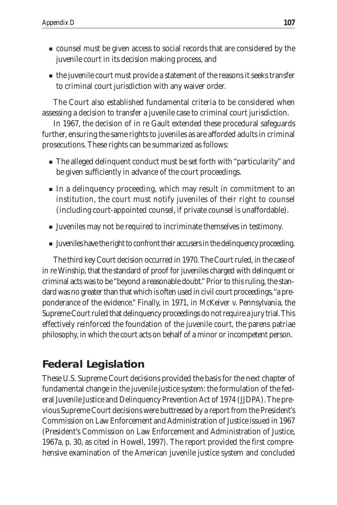- counsel must be given access to social records that are considered by the juvenile court in its decision making process, and
- the juvenile court must provide a statement of the reasons it seeks transfer to criminal court jurisdiction with any waiver order.

The Court also established fundamental criteria to be considered when assessing a decision to transfer a juvenile case to criminal court jurisdiction.

In 1967, the decision of in re Gault extended these procedural safeguards further, ensuring the same rights to juveniles as are afforded adults in criminal prosecutions. These rights can be summarized as follows:

- The alleged delinquent conduct must be set forth with "particularity" and be given sufficiently in advance of the court proceedings.
- In a delinquency proceeding, which may result in commitment to an institution, the court must notify juveniles of their right to counsel (including court-appointed counsel, if private counsel is unaffordable).
- Juveniles may not be required to incriminate themselves in testimony.
- Juveniles have the right to confront their accusers in the delinquency proceeding.

The third key Court decision occurred in 1970. The Court ruled, in the case of in re Winship, that the standard of proof for juveniles charged with delinquent or criminal acts was to be "beyond a reasonable doubt." Prior to this ruling, the standard was no greater than that which is often used in civil court proceedings, "a preponderance of the evidence." Finally, in 1971, in McKeiver v. Pennsylvania, the Supreme Court ruled that delinquency proceedings do not require a jury trial. This effectively reinforced the foundation of the juvenile court, the parens patriae philosophy, in which the court acts on behalf of a minor or incompetent person.

# **Federal Legislation**

These U.S. Supreme Court decisions provided the basis for the next chapter of fundamental change in the juvenile justice system: the formulation of the federal Juvenile Justice and Delinquency Prevention Act of 1974 (JJDPA). The previous Supreme Court decisions were buttressed by a report from the President's Commission on Law Enforcement and Administration of Justice issued in 1967 (President's Commission on Law Enforcement and Administration of Justice, 1967a, p. 30, as cited in Howell, 1997). The report provided the first comprehensive examination of the American juvenile justice system and concluded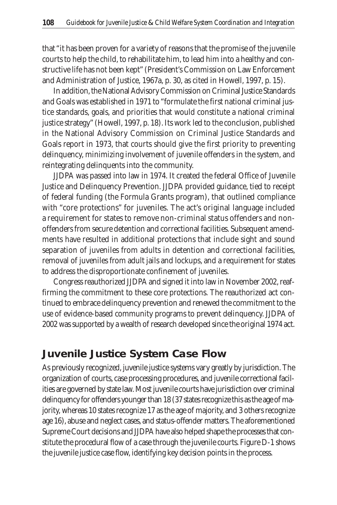that "it has been proven for a variety of reasons that the promise of the juvenile courts to help the child, to rehabilitate him, to lead him into a healthy and constructive life has not been kept" (President's Commission on Law Enforcement and Administration of Justice, 1967a, p. 30, as cited in Howell, 1997, p. 15).

In addition, the National Advisory Commission on Criminal Justice Standards and Goals was established in 1971 to "formulate the first national criminal justice standards, goals, and priorities that would constitute a national criminal justice strategy" (Howell, 1997, p. 18). Its work led to the conclusion, published in the National Advisory Commission on Criminal Justice Standards and Goals report in 1973, that courts should give the first priority to preventing delinquency, minimizing involvement of juvenile offenders in the system, and reintegrating delinquents into the community.

JJDPA was passed into law in 1974. It created the federal Office of Juvenile Justice and Delinquency Prevention. JJDPA provided guidance, tied to receipt of federal funding (the Formula Grants program), that outlined compliance with "core protections" for juveniles. The act's original language included a requirement for states to remove non-criminal status offenders and nonoffenders from secure detention and correctional facilities. Subsequent amendments have resulted in additional protections that include sight and sound separation of juveniles from adults in detention and correctional facilities, removal of juveniles from adult jails and lockups, and a requirement for states to address the disproportionate confinement of juveniles.

Congress reauthorized JJDPA and signed it into law in November 2002, reaffirming the commitment to these core protections. The reauthorized act continued to embrace delinquency prevention and renewed the commitment to the use of evidence-based community programs to prevent delinquency. JJDPA of 2002 was supported by a wealth of research developed since the original 1974 act.

### **Juvenile Justice System Case Flow**

As previously recognized, juvenile justice systems vary greatly by jurisdiction. The organization of courts, case processing procedures, and juvenile correctional facilities are governed by state law. Most juvenile courts have jurisdiction over criminal delinquency for offenders younger than 18 (37 states recognize this as the age of majority, whereas 10 states recognize 17 as the age of majority, and 3 others recognize age 16), abuse and neglect cases, and status-offender matters. The aforementioned Supreme Court decisions and JJDPA have also helped shape the processes that constitute the procedural flow of a case through the juvenile courts. Figure D-1 shows the juvenile justice case flow, identifying key decision points in the process.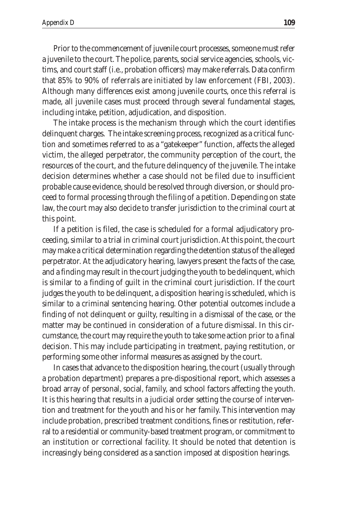Prior to the commencement of juvenile court processes, someone must refer a juvenile to the court. The police, parents, social service agencies, schools, victims, and court staff (i.e., probation officers) may make referrals. Data confirm that 85% to 90% of referrals are initiated by law enforcement (FBI, 2003). Although many differences exist among juvenile courts, once this referral is made, all juvenile cases must proceed through several fundamental stages, including intake, petition, adjudication, and disposition.

The intake process is the mechanism through which the court identifies delinquent charges. The intake screening process, recognized as a critical function and sometimes referred to as a "gatekeeper" function, affects the alleged victim, the alleged perpetrator, the community perception of the court, the resources of the court, and the future delinquency of the juvenile. The intake decision determines whether a case should not be filed due to insufficient probable cause evidence, should be resolved through diversion, or should proceed to formal processing through the filing of a petition. Depending on state law, the court may also decide to transfer jurisdiction to the criminal court at this point.

If a petition is filed, the case is scheduled for a formal adjudicatory proceeding, similar to a trial in criminal court jurisdiction. At this point, the court may make a critical determination regarding the detention status of the alleged perpetrator. At the adjudicatory hearing, lawyers present the facts of the case, and a finding may result in the court judging the youth to be delinquent, which is similar to a finding of guilt in the criminal court jurisdiction. If the court judges the youth to be delinquent, a disposition hearing is scheduled, which is similar to a criminal sentencing hearing. Other potential outcomes include a finding of not delinquent or guilty, resulting in a dismissal of the case, or the matter may be continued in consideration of a future dismissal. In this circumstance, the court may require the youth to take some action prior to a final decision. This may include participating in treatment, paying restitution, or performing some other informal measures as assigned by the court.

In cases that advance to the disposition hearing, the court (usually through a probation department) prepares a pre-dispositional report, which assesses a broad array of personal, social, family, and school factors affecting the youth. It is this hearing that results in a judicial order setting the course of intervention and treatment for the youth and his or her family. This intervention may include probation, prescribed treatment conditions, fines or restitution, referral to a residential or community-based treatment program, or commitment to an institution or correctional facility. It should be noted that detention is increasingly being considered as a sanction imposed at disposition hearings.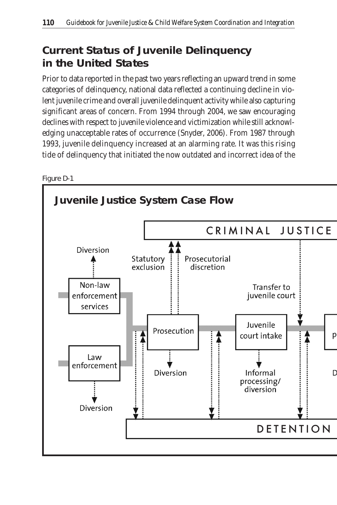# **Current Status of Juvenile Delinquency in the United States**

Prior to data reported in the past two years reflecting an upward trend in some categories of delinquency, national data reflected a continuing decline in violent juvenile crime and overall juvenile delinquent activity while also capturing significant areas of concern. From 1994 through 2004, we saw encouraging declines with respect to juvenile violence and victimization while still acknowledging unacceptable rates of occurrence (Snyder, 2006). From 1987 through 1993, juvenile delinquency increased at an alarming rate. It was this rising tide of delinquency that initiated the now outdated and incorrect idea of the



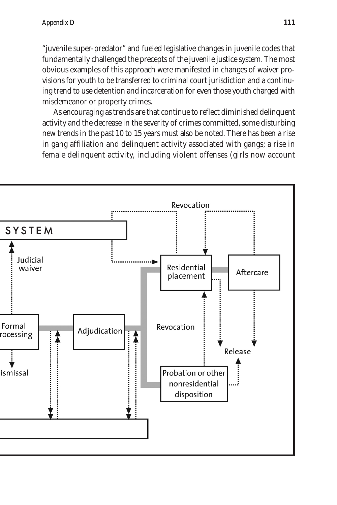"juvenile super-predator" and fueled legislative changes in juvenile codes that fundamentally challenged the precepts of the juvenile justice system. The most obvious examples of this approach were manifested in changes of waiver provisions for youth to be transferred to criminal court jurisdiction and a continuing trend to use detention and incarceration for even those youth charged with misdemeanor or property crimes.

As encouraging as trends are that continue to reflect diminished delinquent activity and the decrease in the severity of crimes committed, some disturbing new trends in the past 10 to 15 years must also be noted. There has been a rise in gang affiliation and delinquent activity associated with gangs; a rise in female delinquent activity, including violent offenses (girls now account

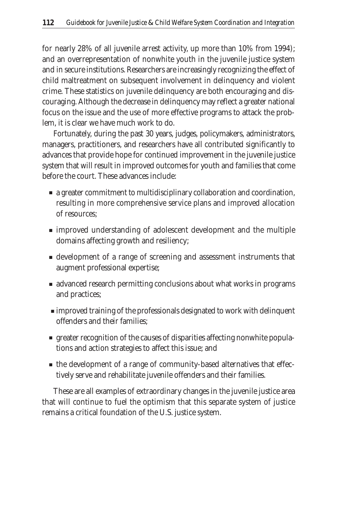for nearly 28% of all juvenile arrest activity, up more than 10% from 1994); and an overrepresentation of nonwhite youth in the juvenile justice system and in secure institutions. Researchers are increasingly recognizing the effect of child maltreatment on subsequent involvement in delinquency and violent crime. These statistics on juvenile delinquency are both encouraging and discouraging. Although the decrease in delinquency may reflect a greater national focus on the issue and the use of more effective programs to attack the problem, it is clear we have much work to do.

Fortunately, during the past 30 years, judges, policymakers, administrators, managers, practitioners, and researchers have all contributed significantly to advances that provide hope for continued improvement in the juvenile justice system that will result in improved outcomes for youth and families that come before the court. These advances include:

- a greater commitment to multidisciplinary collaboration and coordination, resulting in more comprehensive service plans and improved allocation of resources;
- improved understanding of adolescent development and the multiple domains affecting growth and resiliency;
- development of a range of screening and assessment instruments that augment professional expertise;
- advanced research permitting conclusions about what works in programs and practices;
- improved training of the professionals designated to work with delinquent offenders and their families;
- greater recognition of the causes of disparities affecting nonwhite populations and action strategies to affect this issue; and
- the development of a range of community-based alternatives that effectively serve and rehabilitate juvenile offenders and their families.

These are all examples of extraordinary changes in the juvenile justice area that will continue to fuel the optimism that this separate system of justice remains a critical foundation of the U.S. justice system.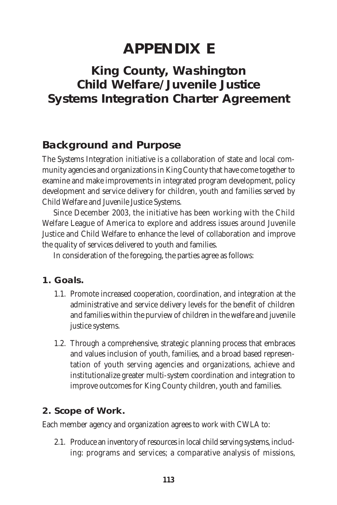# **APPENDIX E**

# **King County, Washington Child Welfare/Juvenile Justice Systems Integration Charter Agreement**

### **Background and Purpose**

The Systems Integration initiative is a collaboration of state and local community agencies and organizations in King County that have come together to examine and make improvements in integrated program development, policy development and service delivery for children, youth and families served by Child Welfare and Juvenile Justice Systems.

Since December 2003, the initiative has been working with the Child Welfare League of America to explore and address issues around Juvenile Justice and Child Welfare to enhance the level of collaboration and improve the quality of services delivered to youth and families.

In consideration of the foregoing, the parties agree as follows:

- **1. Goals.** 
	- 1.1. Promote increased cooperation, coordination, and integration at the administrative and service delivery levels for the benefit of children and families within the purview of children in the welfare and juvenile justice systems.
	- 1.2. Through a comprehensive, strategic planning process that embraces and values inclusion of youth, families, and a broad based representation of youth serving agencies and organizations, achieve and institutionalize greater multi-system coordination and integration to improve outcomes for King County children, youth and families.

**2. Scope of Work.** 

Each member agency and organization agrees to work with CWLA to:

2.1. Produce an inventory of resources in local child serving systems, including: programs and services; a comparative analysis of missions,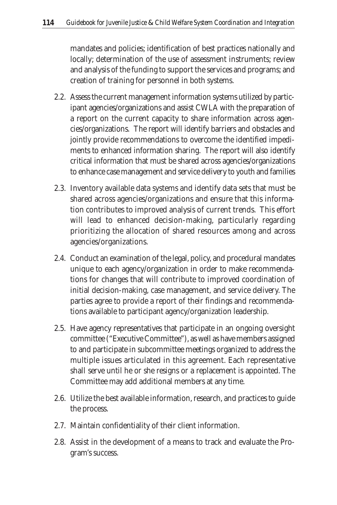mandates and policies; identification of best practices nationally and locally; determination of the use of assessment instruments; review and analysis of the funding to support the services and programs; and creation of training for personnel in both systems.

- 2.2. Assess the current management information systems utilized by participant agencies/organizations and assist CWLA with the preparation of a report on the current capacity to share information across agencies/organizations. The report will identify barriers and obstacles and jointly provide recommendations to overcome the identified impediments to enhanced information sharing. The report will also identify critical information that must be shared across agencies/organizations to enhance case management and service delivery to youth and families
- 2.3. Inventory available data systems and identify data sets that must be shared across agencies/organizations and ensure that this information contributes to improved analysis of current trends. This effort will lead to enhanced decision-making, particularly regarding prioritizing the allocation of shared resources among and across agencies/organizations.
- 2.4. Conduct an examination of the legal, policy, and procedural mandates unique to each agency/organization in order to make recommendations for changes that will contribute to improved coordination of initial decision-making, case management, and service delivery. The parties agree to provide a report of their findings and recommendations available to participant agency/organization leadership.
- 2.5. Have agency representatives that participate in an ongoing oversight committee ("Executive Committee"), as well as have members assigned to and participate in subcommittee meetings organized to address the multiple issues articulated in this agreement. Each representative shall serve until he or she resigns or a replacement is appointed. The Committee may add additional members at any time.
- 2.6. Utilize the best available information, research, and practices to guide the process.
- 2.7. Maintain confidentiality of their client information.
- 2.8. Assist in the development of a means to track and evaluate the Program's success.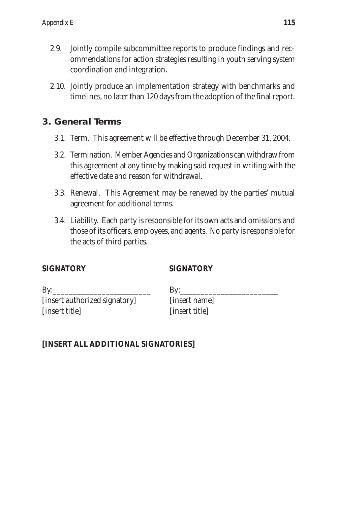- 2.9. Jointly compile subcommittee reports to produce findings and recommendations for action strategies resulting in youth serving system coordination and integration.
- 2.10. Jointly produce an implementation strategy with benchmarks and timelines, no later than 120 days from the adoption of the final report.
- **3. General Terms**
	- 3.1. Term. This agreement will be effective through December 31, 2004.
	- 3.2. Termination. Member Agencies and Organizations can withdraw from this agreement at any time by making said request in writing with the effective date and reason for withdrawal.
	- 3.3. Renewal. This Agreement may be renewed by the parties' mutual agreement for additional terms.
	- 3.4. Liability. Each party is responsible for its own acts and omissions and those of its officers, employees, and agents. No party is responsible for the acts of third parties.

#### **SIGNATORY SIGNATORY**

 $By:$ [insert authorized signatory] [insert title]

 $By:$ [insert name] [insert title]

#### **[INSERT ALL ADDITIONAL SIGNATORIES]**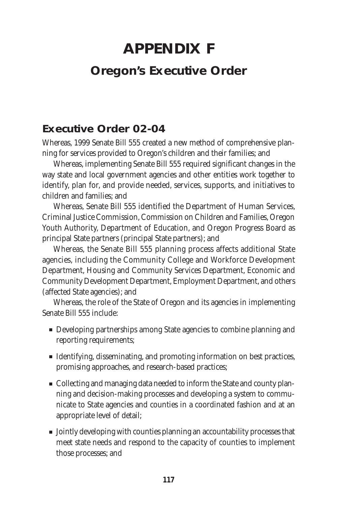# **APPENDIX F Oregon's Executive Order**

# **Executive Order 02-04**

Whereas, 1999 Senate Bill 555 created a new method of comprehensive planning for services provided to Oregon's children and their families; and

Whereas, implementing Senate Bill 555 required significant changes in the way state and local government agencies and other entities work together to identify, plan for, and provide needed, services, supports, and initiatives to children and families; and

Whereas, Senate Bill 555 identified the Department of Human Services, Criminal Justice Commission, Commission on Children and Families, Oregon Youth Authority, Department of Education, and Oregon Progress Board as principal State partners (principal State partners); and

Whereas, the Senate Bill 555 planning process affects additional State agencies, including the Community College and Workforce Development Department, Housing and Community Services Department, Economic and Community Development Department, Employment Department, and others (affected State agencies); and

Whereas, the role of the State of Oregon and its agencies in implementing Senate Bill 555 include:

- Developing partnerships among State agencies to combine planning and reporting requirements;
- Identifying, disseminating, and promoting information on best practices, promising approaches, and research-based practices;
- Collecting and managing data needed to inform the State and county planning and decision-making processes and developing a system to communicate to State agencies and counties in a coordinated fashion and at an appropriate level of detail;
- Jointly developing with counties planning an accountability processes that meet state needs and respond to the capacity of counties to implement those processes; and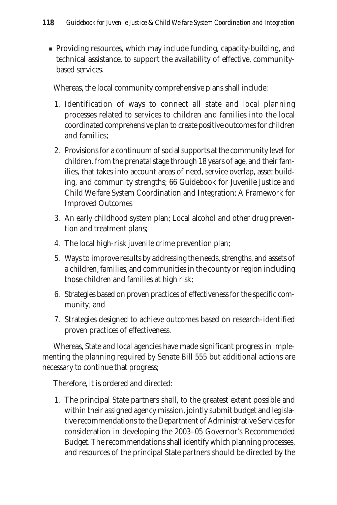■ Providing resources, which may include funding, capacity-building, and technical assistance, to support the availability of effective, communitybased services.

Whereas, the local community comprehensive plans shall include:

- 1. Identification of ways to connect all state and local planning processes related to services to children and families into the local coordinated comprehensive plan to create positive outcomes for children and families;
- 2. Provisions for a continuum of social supports at the community level for children. from the prenatal stage through 18 years of age, and their families, that takes into account areas of need, service overlap, asset building, and community strengths; 66 Guidebook for Juvenile Justice and Child Welfare System Coordination and Integration: A Framework for Improved Outcomes
- 3. An early childhood system plan; Local alcohol and other drug prevention and treatment plans;
- 4. The local high-risk juvenile crime prevention plan;
- 5. Ways to improve results by addressing the needs, strengths, and assets of a children, families, and communities in the county or region including those children and families at high risk;
- 6. Strategies based on proven practices of effectiveness for the specific community; and
- 7. Strategies designed to achieve outcomes based on research-identified proven practices of effectiveness.

Whereas, State and local agencies have made significant progress in implementing the planning required by Senate Bill 555 but additional actions are necessary to continue that progress;

Therefore, it is ordered and directed:

1. The principal State partners shall, to the greatest extent possible and within their assigned agency mission, jointly submit budget and legislative recommendations to the Department of Administrative Services for consideration in developing the 2003–05 Governor's Recommended Budget. The recommendations shall identify which planning processes, and resources of the principal State partners should be directed by the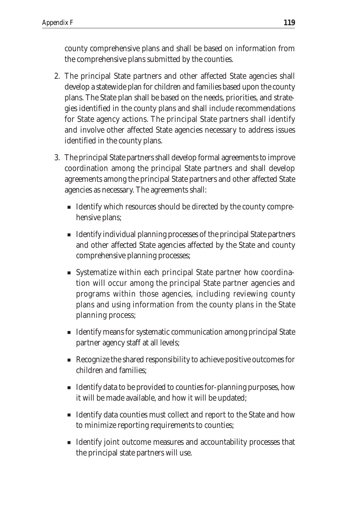county comprehensive plans and shall be based on information from the comprehensive plans submitted by the counties.

- 2. The principal State partners and other affected State agencies shall develop a statewide plan for children and families based upon the county plans. The State plan shall be based on the needs, priorities, and strategies identified in the county plans and shall include recommendations for State agency actions. The principal State partners shall identify and involve other affected State agencies necessary to address issues identified in the county plans.
- 3. The principal State partners shall develop formal agreements to improve coordination among the principal State partners and shall develop agreements among the principal State partners and other affected State agencies as necessary. The agreements shall:
	- Identify which resources should be directed by the county comprehensive plans;
	- Identify individual planning processes of the principal State partners and other affected State agencies affected by the State and county comprehensive planning processes;
	- Systematize within each principal State partner how coordination will occur among the principal State partner agencies and programs within those agencies, including reviewing county plans and using information from the county plans in the State planning process;
	- Identify means for systematic communication among principal State partner agency staff at all levels;
	- Recognize the shared responsibility to achieve positive outcomes for children and families;
	- Identify data to be provided to counties for-planning purposes, how it will be made available, and how it will be updated;
	- Identify data counties must collect and report to the State and how to minimize reporting requirements to counties;
	- Identify joint outcome measures and accountability processes that the principal state partners will use.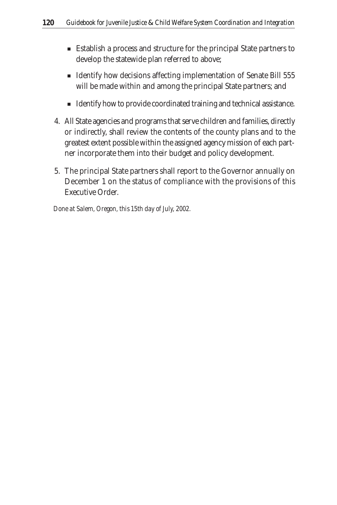- Establish a process and structure for the principal State partners to develop the statewide plan referred to above;
- Identify how decisions affecting implementation of Senate Bill 555 will be made within and among the principal State partners; and
- Identify how to provide coordinated training and technical assistance.
- 4. All State agencies and programs that serve children and families, directly or indirectly, shall review the contents of the county plans and to the greatest extent possible within the assigned agency mission of each partner incorporate them into their budget and policy development.
- 5. The principal State partners shall report to the Governor annually on December 1 on the status of compliance with the provisions of this Executive Order.

*Done at Salem, Oregon, this 15th day of July, 2002.*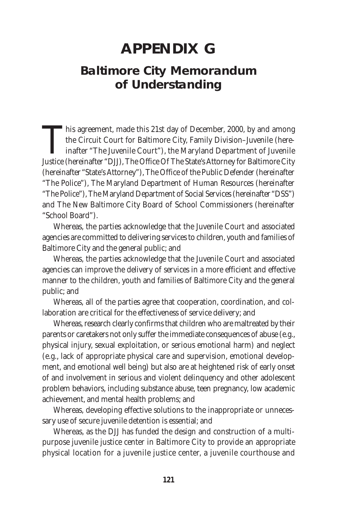# **APPENDIX G**

# **Baltimore City Memorandum of Understanding**

This agreement, made this 21st day of December, 2000, by and among<br>the Circuit Court for Baltimore City, Family Division–Juvenile (here-<br>inafter "The Juvenile Court"), the Maryland Department of Juvenile<br>Justice (hereinaft the Circuit Court for Baltimore City, Family Division–Juvenile (hereinafter "The Juvenile Court"), the Maryland Department of Juvenile Justice (hereinafter "DJJ), The Office Of The State's Attorney for Baltimore City (hereinafter "State's Attorney"), The Office of the Public Defender (hereinafter "The Police"), The Maryland Department of Human Resources (hereinafter "The Police"), The Maryland Department of Social Services (hereinafter "DSS") and The New Baltimore City Board of School Commissioners (hereinafter "School Board").

Whereas, the parties acknowledge that the Juvenile Court and associated agencies are committed to delivering services to children, youth and families of Baltimore City and the general public; and

Whereas, the parties acknowledge that the Juvenile Court and associated agencies can improve the delivery of services in a more efficient and effective manner to the children, youth and families of Baltimore City and the general public; and

Whereas, all of the parties agree that cooperation, coordination, and collaboration are critical for the effectiveness of service delivery; and

Whereas, research clearly confirms that children who are maltreated by their parents or caretakers not only suffer the immediate consequences of abuse (e.g., physical injury, sexual exploitation, or serious emotional harm) and neglect (e.g., lack of appropriate physical care and supervision, emotional development, and emotional well being) but also are at heightened risk of early onset of and involvement in serious and violent delinquency and other adolescent problem behaviors, including substance abuse, teen pregnancy, low academic achievement, and mental health problems; and

Whereas, developing effective solutions to the inappropriate or unnecessary use of secure juvenile detention is essential; and

Whereas, as the DJJ has funded the design and construction of a multipurpose juvenile justice center in Baltimore City to provide an appropriate physical location for a juvenile justice center, a juvenile courthouse and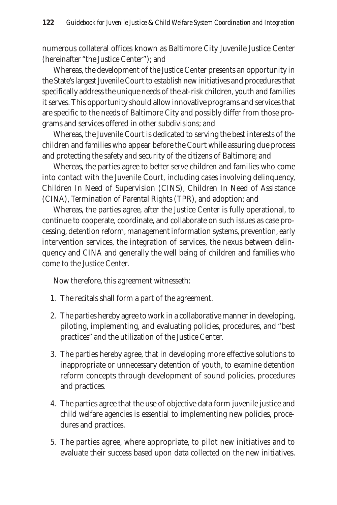numerous collateral offices known as Baltimore City Juvenile Justice Center (hereinafter "the Justice Center"); and

Whereas, the development of the Justice Center presents an opportunity in the State's largest Juvenile Court to establish new initiatives and procedures that specifically address the unique needs of the at-risk children, youth and families it serves. This opportunity should allow innovative programs and services that are specific to the needs of Baltimore City and possibly differ from those programs and services offered in other subdivisions; and

Whereas, the Juvenile Court is dedicated to serving the best interests of the children and families who appear before the Court while assuring due process and protecting the safety and security of the citizens of Baltimore; and

Whereas, the parties agree to better serve children and families who come into contact with the Juvenile Court, including cases involving delinquency, Children In Need of Supervision (CINS), Children In Need of Assistance (CINA), Termination of Parental Rights (TPR), and adoption; and

Whereas, the parties agree, after the Justice Center is fully operational, to continue to cooperate, coordinate, and collaborate on such issues as case processing, detention reform, management information systems, prevention, early intervention services, the integration of services, the nexus between delinquency and CINA and generally the well being of children and families who come to the Justice Center.

Now therefore, this agreement witnesseth:

- 1. The recitals shall form a part of the agreement.
- 2. The parties hereby agree to work in a collaborative manner in developing, piloting, implementing, and evaluating policies, procedures, and "best practices" and the utilization of the Justice Center.
- 3. The parties hereby agree, that in developing more effective solutions to inappropriate or unnecessary detention of youth, to examine detention reform concepts through development of sound policies, procedures and practices.
- 4. The parties agree that the use of objective data form juvenile justice and child welfare agencies is essential to implementing new policies, procedures and practices.
- 5. The parties agree, where appropriate, to pilot new initiatives and to evaluate their success based upon data collected on the new initiatives.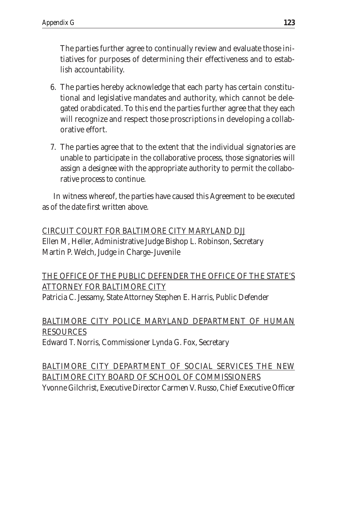The parties further agree to continually review and evaluate those initiatives for purposes of determining their effectiveness and to establish accountability.

- 6. The parties hereby acknowledge that each party has certain constitutional and legislative mandates and authority, which cannot be delegated orabdicated. To this end the parties further agree that they each will recognize and respect those proscriptions in developing a collaborative effort.
- 7. The parties agree that to the extent that the individual signatories are unable to participate in the collaborative process, those signatories will assign a designee with the appropriate authority to permit the collaborative process to continue.

In witness whereof, the parties have caused this Agreement to be executed as of the date first written above.

CIRCUIT COURT FOR BALTIMORE CITY MARYLAND DJJ Ellen M, Heller, Administrative Judge Bishop L. Robinson, Secretary Martin P. Welch, Judge in Charge–Juvenile

#### THE OFFICE OF THE PUBLIC DEFENDER THE OFFICE OF THE STATE'S ATTORNEY FOR BALTIMORE CITY

Patricia C. Jessamy, State Attorney Stephen E. Harris, Public Defender

### BALTIMORE CITY POLICE MARYLAND DEPARTMENT OF HUMAN RESOURCES

Edward T. Norris, Commissioner Lynda G. Fox, Secretary

BALTIMORE CITY DEPARTMENT OF SOCIAL SERVICES THE NEW BALTIMORE CITY BOARD OF SCHOOL OF COMMISSIONERS Yvonne Gilchrist, Executive Director Carmen V. Russo, Chief Executive Officer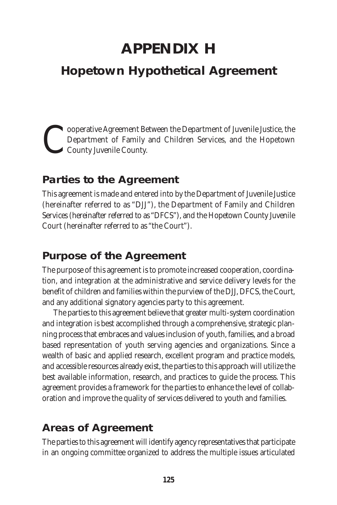# **APPENDIX H**

# **Hopetown Hypothetical Agreement**

Cooperative Agreement Between the Department of Juvenile Justice, the Department of Family and Children Services, and the Hopetown County Juvenile County. Department of Family and Children Services, and the Hopetown County Juvenile County.

### **Parties to the Agreement**

This agreement is made and entered into by the Department of Juvenile Justice (hereinafter referred to as "DJJ"), the Department of Family and Children Services (hereinafter referred to as "DFCS"), and the Hopetown County Juvenile Court (hereinafter referred to as "the Court").

# **Purpose of the Agreement**

The purpose of this agreement is to promote increased cooperation, coordination, and integration at the administrative and service delivery levels for the benefit of children and families within the purview of the DJJ, DFCS, the Court, and any additional signatory agencies party to this agreement.

The parties to this agreement believe that greater multi-system coordination and integration is best accomplished through a comprehensive, strategic planning process that embraces and values inclusion of youth, families, and a broad based representation of youth serving agencies and organizations. Since a wealth of basic and applied research, excellent program and practice models, and accessible resources already exist, the parties to this approach will utilize the best available information, research, and practices to guide the process. This agreement provides a framework for the parties to enhance the level of collaboration and improve the quality of services delivered to youth and families.

# **Areas of Agreement**

The parties to this agreement will identify agency representatives that participate in an ongoing committee organized to address the multiple issues articulated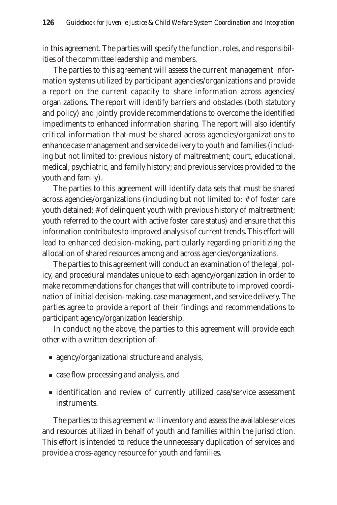in this agreement. The parties will specify the function, roles, and responsibilities of the committee leadership and members.

The parties to this agreement will assess the current management information systems utilized by participant agencies/organizations and provide a report on the current capacity to share information across agencies/ organizations. The report will identify barriers and obstacles (both statutory and policy) and jointly provide recommendations to overcome the identified impediments to enhanced information sharing. The report will also identify critical information that must be shared across agencies/organizations to enhance case management and service delivery to youth and families (including but not limited to: previous history of maltreatment; court, educational, medical, psychiatric, and family history; and previous services provided to the youth and family).

The parties to this agreement will identify data sets that must be shared across agencies/organizations (including but not limited to: # of foster care youth detained; # of delinquent youth with previous history of maltreatment; youth referred to the court with active foster care status) and ensure that this information contributes to improved analysis of current trends. This effort will lead to enhanced decision-making, particularly regarding prioritizing the allocation of shared resources among and across agencies/organizations.

The parties to this agreement will conduct an examination of the legal, policy, and procedural mandates unique to each agency/organization in order to make recommendations for changes that will contribute to improved coordination of initial decision-making, case management, and service delivery. The parties agree to provide a report of their findings and recommendations to participant agency/organization leadership.

In conducting the above, the parties to this agreement will provide each other with a written description of:

- agency/organizational structure and analysis,
- case flow processing and analysis, and
- identification and review of currently utilized case/service assessment **instruments**

The parties to this agreement will inventory and assess the available services and resources utilized in behalf of youth and families within the jurisdiction. This effort is intended to reduce the unnecessary duplication of services and provide a cross-agency resource for youth and families.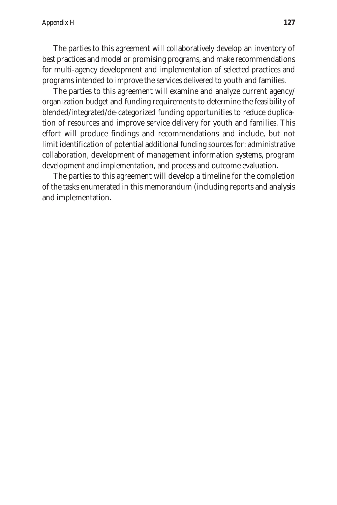The parties to this agreement will collaboratively develop an inventory of best practices and model or promising programs, and make recommendations for multi-agency development and implementation of selected practices and programs intended to improve the services delivered to youth and families.

The parties to this agreement will examine and analyze current agency/ organization budget and funding requirements to determine the feasibility of blended/integrated/de-categorized funding opportunities to reduce duplication of resources and improve service delivery for youth and families. This effort will produce findings and recommendations and include, but not limit identification of potential additional funding sources for: administrative collaboration, development of management information systems, program development and implementation, and process and outcome evaluation.

The parties to this agreement will develop a timeline for the completion of the tasks enumerated in this memorandum (including reports and analysis and implementation.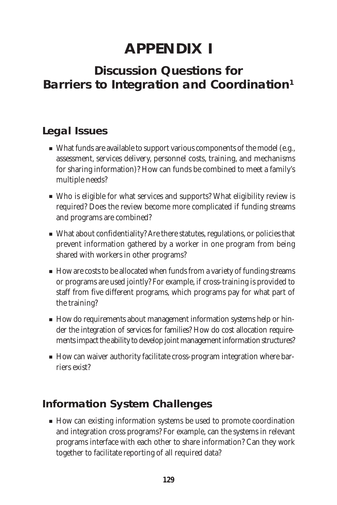# **APPENDIX I**

# **Discussion Questions for Barriers to Integration and Coordination1**

# **Legal Issues**

- What funds are available to support various components of the model (e.g., assessment, services delivery, personnel costs, training, and mechanisms for sharing information)? How can funds be combined to meet a family's multiple needs?
- Who is eligible for what services and supports? What eligibility review is required? Does the review become more complicated if funding streams and programs are combined?
- What about confidentiality? Are there statutes, regulations, or policies that prevent information gathered by a worker in one program from being shared with workers in other programs?
- How are costs to be allocated when funds from a variety of funding streams or programs are used jointly? For example, if cross-training is provided to staff from five different programs, which programs pay for what part of the training?
- How do requirements about management information systems help or hinder the integration of services for families? How do cost allocation requirements impact the ability to develop joint management information structures?
- How can waiver authority facilitate cross-program integration where barriers exist?

# **Information System Challenges**

■ How can existing information systems be used to promote coordination and integration cross programs? For example, can the systems in relevant programs interface with each other to share information? Can they work together to facilitate reporting of all required data?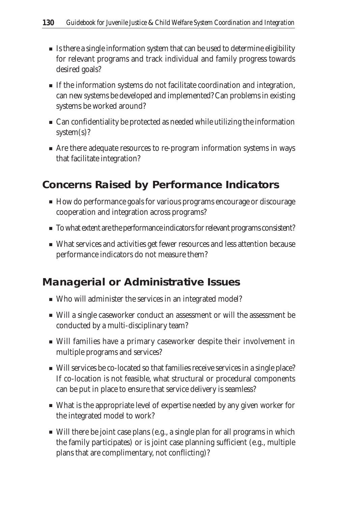- Is there a single information system that can be used to determine eligibility for relevant programs and track individual and family progress towards desired goals?
- If the information systems do not facilitate coordination and integration, can new systems be developed and implemented? Can problems in existing systems be worked around?
- Can confidentiality be protected as needed while utilizing the information system(s)?
- Are there adequate resources to re-program information systems in ways that facilitate integration?

### **Concerns Raised by Performance Indicators**

- How do performance goals for various programs encourage or discourage cooperation and integration across programs?
- To what extent are the performance indicators for relevant programs consistent?
- What services and activities get fewer resources and less attention because performance indicators do not measure them?

### **Managerial or Administrative Issues**

- Who will administer the services in an integrated model?
- Will a single caseworker conduct an assessment or will the assessment be conducted by a multi-disciplinary team?
- Will families have a primary caseworker despite their involvement in multiple programs and services?
- Will services be co-located so that families receive services in a single place? If co-location is not feasible, what structural or procedural components can be put in place to ensure that service delivery is seamless?
- What is the appropriate level of expertise needed by any given worker for the integrated model to work?
- Will there be joint case plans (e.g., a single plan for all programs in which the family participates) or is joint case planning sufficient (e.g., multiple plans that are complimentary, not conflicting)?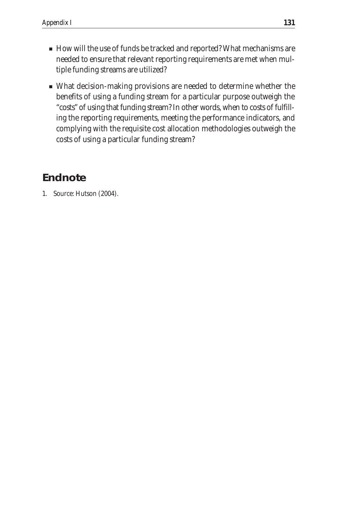- How will the use of funds be tracked and reported? What mechanisms are needed to ensure that relevant reporting requirements are met when multiple funding streams are utilized?
- What decision-making provisions are needed to determine whether the benefits of using a funding stream for a particular purpose outweigh the "costs" of using that funding stream? In other words, when to costs of fulfilling the reporting requirements, meeting the performance indicators, and complying with the requisite cost allocation methodologies outweigh the costs of using a particular funding stream?

# **Endnote**

1. Source: Hutson (2004).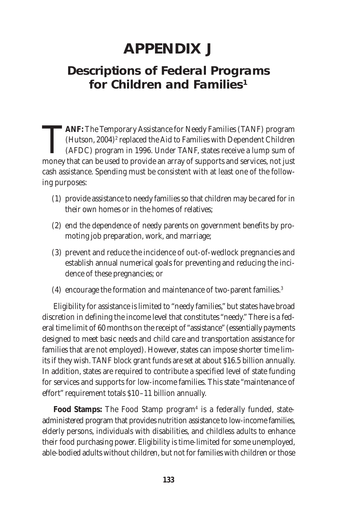# **APPENDIX J**

# **Descriptions of Federal Programs for Children and Families1**

**TANF:** The Temporary Assistance for Needy Families (TANF) program (Hutson, 2004)<sup>2</sup> replaced the Aid to Families with Dependent Children (AFDC) program in 1996. Under TANF, states receive a lump sum of money that can be u (Hutson, 2004)<sup>2</sup> replaced the Aid to Families with Dependent Children (AFDC) program in 1996. Under TANF, states receive a lump sum of money that can be used to provide an array of supports and services, not just cash assistance. Spending must be consistent with at least one of the following purposes:

- (1) provide assistance to needy families so that children may be cared for in their own homes or in the homes of relatives;
- (2) end the dependence of needy parents on government benefits by promoting job preparation, work, and marriage;
- (3) prevent and reduce the incidence of out-of-wedlock pregnancies and establish annual numerical goals for preventing and reducing the incidence of these pregnancies; or
- (4) encourage the formation and maintenance of two-parent families.3

Eligibility for assistance is limited to "needy families," but states have broad discretion in defining the income level that constitutes "needy." There is a federal time limit of 60 months on the receipt of "assistance" (essentially payments designed to meet basic needs and child care and transportation assistance for families that are not employed). However, states can impose shorter time limits if they wish. TANF block grant funds are set at about \$16.5 billion annually. In addition, states are required to contribute a specified level of state funding for services and supports for low-income families. This state "maintenance of effort" requirement totals \$10–11 billion annually.

Food Stamps: The Food Stamp program<sup>4</sup> is a federally funded, stateadministered program that provides nutrition assistance to low-income families, elderly persons, individuals with disabilities, and childless adults to enhance their food purchasing power. Eligibility is time-limited for some unemployed, able-bodied adults without children, but not for families with children or those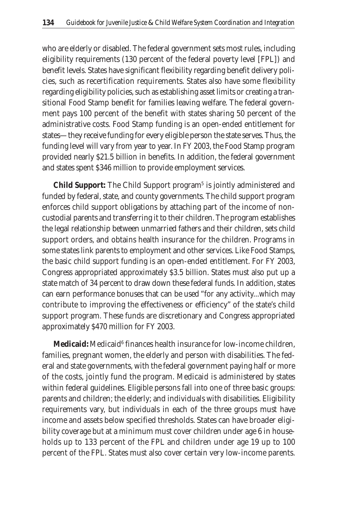who are elderly or disabled. The federal government sets most rules, including eligibility requirements (130 percent of the federal poverty level [FPL]) and benefit levels. States have significant flexibility regarding benefit delivery policies, such as recertification requirements. States also have some flexibility regarding eligibility policies, such as establishing asset limits or creating a transitional Food Stamp benefit for families leaving welfare. The federal government pays 100 percent of the benefit with states sharing 50 percent of the administrative costs. Food Stamp funding is an open-ended entitlement for states—they receive funding for every eligible person the state serves. Thus, the funding level will vary from year to year. In FY 2003, the Food Stamp program provided nearly \$21.5 billion in benefits. In addition, the federal government and states spent \$346 million to provide employment services.

**Child Support:** The Child Support program<sup>5</sup> is jointly administered and funded by federal, state, and county governments. The child support program enforces child support obligations by attaching part of the income of noncustodial parents and transferring it to their children. The program establishes the legal relationship between unmarried fathers and their children, sets child support orders, and obtains health insurance for the children. Programs in some states link parents to employment and other services. Like Food Stamps, the basic child support funding is an open-ended entitlement. For FY 2003, Congress appropriated approximately \$3.5 billion. States must also put up a state match of 34 percent to draw down these federal funds. In addition, states can earn performance bonuses that can be used "for any activity...which may contribute to improving the effectiveness or efficiency" of the state's child support program. These funds are discretionary and Congress appropriated approximately \$470 million for FY 2003.

Medicaid: Medicaid<sup>6</sup> finances health insurance for low-income children, families, pregnant women, the elderly and person with disabilities. The federal and state governments, with the federal government paying half or more of the costs, jointly fund the program. Medicaid is administered by states within federal guidelines. Eligible persons fall into one of three basic groups: parents and children; the elderly; and individuals with disabilities. Eligibility requirements vary, but individuals in each of the three groups must have income and assets below specified thresholds. States can have broader eligibility coverage but at a minimum must cover children under age 6 in households up to 133 percent of the FPL and children under age 19 up to 100 percent of the FPL. States must also cover certain very low-income parents.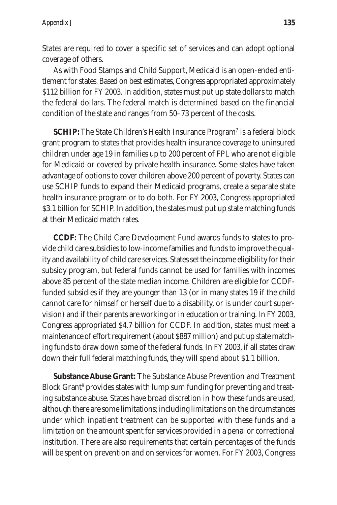States are required to cover a specific set of services and can adopt optional coverage of others.

As with Food Stamps and Child Support, Medicaid is an open-ended entitlement for states. Based on best estimates, Congress appropriated approximately \$112 billion for FY 2003. In addition, states must put up state dollars to match the federal dollars. The federal match is determined based on the financial condition of the state and ranges from 50–73 percent of the costs.

**SCHIP:** The State Children's Health Insurance Program<sup>7</sup> is a federal block grant program to states that provides health insurance coverage to uninsured children under age 19 in families up to 200 percent of FPL who are not eligible for Medicaid or covered by private health insurance. Some states have taken advantage of options to cover children above 200 percent of poverty. States can use SCHIP funds to expand their Medicaid programs, create a separate state health insurance program or to do both. For FY 2003, Congress appropriated \$3.1 billion for SCHIP. In addition, the states must put up state matching funds at their Medicaid match rates.

**CCDF:** The Child Care Development Fund awards funds to states to provide child care subsidies to low-income families and funds to improve the quality and availability of child care services. States set the income eligibility for their subsidy program, but federal funds cannot be used for families with incomes above 85 percent of the state median income. Children are eligible for CCDFfunded subsidies if they are younger than 13 (or in many states 19 if the child cannot care for himself or herself due to a disability, or is under court supervision) and if their parents are working or in education or training. In FY 2003, Congress appropriated \$4.7 billion for CCDF. In addition, states must meet a maintenance of effort requirement (about \$887 million) and put up state matching funds to draw down some of the federal funds. In FY 2003, if all states draw down their full federal matching funds, they will spend about \$1.1 billion.

**Substance Abuse Grant:** The Substance Abuse Prevention and Treatment Block Grant<sup>8</sup> provides states with lump sum funding for preventing and treating substance abuse. States have broad discretion in how these funds are used, although there are some limitations; including limitations on the circumstances under which inpatient treatment can be supported with these funds and a limitation on the amount spent for services provided in a penal or correctional institution. There are also requirements that certain percentages of the funds will be spent on prevention and on services for women. For FY 2003, Congress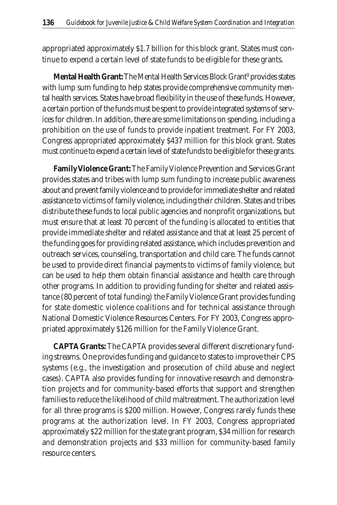appropriated approximately \$1.7 billion for this block grant. States must continue to expend a certain level of state funds to be eligible for these grants.

**Mental Health Grant:** The Mental Health Services Block Grant<sup>9</sup> provides states with lump sum funding to help states provide comprehensive community mental health services. States have broad flexibility in the use of these funds. However, a certain portion of the funds must be spent to provide integrated systems of services for children. In addition, there are some limitations on spending, including a prohibition on the use of funds to provide inpatient treatment. For FY 2003, Congress appropriated approximately \$437 million for this block grant. States must continue to expend a certain level of state funds to be eligible for these grants.

**Family Violence Grant:** The Family Violence Prevention and Services Grant provides states and tribes with lump sum funding to increase public awareness about and prevent family violence and to provide for immediate shelter and related assistance to victims of family violence, including their children. States and tribes distribute these funds to local public agencies and nonprofit organizations, but must ensure that at least 70 percent of the funding is allocated to entities that provide immediate shelter and related assistance and that at least 25 percent of the funding goes for providing related assistance, which includes prevention and outreach services, counseling, transportation and child care. The funds cannot be used to provide direct financial payments to victims of family violence, but can be used to help them obtain financial assistance and health care through other programs. In addition to providing funding for shelter and related assistance (80 percent of total funding) the Family Violence Grant provides funding for state domestic violence coalitions and for technical assistance through National Domestic Violence Resources Centers. For FY 2003, Congress appropriated approximately \$126 million for the Family Violence Grant.

**CAPTA Grants:** The CAPTA provides several different discretionary funding streams. One provides funding and guidance to states to improve their CPS systems (e.g., the investigation and prosecution of child abuse and neglect cases). CAPTA also provides funding for innovative research and demonstration projects and for community-based efforts that support and strengthen families to reduce the likelihood of child maltreatment. The authorization level for all three programs is \$200 million. However, Congress rarely funds these programs at the authorization level. In FY 2003, Congress appropriated approximately \$22 million for the state grant program, \$34 million for research and demonstration projects and \$33 million for community-based family resource centers.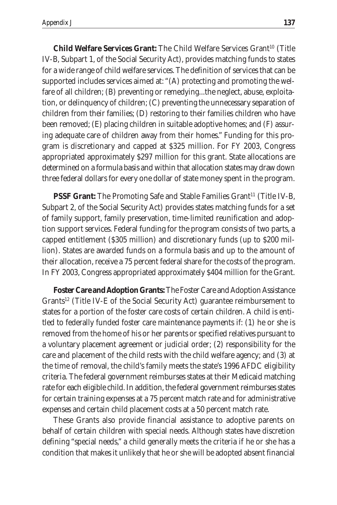**Child Welfare Services Grant:** The Child Welfare Services Grant<sup>10</sup> (Title IV-B, Subpart 1, of the Social Security Act), provides matching funds to states for a wide range of child welfare services. The definition of services that can be supported includes services aimed at: "(A) protecting and promoting the welfare of all children; (B) preventing or remedying...the neglect, abuse, exploitation, or delinquency of children; (C) preventing the unnecessary separation of children from their families; (D) restoring to their families children who have been removed; (E) placing children in suitable adoptive homes; and (F) assuring adequate care of children away from their homes." Funding for this program is discretionary and capped at \$325 million. For FY 2003, Congress appropriated approximately \$297 million for this grant. State allocations are determined on a formula basis and within that allocation states may draw down three federal dollars for every one dollar of state money spent in the program.

**PSSF Grant:** The Promoting Safe and Stable Families Grant<sup>11</sup> (Title IV-B, Subpart 2, of the Social Security Act) provides states matching funds for a set of family support, family preservation, time-limited reunification and adoption support services. Federal funding for the program consists of two parts, a capped entitlement (\$305 million) and discretionary funds (up to \$200 million). States are awarded funds on a formula basis and up to the amount of their allocation, receive a 75 percent federal share for the costs of the program. In FY 2003, Congress appropriated approximately \$404 million for the Grant.

**Foster Care and Adoption Grants:** The Foster Care and Adoption Assistance Grants<sup>12</sup> (Title IV-E of the Social Security Act) guarantee reimbursement to states for a portion of the foster care costs of certain children. A child is entitled to federally funded foster care maintenance payments if: (1) he or she is removed from the home of his or her parents or specified relatives pursuant to a voluntary placement agreement or judicial order; (2) responsibility for the care and placement of the child rests with the child welfare agency; and (3) at the time of removal, the child's family meets the state's 1996 AFDC eligibility criteria. The federal government reimburses states at their Medicaid matching rate for each eligible child. In addition, the federal government reimburses states for certain training expenses at a 75 percent match rate and for administrative expenses and certain child placement costs at a 50 percent match rate.

These Grants also provide financial assistance to adoptive parents on behalf of certain children with special needs. Although states have discretion defining "special needs," a child generally meets the criteria if he or she has a condition that makes it unlikely that he or she will be adopted absent financial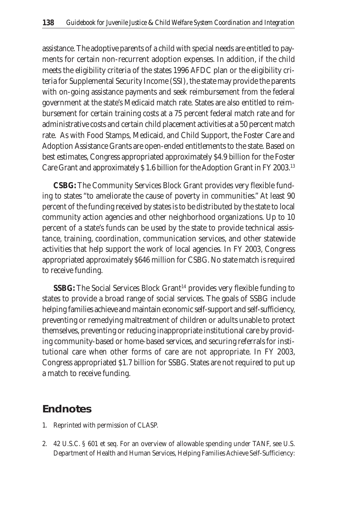assistance. The adoptive parents of a child with special needs are entitled to payments for certain non-recurrent adoption expenses. In addition, if the child meets the eligibility criteria of the states 1996 AFDC plan or the eligibility criteria for Supplemental Security Income (SSI), the state may provide the parents with on-going assistance payments and seek reimbursement from the federal government at the state's Medicaid match rate. States are also entitled to reimbursement for certain training costs at a 75 percent federal match rate and for administrative costs and certain child placement activities at a 50 percent match rate. As with Food Stamps, Medicaid, and Child Support, the Foster Care and Adoption Assistance Grants are open-ended entitlements to the state. Based on best estimates, Congress appropriated approximately \$4.9 billion for the Foster Care Grant and approximately \$ 1.6 billion for the Adoption Grant in FY 2003.13

**CSBG:** The Community Services Block Grant provides very flexible funding to states "to ameliorate the cause of poverty in communities." At least 90 percent of the funding received by states is to be distributed by the state to local community action agencies and other neighborhood organizations. Up to 10 percent of a state's funds can be used by the state to provide technical assistance, training, coordination, communication services, and other statewide activities that help support the work of local agencies. In FY 2003, Congress appropriated approximately \$646 million for CSBG. No state match is required to receive funding.

**SSBG:** The Social Services Block Grant<sup>14</sup> provides very flexible funding to states to provide a broad range of social services. The goals of SSBG include helping families achieve and maintain economic self-support and self-sufficiency, preventing or remedying maltreatment of children or adults unable to protect themselves, preventing or reducing inappropriate institutional care by providing community-based or home-based services, and securing referrals for institutional care when other forms of care are not appropriate. In FY 2003, Congress appropriated \$1.7 billion for SSBG. States are not required to put up a match to receive funding.

#### **Endnotes**

- 1. Reprinted with permission of CLASP.
- 2. 42 U.S.C. § 601 et seq. For an overview of allowable spending under TANF, see U.S. Department of Health and Human Services, Helping Families Achieve Self-Sufficiency: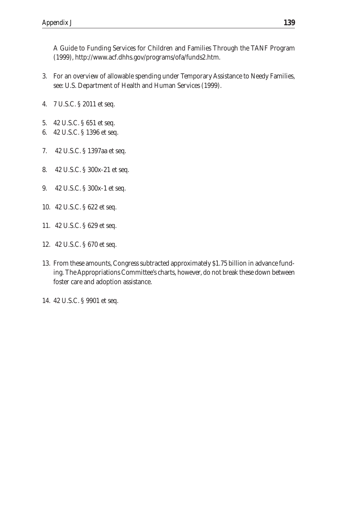A Guide to Funding Services for Children and Families Through the TANF Program (1999), http://www.acf.dhhs.gov/programs/ofa/funds2.htm.

- 3. For an overview of allowable spending under Temporary Assistance to Needy Families, see: U.S. Department of Health and Human Services (1999).
- 4. 7 U.S.C. § 2011 et seq.
- 5. 42 U.S.C. § 651 et seq.
- 6. 42 U.S.C. § 1396 et seq.
- 7. 42 U.S.C. § 1397aa et seq.
- 8. 42 U.S.C. § 300x-21 et seq.
- 9. 42 U.S.C. § 300x-1 et seq.
- 10. 42 U.S.C. § 622 et seq.
- 11. 42 U.S.C. § 629 et seq.
- 12. 42 U.S.C. § 670 et seq.
- 13. From these amounts, Congress subtracted approximately \$1.75 billion in advance funding. The Appropriations Committee's charts, however, do not break these down between foster care and adoption assistance.
- 14. 42 U.S.C. § 9901 et seq.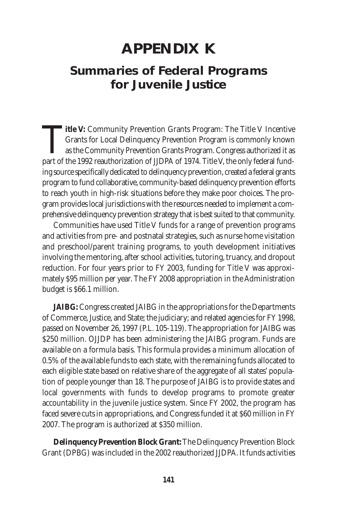# **APPENDIX K**

### **Summaries of Federal Programs for Juvenile Justice**

**Title V:** Community Prevention Grants Program: The Title V Incentive<br>Grants for Local Delinquency Prevention Program is commonly known<br>as the Community Prevention Grants Program. Congress authorized it as<br>part of the 1992 Grants for Local Delinquency Prevention Program is commonly known as the Community Prevention Grants Program. Congress authorized it as part of the 1992 reauthorization of JJDPA of 1974. Title V, the only federal funding source specifically dedicated to delinquency prevention, created a federal grants program to fund collaborative, community-based delinquency prevention efforts to reach youth in high-risk situations before they make poor choices. The program provides local jurisdictions with the resources needed to implement a comprehensive delinquency prevention strategy that is best suited to that community.

Communities have used Title V funds for a range of prevention programs and activities from pre- and postnatal strategies, such as nurse home visitation and preschool/parent training programs, to youth development initiatives involving the mentoring, after school activities, tutoring, truancy, and dropout reduction. For four years prior to FY 2003, funding for Title V was approximately \$95 million per year. The FY 2008 appropriation in the Administration budget is \$66.1 million.

**JAIBG:** Congress created JAIBG in the appropriations for the Departments of Commerce, Justice, and State; the judiciary; and related agencies for FY 1998, passed on November 26, 1997 (P.L. 105-119). The appropriation for JAIBG was \$250 million. OJJDP has been administering the JAIBG program. Funds are available on a formula basis. This formula provides a minimum allocation of 0.5% of the available funds to each state, with the remaining funds allocated to each eligible state based on relative share of the aggregate of all states' population of people younger than 18. The purpose of JAIBG is to provide states and local governments with funds to develop programs to promote greater accountability in the juvenile justice system. Since FY 2002, the program has faced severe cuts in appropriations, and Congress funded it at \$60 million in FY 2007. The program is authorized at \$350 million.

**Delinquency Prevention Block Grant:** The Delinquency Prevention Block Grant (DPBG) was included in the 2002 reauthorized JJDPA. It funds activities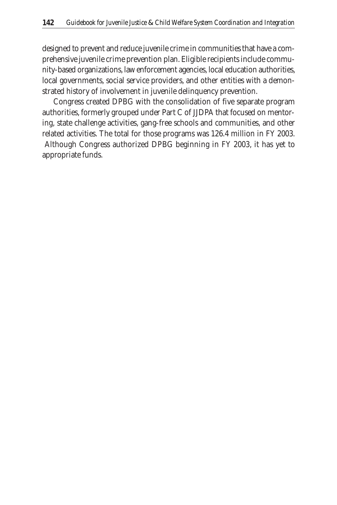designed to prevent and reduce juvenile crime in communities that have a comprehensive juvenile crime prevention plan. Eligible recipients include community-based organizations, law enforcement agencies, local education authorities, local governments, social service providers, and other entities with a demonstrated history of involvement in juvenile delinquency prevention.

Congress created DPBG with the consolidation of five separate program authorities, formerly grouped under Part C of JJDPA that focused on mentoring, state challenge activities, gang-free schools and communities, and other related activities. The total for those programs was 126.4 million in FY 2003. Although Congress authorized DPBG beginning in FY 2003, it has yet to appropriate funds.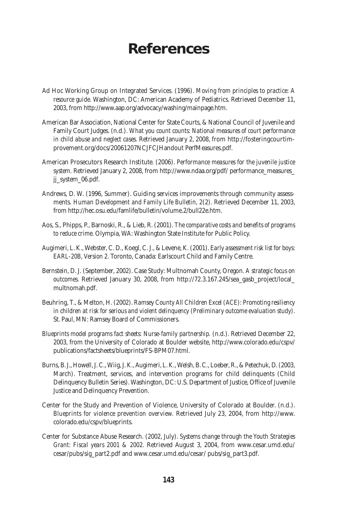### **References**

- Ad Hoc Working Group on Integrated Services. (1996). *Moving from principles to practice: A resource guide.* Washington, DC: American Academy of Pediatrics. Retrieved December 11, 2003, from http://www.aap.org/advocacy/washing/mainpage.htm.
- American Bar Association, National Center for State Courts, & National Council of Juvenile and Family Court Judges. (n.d.). *What you count counts: National measures of court performance in child abuse and neglect cases.* Retrieved January 2, 2008, from http://fosteringcourtimprovement.org/docs/20061207NCJFCJHandout PerfMeasures.pdf.
- American Prosecutors Research Institute. (2006). *Performance measures for the juvenile justice system.* Retrieved January 2, 2008, from http://www.ndaa.org/pdf/ performance\_measures\_ jj\_system\_06.pdf.
- Andrews, D. W. (1996, Summer). Guiding services improvements through community assessments. *Human Development and Family Life Bulletin, 2*(2). Retrieved December 11, 2003, from http://hec.osu.edu/famlife/bulletin/volume.2/bull22e.htm.
- Aos, S., Phipps, P., Barnoski, R., & Lieb, R. (2001). *The comparative costs and benefits of programs to reduce crime.* Olympia, WA: Washington State Institute for Public Policy.
- Augimeri, L. K., Webster, C. D., Koegl, C. J., & Levene, K. (2001). *Early assessment risk list for boys: EARL-20B, Version 2.* Toronto, Canada: Earlscourt Child and Family Centre.
- Bernstein, D. J. (September, 2002). Case Study: Multnomah County, Oregon. *A strategic focus on outcomes.* Retrieved January 30, 2008, from http://72.3.167.245/sea\_gasb\_project/local\_ multnomah.pdf.
- Beuhring, T., & Melton, H. (2002). *Ramsey County All Children Excel (ACE): Promoting resiliency in children at risk for serious and violent delinquency (Preliminary outcome evaluation study).* St. Paul, MN: Ramsey Board of Commissioners.
- *Blueprints model programs fact sheets: Nurse-family partnership.* (n.d.). Retrieved December 22, 2003, from the University of Colorado at Boulder website, http://www.colorado.edu/cspv/ publications/factsheets/blueprints/FS-BPM07.html.
- Burns, B. J., Howell, J. C., Wiig, J. K., Augimeri, L. K., Welsh, B. C., Loeber, R., & Petechuk, D. (2003, March). Treatment, services, and intervention programs for child delinquents (Child Delinquency Bulletin Series). Washington, DC: U.S. Department of Justice, Office of Juvenile Justice and Delinquency Prevention.
- Center for the Study and Prevention of Violence, University of Colorado at Boulder. (n.d.). *Blueprints for violence prevention overview.* Retrieved July 23, 2004, from http://www. colorado.edu/cspv/blueprints.
- Center for Substance Abuse Research. (2002, July). *Systems change through the Youth Strategies Grant: Fiscal years 2001 & 2002.* Retrieved August 3, 2004, from www.cesar.umd.edu/ cesar/pubs/sig\_part2.pdf and www.cesar.umd.edu/cesar/ pubs/sig\_part3.pdf.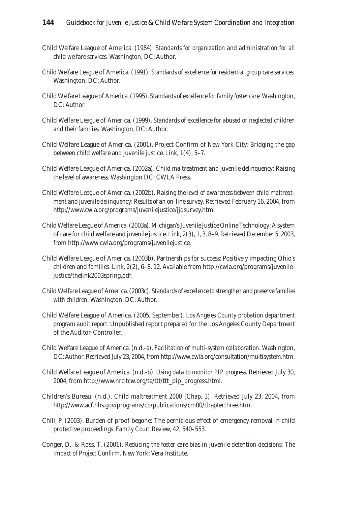- Child Welfare League of America. (1984). *Standards for organization and administration for all child welfare services.* Washington, DC: Author.
- Child Welfare League of America. (1991). *Standards of excellence for residential group care services.* Washington, DC: Author.
- Child Welfare League of America. (1995). *Standards of excellence for family foster care.* Washington, DC: Author.
- Child Welfare League of America. (1999). *Standards of excellence for abused or neglected children and their families.* Washington, DC: Author.
- Child Welfare League of America. (2001). Project Confirm of New York City: Bridging the gap between child welfare and juvenile justice. *Link, 1*(4), 5–7.
- Child Welfare League of America. (2002a). *Child maltreatment and juvenile delinquency: Raising the level of awareness.* Washington DC: CWLA Press.
- Child Welfare League of America. (2002b). *Raising the level of awareness between child maltreatment and juvenile delinquency: Results of an on-line survey.* Retrieved February 16, 2004, from http://www.cwla.org/programs/juvenilejustice/jjdsurvey.htm.
- Child Welfare League of America. (2003a). Michigan's Juvenile Justice Online Technology: A system of care for child welfare and juvenile justice. *Link, 2*(3), 1, 3, 8–9. Retrieved December 5, 2003, from http://www.cwla.org/programs/juvenilejustice.
- Child Welfare League of America. (2003b). Partnerships for success: Positively impacting Ohio's children and families. *Link, 2*(2), 6–8, 12. Available from http://cwla.org/programs/juvenilejustice/thelink2003spring.pdf.
- Child Welfare League of America. (2003c). *Standards of excellence to strengthen and preserve families with children.* Washington, DC: Author.
- Child Welfare League of America. (2005, September). *Los Angeles County probation department program audit report.* Unpublished report prepared for the Los Angeles County Department of the Auditor-Controller.
- Child Welfare League of America. (n.d.-a). *Facilitation of multi-system collaboration.* Washington, DC: Author. Retrieved July 23, 2004, from http://www.cwla.org/consultation/multisystem.htm.
- Child Welfare League of America. (n.d.-b). *Using data to monitor PIP progress.* Retrieved July 30, 2004, from http://www.nrcitcw.org/ta/ttt/ttt\_pip\_progress.html.
- Children's Bureau. (n.d.). *Child maltreatment 2000 (Chap. 3).* Retrieved July 23, 2004, from http://www.acf.hhs.gov/programs/cb/publications/cm00/chapterthree.htm.
- Chill, P. (2003). Burden of proof begone: The pernicious effect of emergency removal in child protective proceedings. *Family Court Review, 42,* 540–553.
- Conger, D., & Ross, T. (2001). *Reducing the foster care bias in juvenile detention decisions: The impact of Project Confirm.* New York: Vera Institute.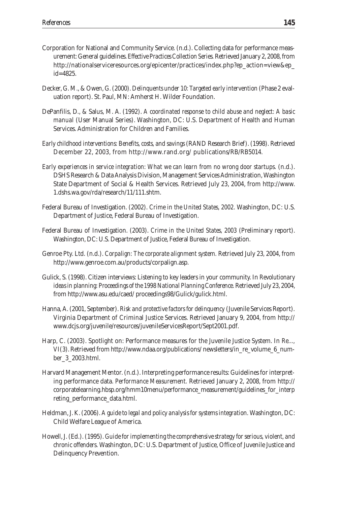- Corporation for National and Community Service. (n.d.). Collecting data for performance measurement: General guidelines. *Effective Practices Collection Series.* Retrieved January 2, 2008, from http://nationalserviceresources.org/epicenter/practices/index.php?ep\_action=view&ep\_ id=4825.
- Decker, G. M., & Owen, G. (2000). *Delinquents under 10: Targeted early intervention* (Phase 2 evaluation report). St. Paul, MN: Amherst H. Wilder Foundation.
- DePanfilis, D., & Salus, M. A. (1992). *A coordinated response to child abuse and neglect: A basic manual* (User Manual Series). Washington, DC: U.S. Department of Health and Human Services. Administration for Children and Families.
- *Early childhood interventions: Benefits, costs, and savings* (RAND Research Brief). (1998). Retrieved December 22, 2003, from http://www.rand.org/ publications/RB/RB5014.
- *Early experiences in service integration: What we can learn from no wrong door startups.* (n.d.). DSHS Research & Data Analysis Division, Management Services Administration, Washington State Department of Social & Health Services. Retrieved July 23, 2004, from http://www. 1.dshs.wa.gov/rda/research/11/111.shtm.
- Federal Bureau of Investigation. (2002). *Crime in the United States, 2002.* Washington, DC: U.S. Department of Justice, Federal Bureau of Investigation.
- Federal Bureau of Investigation. (2003). *Crime in the United States, 2003* (Preliminary report). Washington, DC: U.S. Department of Justice, Federal Bureau of Investigation.
- Genroe Pty. Ltd. (n.d.). *Corpalign: The corporate alignment system.* Retrieved July 23, 2004, from http://www.genroe.com.au/products/corpalign.asp.
- Gulick, S. (1998). Citizen interviews: Listening to key leaders in your community. In *Revolutionary ideas in planning: Proceedings of the 1998 National Planning Conference.* Retrieved July 23, 2004, from http://www.asu.edu/caed/ proceedings98/Gulick/gulick.html.
- Hanna, A. (2001, September). *Risk and protective factors for delinquency* (Juvenile Services Report). Virginia Department of Criminal Justice Services. Retrieved January 9, 2004, from http:// www.dcjs.org/juvenile/resources/juvenileServicesReport/Sept2001.pdf.
- Harp, C. (2003). Spotlight on: Performance measures for the Juvenile Justice System. In *Re..., VI*(3). Retrieved from http://www.ndaa.org/publications/ newsletters/in\_re\_volume\_6\_number\_3\_2003.html.
- Harvard Management Mentor. (n.d.). Interpreting performance results: Guidelines for interpreting performance data. *Performance Measurement.* Retrieved January 2, 2008, from http:// corporatelearning.hbsp.org/hmm10menu/performance\_measurement/guidelines\_for\_interp reting\_performance\_data.html.
- Heldman, J. K. (2006). *A guide to legal and policy analysis for systems integration.* Washington, DC: Child Welfare League of America.
- Howell, J. (Ed.). (1995). *Guide for implementing the comprehensive strategy for serious, violent, and chronic offenders.* Washington, DC: U.S. Department of Justice, Office of Juvenile Justice and Delinquency Prevention.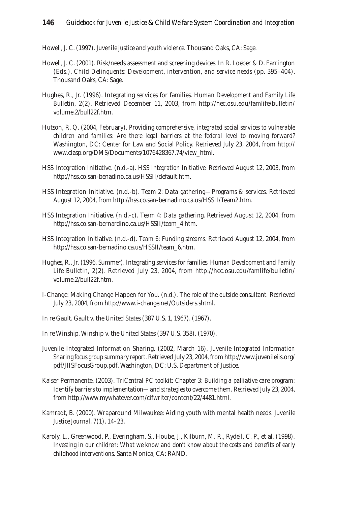Howell, J. C. (1997). *Juvenile justice and youth violence.* Thousand Oaks, CA: Sage.

- Howell, J. C. (2001). Risk/needs assessment and screening devices. In R. Loeber & D. Farrington (Eds.), *Child Delinquents: Development, intervention, and service needs* (pp. 395–404). Thousand Oaks, CA: Sage.
- Hughes, R., Jr. (1996). Integrating services for families. *Human Development and Family Life Bulletin, 2*(2). Retrieved December 11, 2003, from http://hec.osu.edu/famlife/bulletin/ volume.2/bull22f.htm.
- Hutson, R. Q. (2004, February). *Providing comprehensive, integrated social services to vulnerable children and families: Are there legal barriers at the federal level to moving forward?*  Washington, DC: Center for Law and Social Policy. Retrieved July 23, 2004, from http:// www.clasp.org/DMS/Documents/1076428367.74/view\_html.
- HSS Integration Initiative. (n.d.-a). *HSS Integration Initiative.* Retrieved August 12, 2003, from http://hss.co.san-benadino.ca.us/HSSII/default.htm.
- HSS Integration Initiative. (n.d.-b). *Team 2: Data gathering—Programs & services.* Retrieved August 12, 2004, from http://hss.co.san-bernadino.ca.us/HSSII/Team2.htm.
- HSS Integration Initiative. (n.d.-c). *Team 4: Data gathering.* Retrieved August 12, 2004, from http://hss.co.san-bernardino.ca.us/HSSII/team\_4.htm.
- HSS Integration Initiative. (n.d.-d). *Team 6: Funding streams.* Retrieved August 12, 2004, from http://hss.co.san-bernadino.ca.us/HSSII/team\_6.htm.
- Hughes, R., Jr. (1996, Summer). Integrating services for families. *Human Development and Family Life Bulletin, 2*(2). Retrieved July 23, 2004, from http://hec.osu.edu/famlife/bulletin/ volume.2/bull22f.htm.
- I-Change: Making Change Happen for You. (n.d.). *The role of the outside consultant.* Retrieved July 23, 2004, from http://www.i-change.net/Outsiders.shtml.
- In re Gault. Gault v. the United States (387 U.S. 1, 1967). (1967).
- In re Winship. Winship v. the United States (397 U.S. 358). (1970).
- Juvenile Integrated Information Sharing. (2002, March 16). *Juvenile Integrated Information Sharing focus group summary report.* Retrieved July 23, 2004, from http://www.juvenileiis.org/ pdf/JIISFocusGroup.pdf. Washington, DC: U.S. Department of Justice.
- Kaiser Permanente. (2003). *TriCentral PC toolkit: Chapter 3: Building a palliative care program: Identify barriers to implementation—and strategies to overcome them.* Retrieved July 23, 2004, from http://www.mywhatever.com/cifwriter/content/22/4481.html.
- Kamradt, B. (2000). Wraparound Milwaukee: Aiding youth with mental health needs. *Juvenile Justice Journal, 7*(1), 14–23.
- Karoly, L., Greenwood, P., Everingham, S., Hoube, J., Kilburn, M. R., Rydell, C. P., et al. (1998). *Investing in our children: What we know and don't know about the costs and benefits of early childhood interventions.* Santa Monica, CA: RAND.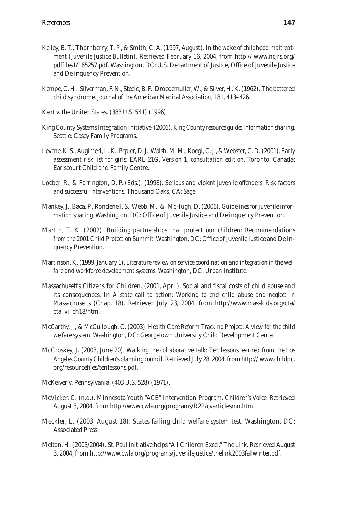- Kelley, B. T., Thornberry, T. P., & Smith, C. A. (1997, August). *In the wake of childhood maltreatment (Juvenile Justice Bulletin)*. Retrieved February 16, 2004, from http:// www.ncjrs.org/ pdffiles1/165257.pdf. Washington, DC: U.S. Department of Justice, Office of Juvenile Justice and Delinquency Prevention.
- Kempe, C. H., Silverman, F. N., Steele, B. F., Droegemuller, W., & Silver, H. K. (1962). The battered child syndrome. *Journal of the American Medical Association,* 181, 413–426.
- Kent v. the United States. (383 U.S. 541) (1996).
- King County Systems Integration Initiative. (2006). *King County resource guide: Information sharing.* Seattle: Casey Family Programs.
- Levene, K. S., Augimeri, L. K., Pepler, D. J., Walsh, M. M., Koegl, C. J., & Webster, C. D. (2001). *Early assessment risk list for girls: EARL-21G, Version 1, consultation edition.* Toronto, Canada: Earlscourt Child and Family Centre.
- Loeber, R., & Farrington, D. P. (Eds.). (1998). *Serious and violent juvenile offenders: Risk factors and successful interventions.* Thousand Oaks, CA: Sage.
- Mankey, J., Baca, P., Rondenell, S., Webb, M., & McHugh, D. (2006). *Guidelines for juvenile information sharing.* Washington, DC: Office of Juvenile Justice and Delinquency Prevention.
- Martin, T. K. (2002). *Building partnerships that protect our children: Recommendations from the 2001 Child Protection Summit.* Washington, DC: Office of Juvenile Justice and Delinquency Prevention.
- Martinson, K. (1999, January 1). *Literature review on service coordination and integration in the welfare and workforce development systems.* Washington, DC: Urban Institute.
- Massachusetts Citizens for Children. (2001, April). Social and fiscal costs of child abuse and its consequences. In *A state call to action: Working to end child abuse and neglect in Massachusetts* (Chap. 18). Retrieved July 23, 2004, from http://www.masskids.org/cta/ cta\_vi\_ch18/html.
- McCarthy, J., & McCullough, C. (2003). *Health Care Reform Tracking Project: A view for the child welfare system.* Washington, DC: Georgetown University Child Development Center.
- McCroskey, J. (2003, June 20). *Walking the collaborative talk: Ten lessons learned from the Los Angeles County Children's planning council.* Retrieved July 28, 2004, from http:// www.childpc. org/resourcefiles/tenlessons.pdf.
- McKeiver v. Pennsylvania. (403 U.S. 528) (1971).
- McVicker, C. (n.d.). Minnesota Youth "ACE" Intervention Program. *Children's Voice.* Retrieved August 3, 2004, from http://www.cwla.org/programs/R2P/cvarticlesmn.htm.
- Meckler, L. (2003, August 18). *States failing child welfare system test.* Washington, DC: Associated Press.
- Melton, H. (2003/2004). St. Paul initiative helps "All Children Excel." *The Link.* Retrieved August 3, 2004, from http://www.cwla.org/programs/juvenilejustice/thelink2003fallwinter.pdf.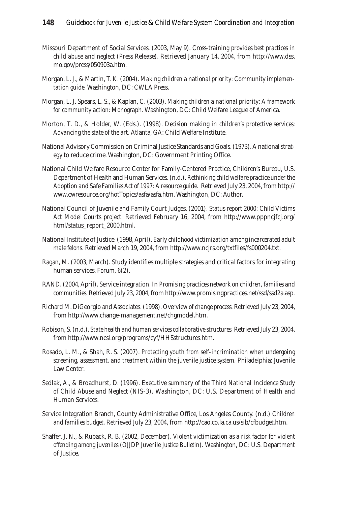- Missouri Department of Social Services. (2003, May 9). *Cross-training provides best practices in child abuse and neglect* (Press Release). Retrieved January 14, 2004, from http://www.dss. mo.gov/press/050903a.htm.
- Morgan, L. J., & Martin, T. K. (2004). *Making children a national priority: Community implementation guide.* Washington, DC: CWLA Press.
- Morgan, L. J. Spears, L. S., & Kaplan, C. (2003). *Making children a national priority: A framework for community action: Monograph.* Washington, DC: Child Welfare League of America.
- Morton, T. D., & Holder, W. (Eds.). (1998). *Decision making in children's protective services: Advancing the state of the art.* Atlanta, GA: Child Welfare Institute.
- National Advisory Commission on Criminal Justice Standards and Goals. (1973). A national strategy to reduce crime. Washington, DC: Government Printing Office.
- National Child Welfare Resource Center for Family-Centered Practice, Children's Bureau, U.S. Department of Health and Human Services. (n.d.). *Rethinking child welfare practice under the Adoption and Safe Families Act of 1997: A resource guide.* Retrieved July 23, 2004, from http:// www.cwresource.org/hotTopics/asfa/asfa.htm. Washington, DC: Author.
- National Council of Juvenile and Family Court Judges. (2001). *Status report 2000: Child Victims Act Model Courts project.* Retrieved February 16, 2004, from http://www.pppncjfcj.org/ html/status\_report\_2000.html.
- National Institute of Justice. (1998, April). *Early childhood victimization among incarcerated adult male felons.* Retrieved March 19, 2004, from http://www.ncjrs.org/txtfiles/fs000204.txt.
- Ragan, M. (2003, March). Study identifies multiple strategies and critical factors for integrating human services. *Forum, 6*(2).
- RAND. (2004, April). Service integration. In *Promising practices network on children, families and communities.* Retrieved July 23, 2004, from http://www.promisingpractices.net/ssd/ssd2a.asp.
- Richard M. DiGeorgio and Associates. (1998). *Overview of change process.* Retrieved July 23, 2004, from http://www.change-management.net/chgmodel.htm.
- Robison, S. (n.d.). *State health and human services collaborative structures.* Retrieved July 23, 2004, from http://www.ncsl.org/programs/cyf/HHSstructures.htm.
- Rosado, L. M., & Shah, R. S. (2007). *Protecting youth from self-incrimination when undergoing screening, assessment, and treatment within the juvenile justice system.* Philadelphia: Juvenile Law Center.
- Sedlak, A., & Broadhurst, D. (1996). *Executive summary of the Third National Incidence Study of Child Abuse and Neglect (NIS-3).* Washington, DC: U.S. Department of Health and Human Services.
- Service Integration Branch, County Administrative Office, Los Angeles County. (n.d.) *Children and families budget.* Retrieved July 23, 2004, from http://cao.co.la.ca.us/sib/cfbudget.htm.
- Shaffer, J. N., & Ruback, R. B. (2002, December). *Violent victimization as a risk factor for violent offending among juveniles (OJJDP Juvenile Justice Bulletin).* Washington, DC: U.S. Department of Justice.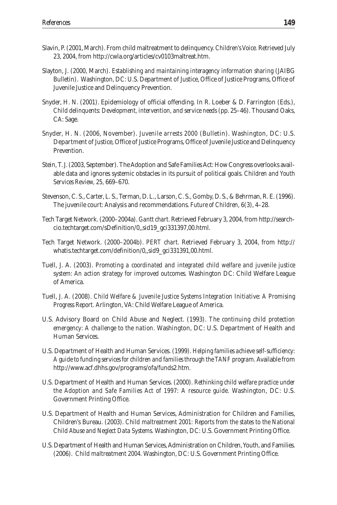- Slavin, P. (2001, March). From child maltreatment to delinquency. *Children's Voice.* Retrieved July 23, 2004, from http://cwla.org/articles/cv0103maltreat.htm.
- Slayton, J. (2000, March). *Establishing and maintaining interagency information sharing* (JAIBG Bulletin). Washington, DC: U.S. Department of Justice, Office of Justice Programs, Office of Juvenile Justice and Delinquency Prevention.
- Snyder, H. N. (2001). Epidemiology of official offending. In R. Loeber & D. Farrington (Eds.), *Child delinquents: Development, intervention, and service needs* (pp. 25–46). Thousand Oaks, CA: Sage.
- Snyder, H. N. (2006, November). *Juvenile arrests 2000* (Bulletin). Washington, DC: U.S. Department of Justice, Office of Justice Programs, Office of Juvenile Justice and Delinquency Prevention.
- Stein, T. J. (2003, September). The Adoption and Safe Families Act: How Congress overlooks available data and ignores systemic obstacles in its pursuit of political goals. *Children and Youth Services Review, 25,* 669–670.
- Stevenson, C. S., Carter, L. S., Terman, D. L., Larson, C. S., Gomby, D. S., & Behrman, R. E. (1996). The juvenile court: Analysis and recommendations. *Future of Children, 6*(3), 4–28.
- Tech Target Network. (2000–2004a). *Gantt chart.* Retrieved February 3, 2004, from http://searchcio.techtarget.com/sDefinition/0,,sid19\_gci331397,00.html.
- Tech Target Network. (2000–2004b). *PERT chart.* Retrieved February 3, 2004, from http:// whatis.techtarget.com/definition/0,,sid9\_gci331391,00.html.
- Tuell, J. A. (2003). *Promoting a coordinated and integrated child welfare and juvenile justice system: An action strategy for improved outcomes.* Washington DC: Child Welfare League of America.
- Tuell, J. A. (2008). *Child Welfare & Juvenile Justice Systems Integration Initiative: A Promising Progress Report.* Arlington, VA: Child Welfare League of America.
- U.S. Advisory Board on Child Abuse and Neglect. (1993). *The continuing child protection emergency: A challenge to the nation.* Washington, DC: U.S. Department of Health and Human Services.
- U.S. Department of Health and Human Services. (1999). *Helping families achieve self-sufficiency: A guide to funding services for children and families through the TANF program.* Available from http://www.acf.dhhs.gov/programs/ofa/funds2.htm.
- U.S. Department of Health and Human Services. (2000). *Rethinking child welfare practice under the Adoption and Safe Families Act of 1997: A resource guide.* Washington, DC: U.S. Government Printing Office.
- U.S. Department of Health and Human Services, Administration for Children and Families, Children's Bureau. (2003). *Child maltreatment 2001: Reports from the states to the National Child Abuse and Neglect Data Systems.* Washington, DC: U.S. Government Printing Office.
- U.S. Department of Health and Human Services, Administration on Children, Youth, and Families. (2006). *Child maltreatment 2004.* Washington, DC: U.S. Government Printing Office.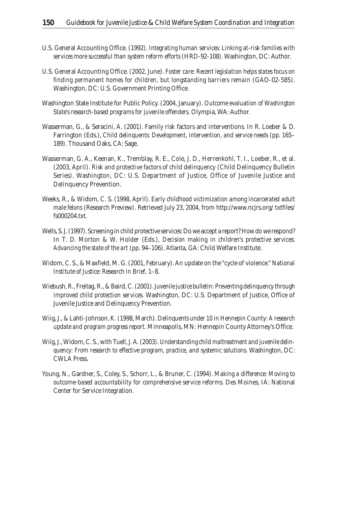- U.S. General Accounting Office. (1992). *Integrating human services: Linking at-risk families with services more successful than system reform efforts* (HRD-92-108). Washington, DC: Author.
- U.S. General Accounting Office. (2002, June). *Foster care: Recent legislation helps states focus on finding permanent homes for children, but longstanding barriers remain* (GAO-02-585). Washington, DC: U.S. Government Printing Office.
- Washington State Institute for Public Policy. (2004, January). *Outcome evaluation of Washington State's research-based programs for juvenile offenders.* Olympia, WA: Author.
- Wasserman, G., & Seracini, A. (2001). Family risk factors and interventions. In R. Loeber & D. Farrington (Eds.), *Child delinquents: Development, intervention, and service needs* (pp. 165– 189). Thousand Oaks, CA: Sage.
- Wasserman, G. A., Keenan, K., Tremblay, R. E., Cole, J. D., Herrenkohl, T. I., Loeber, R., et al. (2003, April). *Risk and protective factors of child delinquency* (Child Delinquency Bulletin Series). Washington, DC: U.S. Department of Justice, Office of Juvenile Justice and Delinquency Prevention.
- Weeks, R., & Widom, C. S. (1998, April). *Early childhood victimization among incarcerated adult male felons* (Research Preview). Retrieved July 23, 2004, from http://www.ncjrs.org/ txtfiles/ fs000204.txt.
- Wells, S. J. (1997). Screening in child protective services: Do we accept a report? How do we respond? In T. D. Morton & W. Holder (Eds.), *Decision making in children's protective services: Advancing the state of the art* (pp. 94–106). Atlanta, GA: Child Welfare Institute.
- Widom, C. S., & Maxfield, M. G. (2001, February). An update on the "cycle of violence." *National Institute of Justice: Research in Brief,* 1–8.
- Wiebush, R., Freitag, R., & Baird, C. (2001). *Juvenile justice bulletin: Preventing delinquency through improved child protection services.* Washington, DC: U.S. Department of Justice, Office of Juvenile Justice and Delinquency Prevention.
- Wiig, J., & Lahti-Johnson, K. (1998, March). *Delinquents under 10 in Hennepin County: A research update and program progress report.* Minneapolis, MN: Hennepin County Attorney's Office.
- Wiig, J., Widom, C. S., with Tuell, J. A. (2003). *Understanding child maltreatment and juvenile delinquency: From research to effective program, practice, and systemic solutions.* Washington, DC: CWLA Press.
- Young, N., Gardner, S., Coley, S., Schorr, L., & Bruner, C. (1994). *Making a difference: Moving to outcome-based accountability for comprehensive service reforms.* Des Moines, IA: National Center for Service Integration.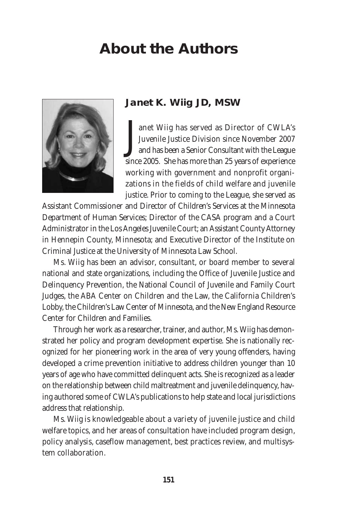## **About the Authors**



**Janet K. Wiig JD, MSW**

J anet Wiig has served as Director of CWLA's Juvenile Justice Division since November 2007 and has been a Senior Consultant with the League since 2005. She has more than 25 years of experience working with government and nonprofit organizations in the fields of child welfare and juvenile justice. Prior to coming to the League, she served as

Assistant Commissioner and Director of Children's Services at the Minnesota Department of Human Services; Director of the CASA program and a Court Administrator in the Los Angeles Juvenile Court; an Assistant County Attorney in Hennepin County, Minnesota; and Executive Director of the Institute on Criminal Justice at the University of Minnesota Law School.

Ms. Wiig has been an advisor, consultant, or board member to several national and state organizations, including the Office of Juvenile Justice and Delinquency Prevention, the National Council of Juvenile and Family Court Judges, the ABA Center on Children and the Law, the California Children's Lobby, the Children's Law Center of Minnesota, and the New England Resource Center for Children and Families.

Through her work as a researcher, trainer, and author, Ms. Wiig has demonstrated her policy and program development expertise. She is nationally recognized for her pioneering work in the area of very young offenders, having developed a crime prevention initiative to address children younger than 10 years of age who have committed delinquent acts. She is recognized as a leader on the relationship between child maltreatment and juvenile delinquency, having authored some of CWLA's publications to help state and local jurisdictions address that relationship.

Ms. Wiig is knowledgeable about a variety of juvenile justice and child welfare topics, and her areas of consultation have included program design, policy analysis, caseflow management, best practices review, and multisystem collaboration.